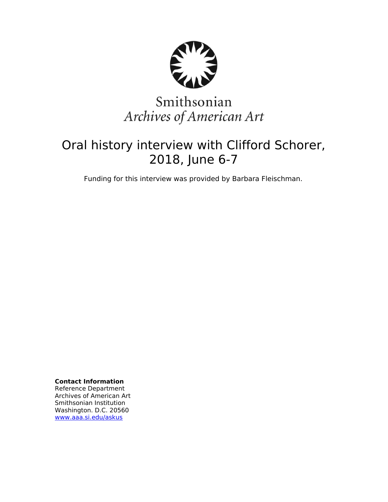

# Smithsonian Archives of American Art

## Oral history interview with Clifford Schorer, 2018, June 6-7

Funding for this interview was provided by Barbara Fleischman.

**Contact Information** Reference Department Archives of American Art Smithsonian Institution Washington. D.C. 20560 [www.aaa.si.edu/askus](http://www.aaa.si.edu/askus)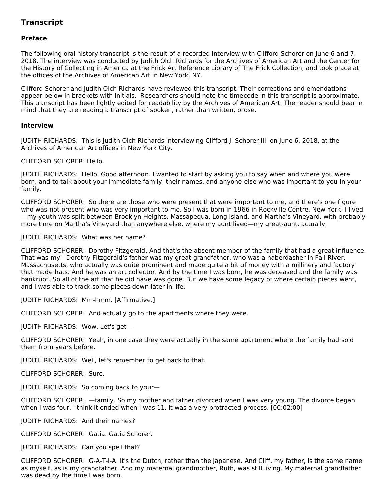### **Transcript**

#### **Preface**

The following oral history transcript is the result of a recorded interview with Clifford Schorer on June 6 and 7, 2018. The interview was conducted by Judith Olch Richards for the Archives of American Art and the Center for the History of Collecting in America at the Frick Art Reference Library of The Frick Collection, and took place at the offices of the Archives of American Art in New York, NY.

Clifford Schorer and Judith Olch Richards have reviewed this transcript. Their corrections and emendations appear below in brackets with initials. Researchers should note the timecode in this transcript is approximate. This transcript has been lightly edited for readability by the Archives of American Art. The reader should bear in mind that they are reading a transcript of spoken, rather than written, prose.

#### **Interview**

JUDITH RICHARDS: This is Judith Olch Richards interviewing Clifford J. Schorer III, on June 6, 2018, at the Archives of American Art offices in New York City.

CLIFFORD SCHORER: Hello.

JUDITH RICHARDS: Hello. Good afternoon. I wanted to start by asking you to say when and where you were born, and to talk about your immediate family, their names, and anyone else who was important to you in your family.

CLIFFORD SCHORER: So there are those who were present that were important to me, and there's one figure who was not present who was very important to me. So I was born in 1966 in Rockville Centre, New York. I lived —my youth was split between Brooklyn Heights, Massapequa, Long Island, and Martha's Vineyard, with probably more time on Martha's Vineyard than anywhere else, where my aunt lived—my great-aunt, actually.

#### JUDITH RICHARDS: What was her name?

CLIFFORD SCHORER: Dorothy Fitzgerald. And that's the absent member of the family that had a great influence. That was my—Dorothy Fitzgerald's father was my great-grandfather, who was a haberdasher in Fall River, Massachusetts, who actually was quite prominent and made quite a bit of money with a millinery and factory that made hats. And he was an art collector. And by the time I was born, he was deceased and the family was bankrupt. So all of the art that he did have was gone. But we have some legacy of where certain pieces went, and I was able to track some pieces down later in life.

JUDITH RICHARDS: Mm-hmm. [Affirmative.]

CLIFFORD SCHORER: And actually go to the apartments where they were.

JUDITH RICHARDS: Wow. Let's get—

CLIFFORD SCHORER: Yeah, in one case they were actually in the same apartment where the family had sold them from years before.

JUDITH RICHARDS: Well, let's remember to get back to that.

CLIFFORD SCHORER: Sure.

JUDITH RICHARDS: So coming back to your—

CLIFFORD SCHORER: —family. So my mother and father divorced when I was very young. The divorce began when I was four. I think it ended when I was 11. It was a very protracted process. [00:02:00]

JUDITH RICHARDS: And their names?

CLIFFORD SCHORER: Gatia. Gatia Schorer.

JUDITH RICHARDS: Can you spell that?

CLIFFORD SCHORER: G-A-T-I-A. It's the Dutch, rather than the Japanese. And Cliff, my father, is the same name as myself, as is my grandfather. And my maternal grandmother, Ruth, was still living. My maternal grandfather was dead by the time I was born.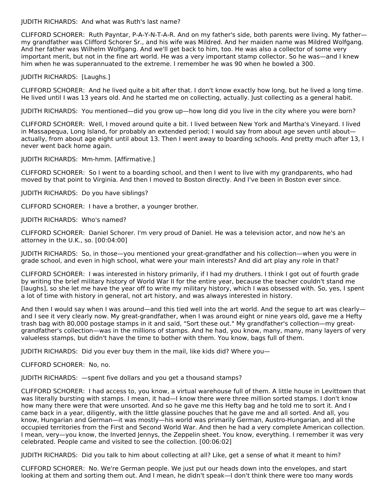JUDITH RICHARDS: And what was Ruth's last name?

CLIFFORD SCHORER: Ruth Payntar, P-A-Y-N-T-A-R. And on my father's side, both parents were living. My father my grandfather was Clifford Schorer Sr., and his wife was Mildred. And her maiden name was Mildred Wolfgang. And her father was Wilhelm Wolfgang. And we'll get back to him, too. He was also a collector of some very important merit, but not in the fine art world. He was a very important stamp collector. So he was—and I knew him when he was superannuated to the extreme. I remember he was 90 when he bowled a 300.

JUDITH RICHARDS: [Laughs.]

CLIFFORD SCHORER: And he lived quite a bit after that. I don't know exactly how long, but he lived a long time. He lived until I was 13 years old. And he started me on collecting, actually. Just collecting as a general habit.

JUDITH RICHARDS: You mentioned—did you grow up—how long did you live in the city where you were born?

CLIFFORD SCHORER: Well, I moved around quite a bit. I lived between New York and Martha's Vineyard. I lived in Massapequa, Long Island, for probably an extended period; I would say from about age seven until about actually, from about age eight until about 13. Then I went away to boarding schools. And pretty much after 13, I never went back home again.

JUDITH RICHARDS: Mm-hmm. [Affirmative.]

CLIFFORD SCHORER: So I went to a boarding school, and then I went to live with my grandparents, who had moved by that point to Virginia. And then I moved to Boston directly. And I've been in Boston ever since.

JUDITH RICHARDS: Do you have siblings?

CLIFFORD SCHORER: I have a brother, a younger brother.

JUDITH RICHARDS: Who's named?

CLIFFORD SCHORER: Daniel Schorer. I'm very proud of Daniel. He was a television actor, and now he's an attorney in the U.K., so. [00:04:00]

JUDITH RICHARDS: So, in those—you mentioned your great-grandfather and his collection—when you were in grade school, and even in high school, what were your main interests? And did art play any role in that?

CLIFFORD SCHORER: I was interested in history primarily, if I had my druthers. I think I got out of fourth grade by writing the brief military history of World War II for the entire year, because the teacher couldn't stand me [laughs], so she let me have the year off to write my military history, which I was obsessed with. So, yes, I spent a lot of time with history in general, not art history, and was always interested in history.

And then I would say when I was around—and this tied well into the art world. And the segue to art was clearly and I see it very clearly now. My great-grandfather, when I was around eight or nine years old, gave me a Hefty trash bag with 80,000 postage stamps in it and said, "Sort these out." My grandfather's collection—my greatgrandfather's collection—was in the millions of stamps. And he had, you know, many, many, many layers of very valueless stamps, but didn't have the time to bother with them. You know, bags full of them.

JUDITH RICHARDS: Did you ever buy them in the mail, like kids did? Where you—

CLIFFORD SCHORER: No, no.

JUDITH RICHARDS: —spent five dollars and you get a thousand stamps?

CLIFFORD SCHORER: I had access to, you know, a virtual warehouse full of them. A little house in Levittown that was literally bursting with stamps. I mean, it had—I know there were three million sorted stamps. I don't know how many there were that were unsorted. And so he gave me this Hefty bag and he told me to sort it. And I came back in a year, diligently, with the little glassine pouches that he gave me and all sorted. And all, you know, Hungarian and German—it was mostly—his world was primarily German, Austro-Hungarian, and all the occupied territories from the First and Second World War. And then he had a very complete American collection. I mean, very—you know, the Inverted Jennys, the Zeppelin sheet. You know, everything. I remember it was very celebrated. People came and visited to see the collection. [00:06:02]

JUDITH RICHARDS: Did you talk to him about collecting at all? Like, get a sense of what it meant to him?

CLIFFORD SCHORER: No. We're German people. We just put our heads down into the envelopes, and start looking at them and sorting them out. And I mean, he didn't speak—I don't think there were too many words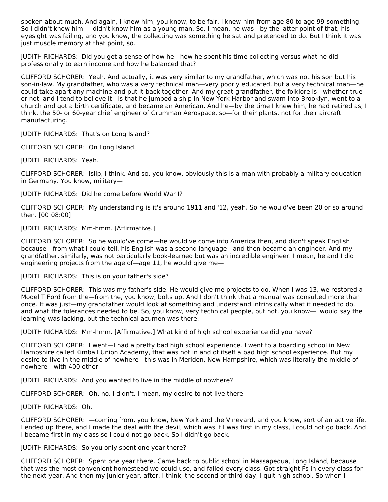spoken about much. And again, I knew him, you know, to be fair, I knew him from age 80 to age 99-something. So I didn't know him—I didn't know him as a young man. So, I mean, he was—by the latter point of that, his eyesight was failing, and you know, the collecting was something he sat and pretended to do. But I think it was just muscle memory at that point, so.

JUDITH RICHARDS: Did you get a sense of how he—how he spent his time collecting versus what he did professionally to earn income and how he balanced that?

CLIFFORD SCHORER: Yeah. And actually, it was very similar to my grandfather, which was not his son but his son-in-law. My grandfather, who was a very technical man—very poorly educated, but a very technical man—he could take apart any machine and put it back together. And my great-grandfather, the folklore is—whether true or not, and I tend to believe it—is that he jumped a ship in New York Harbor and swam into Brooklyn, went to a church and got a birth certificate, and became an American. And he—by the time I knew him, he had retired as, I think, the 50- or 60-year chief engineer of Grumman Aerospace, so—for their plants, not for their aircraft manufacturing.

JUDITH RICHARDS: That's on Long Island?

CLIFFORD SCHORER: On Long Island.

JUDITH RICHARDS: Yeah.

CLIFFORD SCHORER: Islip, I think. And so, you know, obviously this is a man with probably a military education in Germany. You know, military—

JUDITH RICHARDS: Did he come before World War I?

CLIFFORD SCHORER: My understanding is it's around 1911 and '12, yeah. So he would've been 20 or so around then. [00:08:00]

JUDITH RICHARDS: Mm-hmm. [Affirmative.]

CLIFFORD SCHORER: So he would've come—he would've come into America then, and didn't speak English because—from what I could tell, his English was a second language—and then became an engineer. And my grandfather, similarly, was not particularly book-learned but was an incredible engineer. I mean, he and I did engineering projects from the age of—age 11, he would give me—

JUDITH RICHARDS: This is on your father's side?

CLIFFORD SCHORER: This was my father's side. He would give me projects to do. When I was 13, we restored a Model T Ford from the—from the, you know, bolts up. And I don't think that a manual was consulted more than once. It was just—my grandfather would look at something and understand intrinsically what it needed to do, and what the tolerances needed to be. So, you know, very technical people, but not, you know—I would say the learning was lacking, but the technical acumen was there.

JUDITH RICHARDS: Mm-hmm. [Affirmative.] What kind of high school experience did you have?

CLIFFORD SCHORER: I went—I had a pretty bad high school experience. I went to a boarding school in New Hampshire called Kimball Union Academy, that was not in and of itself a bad high school experience. But my desire to live in the middle of nowhere—this was in Meriden, New Hampshire, which was literally the middle of nowhere—with 400 other—

JUDITH RICHARDS: And you wanted to live in the middle of nowhere?

CLIFFORD SCHORER: Oh, no. I didn't. I mean, my desire to not live there—

JUDITH RICHARDS: Oh.

CLIFFORD SCHORER: —coming from, you know, New York and the Vineyard, and you know, sort of an active life. I ended up there, and I made the deal with the devil, which was if I was first in my class, I could not go back. And I became first in my class so I could not go back. So I didn't go back.

JUDITH RICHARDS: So you only spent one year there?

CLIFFORD SCHORER: Spent one year there. Came back to public school in Massapequa, Long Island, because that was the most convenient homestead we could use, and failed every class. Got straight Fs in every class for the next year. And then my junior year, after, I think, the second or third day, I quit high school. So when I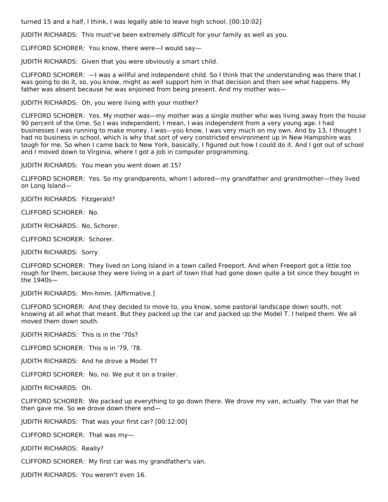turned 15 and a half, I think, I was legally able to leave high school. [00:10:02]

JUDITH RICHARDS: This must've been extremely difficult for your family as well as you.

CLIFFORD SCHORER: You know, there were—I would say—

JUDITH RICHARDS: Given that you were obviously a smart child.

CLIFFORD SCHORER: —I was a willful and independent child. So I think that the understanding was there that I was going to do it, so, you know, might as well support him in that decision and then see what happens. My father was absent because he was enjoined from being present. And my mother was—

JUDITH RICHARDS: Oh, you were living with your mother?

CLIFFORD SCHORER: Yes. My mother was—my mother was a single mother who was living away from the house 90 percent of the time. So I was independent; I mean, I was independent from a very young age. I had businesses I was running to make money. I was––you know, I was very much on my own. And by 13, I thought I had no business in school, which is why that sort of very constricted environment up in New Hampshire was tough for me. So when I came back to New York, basically, I figured out how I could do it. And I got out of school and I moved down to Virginia, where I got a job in computer programming.

JUDITH RICHARDS: You mean you went down at 15?

CLIFFORD SCHORER: Yes. So my grandparents, whom I adored—my grandfather and grandmother—they lived on Long Island—

JUDITH RICHARDS: Fitzgerald?

CLIFFORD SCHORER: No.

JUDITH RICHARDS: No, Schorer.

CLIFFORD SCHORER: Schorer.

JUDITH RICHARDS: Sorry.

CLIFFORD SCHORER: They lived on Long Island in a town called Freeport. And when Freeport got a little too rough for them, because they were living in a part of town that had gone down quite a bit since they bought in the 1940s—

JUDITH RICHARDS: Mm-hmm. [Affirmative.]

CLIFFORD SCHORER: And they decided to move to, you know, some pastoral landscape down south, not knowing at all what that meant. But they packed up the car and packed up the Model T. I helped them. We all moved them down south.

JUDITH RICHARDS: This is in the '70s?

CLIFFORD SCHORER: This is in '79, '78.

JUDITH RICHARDS: And he drove a Model T?

CLIFFORD SCHORER: No, no. We put it on a trailer.

JUDITH RICHARDS: Oh.

CLIFFORD SCHORER: We packed up everything to go down there. We drove my van, actually. The van that he then gave me. So we drove down there and—

JUDITH RICHARDS: That was your first car? [00:12:00]

CLIFFORD SCHORER: That was my—

JUDITH RICHARDS: Really?

CLIFFORD SCHORER: My first car was my grandfather's van.

JUDITH RICHARDS: You weren't even 16.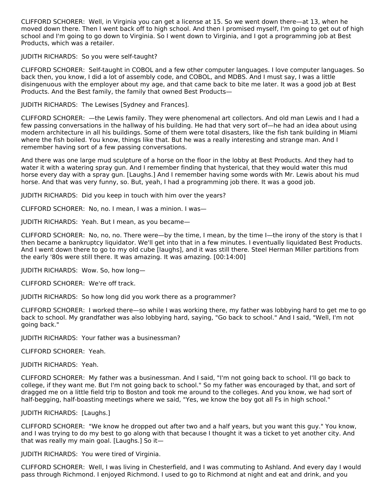CLIFFORD SCHORER: Well, in Virginia you can get a license at 15. So we went down there—at 13, when he moved down there. Then I went back off to high school. And then I promised myself, I'm going to get out of high school and I'm going to go down to Virginia. So I went down to Virginia, and I got a programming job at Best Products, which was a retailer.

JUDITH RICHARDS: So you were self-taught?

CLIFFORD SCHORER: Self-taught in COBOL and a few other computer languages. I love computer languages. So back then, you know, I did a lot of assembly code, and COBOL, and MDBS. And I must say, I was a little disingenuous with the employer about my age, and that came back to bite me later. It was a good job at Best Products. And the Best family, the family that owned Best Products—

JUDITH RICHARDS: The Lewises [Sydney and Frances].

CLIFFORD SCHORER: —the Lewis family. They were phenomenal art collectors. And old man Lewis and I had a few passing conversations in the hallway of his building. He had that very sort of—he had an idea about using modern architecture in all his buildings. Some of them were total disasters, like the fish tank building in Miami where the fish boiled. You know, things like that. But he was a really interesting and strange man. And I remember having sort of a few passing conversations.

And there was one large mud sculpture of a horse on the floor in the lobby at Best Products. And they had to water it with a watering spray gun. And I remember finding that hysterical, that they would water this mud horse every day with a spray gun. [Laughs.] And I remember having some words with Mr. Lewis about his mud horse. And that was very funny, so. But, yeah, I had a programming job there. It was a good job.

JUDITH RICHARDS: Did you keep in touch with him over the years?

CLIFFORD SCHORER: No, no. I mean, I was a minion. I was—

JUDITH RICHARDS: Yeah. But I mean, as you became—

CLIFFORD SCHORER: No, no, no. There were—by the time, I mean, by the time I—the irony of the story is that I then became a bankruptcy liquidator. We'll get into that in a few minutes. I eventually liquidated Best Products. And I went down there to go to my old cube [laughs], and it was still there. Steel Herman Miller partitions from the early '80s were still there. It was amazing. It was amazing. [00:14:00]

JUDITH RICHARDS: Wow. So, how long—

CLIFFORD SCHORER: We're off track.

JUDITH RICHARDS: So how long did you work there as a programmer?

CLIFFORD SCHORER: I worked there—so while I was working there, my father was lobbying hard to get me to go back to school. My grandfather was also lobbying hard, saying, "Go back to school." And I said, "Well, I'm not going back."

JUDITH RICHARDS: Your father was a businessman?

CLIFFORD SCHORER: Yeah.

JUDITH RICHARDS: Yeah.

CLIFFORD SCHORER: My father was a businessman. And I said, "I'm not going back to school. I'll go back to college, if they want me. But I'm not going back to school." So my father was encouraged by that, and sort of dragged me on a little field trip to Boston and took me around to the colleges. And you know, we had sort of half-begging, half-boasting meetings where we said, "Yes, we know the boy got all Fs in high school."

JUDITH RICHARDS: [Laughs.]

CLIFFORD SCHORER: "We know he dropped out after two and a half years, but you want this guy." You know, and I was trying to do my best to go along with that because I thought it was a ticket to yet another city. And that was really my main goal. [Laughs.] So it—

JUDITH RICHARDS: You were tired of Virginia.

CLIFFORD SCHORER: Well, I was living in Chesterfield, and I was commuting to Ashland. And every day I would pass through Richmond. I enjoyed Richmond. I used to go to Richmond at night and eat and drink, and you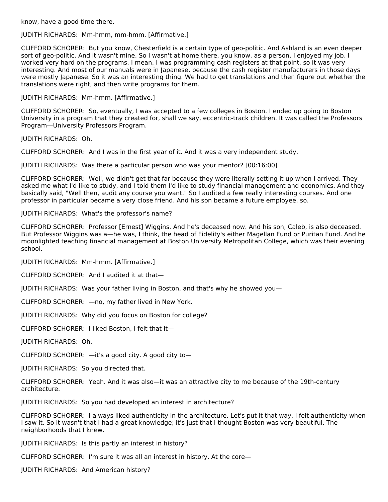know, have a good time there.

#### JUDITH RICHARDS: Mm-hmm, mm-hmm. [Affirmative.]

CLIFFORD SCHORER: But you know, Chesterfield is a certain type of geo-politic. And Ashland is an even deeper sort of geo-politic. And it wasn't mine. So I wasn't at home there, you know, as a person. I enjoyed my job. I worked very hard on the programs. I mean, I was programming cash registers at that point, so it was very interesting. And most of our manuals were in Japanese, because the cash register manufacturers in those days were mostly Japanese. So it was an interesting thing. We had to get translations and then figure out whether the translations were right, and then write programs for them.

JUDITH RICHARDS: Mm-hmm. [Affirmative.]

CLIFFORD SCHORER: So, eventually, I was accepted to a few colleges in Boston. I ended up going to Boston University in a program that they created for, shall we say, eccentric-track children. It was called the Professors Program—University Professors Program.

JUDITH RICHARDS: Oh.

CLIFFORD SCHORER: And I was in the first year of it. And it was a very independent study.

JUDITH RICHARDS: Was there a particular person who was your mentor? [00:16:00]

CLIFFORD SCHORER: Well, we didn't get that far because they were literally setting it up when I arrived. They asked me what I'd like to study, and I told them I'd like to study financial management and economics. And they basically said, "Well then, audit any course you want." So I audited a few really interesting courses. And one professor in particular became a very close friend. And his son became a future employee, so.

JUDITH RICHARDS: What's the professor's name?

CLIFFORD SCHORER: Professor [Ernest] Wiggins. And he's deceased now. And his son, Caleb, is also deceased. But Professor Wiggins was a—he was, I think, the head of Fidelity's either Magellan Fund or Puritan Fund. And he moonlighted teaching financial management at Boston University Metropolitan College, which was their evening school.

JUDITH RICHARDS: Mm-hmm. [Affirmative.]

CLIFFORD SCHORER: And I audited it at that—

JUDITH RICHARDS: Was your father living in Boston, and that's why he showed you—

CLIFFORD SCHORER: —no, my father lived in New York.

JUDITH RICHARDS: Why did you focus on Boston for college?

CLIFFORD SCHORER: I liked Boston, I felt that it—

JUDITH RICHARDS: Oh.

CLIFFORD SCHORER: —it's a good city. A good city to—

JUDITH RICHARDS: So you directed that.

CLIFFORD SCHORER: Yeah. And it was also—it was an attractive city to me because of the 19th-century architecture.

JUDITH RICHARDS: So you had developed an interest in architecture?

CLIFFORD SCHORER: I always liked authenticity in the architecture. Let's put it that way. I felt authenticity when I saw it. So it wasn't that I had a great knowledge; it's just that I thought Boston was very beautiful. The neighborhoods that I knew.

JUDITH RICHARDS: Is this partly an interest in history?

CLIFFORD SCHORER: I'm sure it was all an interest in history. At the core—

JUDITH RICHARDS: And American history?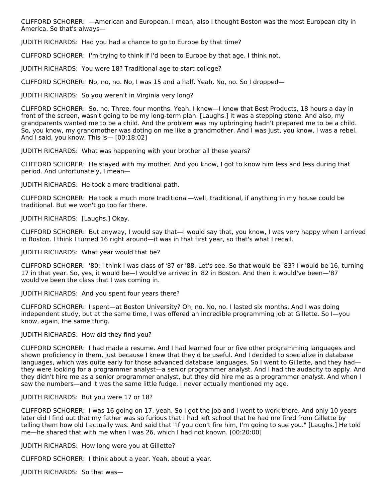CLIFFORD SCHORER: —American and European. I mean, also I thought Boston was the most European city in America. So that's always—

JUDITH RICHARDS: Had you had a chance to go to Europe by that time?

CLIFFORD SCHORER: I'm trying to think if I'd been to Europe by that age. I think not.

JUDITH RICHARDS: You were 18? Traditional age to start college?

CLIFFORD SCHORER: No, no, no. No, I was 15 and a half. Yeah. No, no. So I dropped—

JUDITH RICHARDS: So you weren't in Virginia very long?

CLIFFORD SCHORER: So, no. Three, four months. Yeah. I knew—I knew that Best Products, 18 hours a day in front of the screen, wasn't going to be my long-term plan. [Laughs.] It was a stepping stone. And also, my grandparents wanted me to be a child. And the problem was my upbringing hadn't prepared me to be a child. So, you know, my grandmother was doting on me like a grandmother. And I was just, you know, I was a rebel. And I said, you know, This is— [00:18:02]

JUDITH RICHARDS: What was happening with your brother all these years?

CLIFFORD SCHORER: He stayed with my mother. And you know, I got to know him less and less during that period. And unfortunately, I mean—

JUDITH RICHARDS: He took a more traditional path.

CLIFFORD SCHORER: He took a much more traditional—well, traditional, if anything in my house could be traditional. But we won't go too far there.

JUDITH RICHARDS: [Laughs.] Okay.

CLIFFORD SCHORER: But anyway, I would say that—I would say that, you know, I was very happy when I arrived in Boston. I think I turned 16 right around—it was in that first year, so that's what I recall.

JUDITH RICHARDS: What year would that be?

CLIFFORD SCHORER: '80; I think I was class of '87 or '88. Let's see. So that would be '83? I would be 16, turning 17 in that year. So, yes, it would be—I would've arrived in '82 in Boston. And then it would've been—'87 would've been the class that I was coming in.

JUDITH RICHARDS: And you spent four years there?

CLIFFORD SCHORER: I spent—at Boston University? Oh, no. No, no. I lasted six months. And I was doing independent study, but at the same time, I was offered an incredible programming job at Gillette. So I—you know, again, the same thing.

#### JUDITH RICHARDS: How did they find you?

CLIFFORD SCHORER: I had made a resume. And I had learned four or five other programming languages and shown proficiency in them, just because I knew that they'd be useful. And I decided to specialize in database languages, which was quite early for those advanced database languages. So I went to Gillette, and they had they were looking for a programmer analyst—a senior programmer analyst. And I had the audacity to apply. And they didn't hire me as a senior programmer analyst, but they did hire me as a programmer analyst. And when I saw the numbers—and it was the same little fudge. I never actually mentioned my age.

#### JUDITH RICHARDS: But you were 17 or 18?

CLIFFORD SCHORER: I was 16 going on 17, yeah. So I got the job and I went to work there. And only 10 years later did I find out that my father was so furious that I had left school that he had me fired from Gillette by telling them how old I actually was. And said that "If you don't fire him, I'm going to sue you." [Laughs.] He told me—he shared that with me when I was 26, which I had not known. [00:20:00]

JUDITH RICHARDS: How long were you at Gillette?

CLIFFORD SCHORER: I think about a year. Yeah, about a year.

JUDITH RICHARDS: So that was—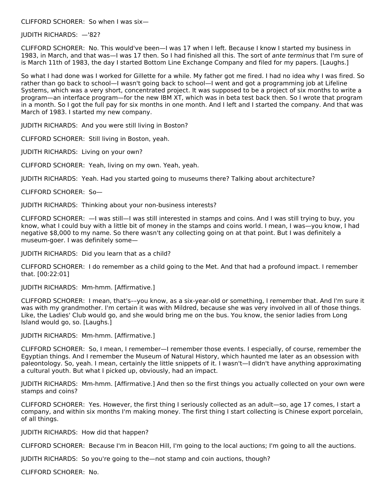CLIFFORD SCHORER: So when I was six—

#### JUDITH RICHARDS: —'82?

CLIFFORD SCHORER: No. This would've been—I was 17 when I left. Because I know I started my business in 1983, in March, and that was—I was 17 then. So I had finished all this. The sort of ante terminus that I'm sure of is March 11th of 1983, the day I started Bottom Line Exchange Company and filed for my papers. [Laughs.]

So what I had done was I worked for Gillette for a while. My father got me fired. I had no idea why I was fired. So rather than go back to school—I wasn't going back to school—I went and got a programming job at Lifeline Systems, which was a very short, concentrated project. It was supposed to be a project of six months to write a program—an interface program—for the new IBM XT, which was in beta test back then. So I wrote that program in a month. So I got the full pay for six months in one month. And I left and I started the company. And that was March of 1983. I started my new company.

JUDITH RICHARDS: And you were still living in Boston?

CLIFFORD SCHORER: Still living in Boston, yeah.

JUDITH RICHARDS: Living on your own?

CLIFFORD SCHORER: Yeah, living on my own. Yeah, yeah.

JUDITH RICHARDS: Yeah. Had you started going to museums there? Talking about architecture?

CLIFFORD SCHORER: So—

JUDITH RICHARDS: Thinking about your non-business interests?

CLIFFORD SCHORER: —I was still—I was still interested in stamps and coins. And I was still trying to buy, you know, what I could buy with a little bit of money in the stamps and coins world. I mean, I was—you know, I had negative \$8,000 to my name. So there wasn't any collecting going on at that point. But I was definitely a museum-goer. I was definitely some—

JUDITH RICHARDS: Did you learn that as a child?

CLIFFORD SCHORER: I do remember as a child going to the Met. And that had a profound impact. I remember that. [00:22:01]

JUDITH RICHARDS: Mm-hmm. [Affirmative.]

CLIFFORD SCHORER: I mean, that's––you know, as a six-year-old or something, I remember that. And I'm sure it was with my grandmother. I'm certain it was with Mildred, because she was very involved in all of those things. Like, the Ladies' Club would go, and she would bring me on the bus. You know, the senior ladies from Long Island would go, so. [Laughs.]

JUDITH RICHARDS: Mm-hmm. [Affirmative.]

CLIFFORD SCHORER: So, I mean, I remember—I remember those events. I especially, of course, remember the Egyptian things. And I remember the Museum of Natural History, which haunted me later as an obsession with paleontology. So, yeah. I mean, certainly the little snippets of it. I wasn't—I didn't have anything approximating a cultural youth. But what I picked up, obviously, had an impact.

JUDITH RICHARDS: Mm-hmm. [Affirmative.] And then so the first things you actually collected on your own were stamps and coins?

CLIFFORD SCHORER: Yes. However, the first thing I seriously collected as an adult—so, age 17 comes, I start a company, and within six months I'm making money. The first thing I start collecting is Chinese export porcelain, of all things.

JUDITH RICHARDS: How did that happen?

CLIFFORD SCHORER: Because I'm in Beacon Hill, I'm going to the local auctions; I'm going to all the auctions.

JUDITH RICHARDS: So you're going to the—not stamp and coin auctions, though?

CLIFFORD SCHORER: No.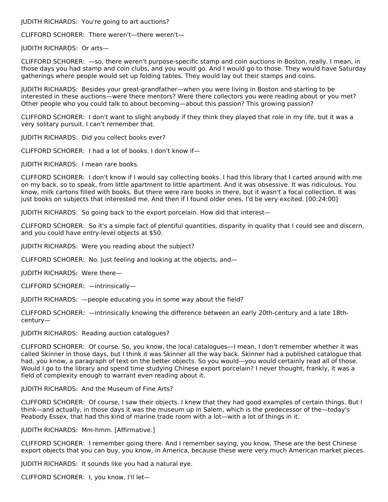JUDITH RICHARDS: You're going to art auctions?

CLIFFORD SCHORER: There weren't—there weren't—

JUDITH RICHARDS: Or arts—

CLIFFORD SCHORER: —so, there weren't purpose-specific stamp and coin auctions in Boston, really. I mean, in those days you had stamp and coin clubs, and you would go. And I would go to those. They would have Saturday gatherings where people would set up folding tables. They would lay out their stamps and coins.

JUDITH RICHARDS: Besides your great-grandfather—when you were living in Boston and starting to be interested in these auctions—were there mentors? Were there collectors you were reading about or you met? Other people who you could talk to about becoming—about this passion? This growing passion?

CLIFFORD SCHORER: I don't want to slight anybody if they think they played that role in my life, but it was a very solitary pursuit. I can't remember that.

JUDITH RICHARDS: Did you collect books ever?

CLIFFORD SCHORER: I had a lot of books. I don't know if—

JUDITH RICHARDS: I mean rare books.

CLIFFORD SCHORER: I don't know if I would say collecting books. I had this library that I carted around with me on my back, so to speak, from little apartment to little apartment. And it was obsessive. It was ridiculous. You know, milk cartons filled with books. But there were rare books in there, but it wasn't a focal collection. It was just books on subjects that interested me. And then if I found older ones, I'd be very excited. [00:24:00]

JUDITH RICHARDS: So going back to the export porcelain. How did that interest—

CLIFFORD SCHORER: So it's a simple fact of plentiful quantities, disparity in quality that I could see and discern, and you could have entry-level objects at \$50.

JUDITH RICHARDS: Were you reading about the subject?

CLIFFORD SCHORER: No. Just feeling and looking at the objects, and—

JUDITH RICHARDS: Were there—

CLIFFORD SCHORER: —intrinsically—

JUDITH RICHARDS: —people educating you in some way about the field?

CLIFFORD SCHORER: —intrinsically knowing the difference between an early 20th-century and a late 18thcentury—

JUDITH RICHARDS: Reading auction catalogues?

CLIFFORD SCHORER: Of course. So, you know, the local catalogues—I mean, I don't remember whether it was called Skinner in those days, but I think it was Skinner all the way back. Skinner had a published catalogue that had, you know, a paragraph of text on the better objects. So you would—you would certainly read all of those. Would I go to the library and spend time studying Chinese export porcelain? I never thought, frankly, it was a field of complexity enough to warrant even reading about it.

JUDITH RICHARDS: And the Museum of Fine Arts?

CLIFFORD SCHORER: Of course, I saw their objects. I knew that they had good examples of certain things. But I think—and actually, in those days it was the museum up in Salem, which is the predecessor of the—today's Peabody Essex, that had this kind of marine trade room with a lot—with a lot of things in it.

JUDITH RICHARDS: Mm-hmm. [Affirmative.]

CLIFFORD SCHORER: I remember going there. And I remember saying, you know, These are the best Chinese export objects that you can buy, you know, in America, because these were very much American market pieces.

JUDITH RICHARDS: It sounds like you had a natural eye.

CLIFFORD SCHORER: I, you know, I'll let—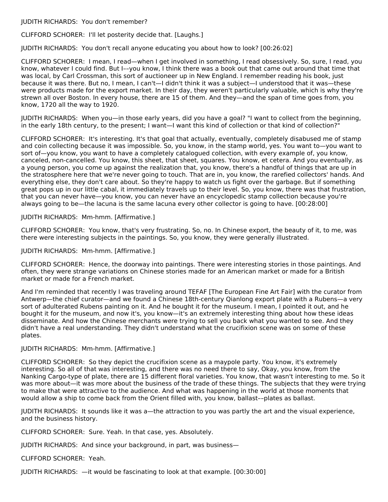JUDITH RICHARDS: You don't remember?

CLIFFORD SCHORER: I'll let posterity decide that. [Laughs.]

JUDITH RICHARDS: You don't recall anyone educating you about how to look? [00:26:02]

CLIFFORD SCHORER: I mean, I read—when I get involved in something, I read obsessively. So, sure, I read, you know, whatever I could find. But I––you know, I think there was a book out that came out around that time that was local, by Carl Crossman, this sort of auctioneer up in New England. I remember reading his book, just because it was there. But no, I mean, I can't—I didn't think it was a subject—I understood that it was—these were products made for the export market. In their day, they weren't particularly valuable, which is why they're strewn all over Boston. In every house, there are 15 of them. And they—and the span of time goes from, you know, 1720 all the way to 1920.

JUDITH RICHARDS: When you—in those early years, did you have a goal? "I want to collect from the beginning, in the early 18th century, to the present; I want—I want this kind of collection or that kind of collection?"

CLIFFORD SCHORER: It's interesting. It's that goal that actually, eventually, completely disabused me of stamp and coin collecting because it was impossible. So, you know, in the stamp world, yes. You want to—you want to sort of—you know, you want to have a completely catalogued collection, with every example of, you know, canceled, non-cancelled. You know, this sheet, that sheet, squares. You know, et cetera. And you eventually, as a young person, you come up against the realization that, you know, there's a handful of things that are up in the stratosphere here that we're never going to touch. That are in, you know, the rarefied collectors' hands. And everything else, they don't care about. So they're happy to watch us fight over the garbage. But if something great pops up in our little cabal, it immediately travels up to their level. So, you know, there was that frustration, that you can never have—you know, you can never have an encyclopedic stamp collection because you're always going to be—the lacuna is the same lacuna every other collector is going to have. [00:28:00]

JUDITH RICHARDS: Mm-hmm. [Affirmative.]

CLIFFORD SCHORER: You know, that's very frustrating. So, no. In Chinese export, the beauty of it, to me, was there were interesting subjects in the paintings. So, you know, they were generally illustrated.

JUDITH RICHARDS: Mm-hmm. [Affirmative.]

CLIFFORD SCHORER: Hence, the doorway into paintings. There were interesting stories in those paintings. And often, they were strange variations on Chinese stories made for an American market or made for a British market or made for a French market.

And I'm reminded that recently I was traveling around TEFAF [The European Fine Art Fair] with the curator from Antwerp—the chief curator—and we found a Chinese 18th-century Qianlong export plate with a Rubens—a very sort of adulterated Rubens painting on it. And he bought it for the museum. I mean, I pointed it out, and he bought it for the museum, and now it's, you know—it's an extremely interesting thing about how these ideas disseminate. And how the Chinese merchants were trying to sell you back what you wanted to see. And they didn't have a real understanding. They didn't understand what the crucifixion scene was on some of these plates.

JUDITH RICHARDS: Mm-hmm. [Affirmative.]

CLIFFORD SCHORER: So they depict the crucifixion scene as a maypole party. You know, it's extremely interesting. So all of that was interesting, and there was no need there to say, Okay, you know, from the Nanking Cargo-type of plate, there are 15 different floral varieties. You know, that wasn't interesting to me. So it was more about—it was more about the business of the trade of these things. The subjects that they were trying to make that were attractive to the audience. And what was happening in the world at those moments that would allow a ship to come back from the Orient filled with, you know, ballast––plates as ballast.

JUDITH RICHARDS: It sounds like it was a—the attraction to you was partly the art and the visual experience, and the business history.

CLIFFORD SCHORER: Sure. Yeah. In that case, yes. Absolutely.

JUDITH RICHARDS: And since your background, in part, was business—

CLIFFORD SCHORER: Yeah.

JUDITH RICHARDS: —it would be fascinating to look at that example. [00:30:00]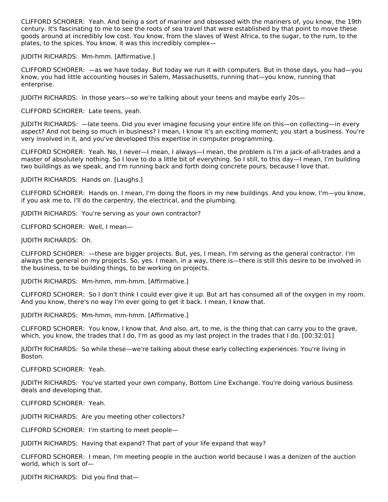CLIFFORD SCHORER: Yeah. And being a sort of mariner and obsessed with the mariners of, you know, the 19th century. It's fascinating to me to see the roots of sea travel that were established by that point to move these goods around at incredibly low cost. You know, from the slaves of West Africa, to the sugar, to the rum, to the plates, to the spices. You know, it was this incredibly complex—

JUDITH RICHARDS: Mm-hmm. [Affirmative.]

CLIFFORD SCHORER: —as we have today. But today we run it with computers. But in those days, you had—you know, you had little accounting houses in Salem, Massachusetts, running that—you know, running that enterprise.

JUDITH RICHARDS: In those years—so we're talking about your teens and maybe early 20s—

CLIFFORD SCHORER: Late teens, yeah.

JUDITH RICHARDS: —late teens. Did you ever imagine focusing your entire life on this—on collecting—in every aspect? And not being so much in business? I mean, I know it's an exciting moment; you start a business. You're very involved in it, and you've developed this expertise in computer programming.

CLIFFORD SCHORER: Yeah. No, I never—I mean, I always—I mean, the problem is I'm a jack-of-all-trades and a master of absolutely nothing. So I love to do a little bit of everything. So I still, to this day—I mean, I'm building two buildings as we speak, and I'm running back and forth doing concrete pours, because I love that.

JUDITH RICHARDS: Hands on. [Laughs.]

CLIFFORD SCHORER: Hands on. I mean, I'm doing the floors in my new buildings. And you know, I'm—you know, if you ask me to, I'll do the carpentry, the electrical, and the plumbing.

JUDITH RICHARDS: You're serving as your own contractor?

CLIFFORD SCHORER: Well, I mean—

JUDITH RICHARDS: Oh.

CLIFFORD SCHORER: —these are bigger projects. But, yes, I mean, I'm serving as the general contractor. I'm always the general on my projects. So, yes. I mean, in a way, there is—there is still this desire to be involved in the business, to be building things, to be working on projects.

JUDITH RICHARDS: Mm-hmm, mm-hmm. [Affirmative.]

CLIFFORD SCHORER: So I don't think I could ever give it up. But art has consumed all of the oxygen in my room. And you know, there's no way I'm ever going to get it back. I mean, I know that.

JUDITH RICHARDS: Mm-hmm, mm-hmm. [Affirmative.]

CLIFFORD SCHORER: You know, I know that. And also, art, to me, is the thing that can carry you to the grave, which, you know, the trades that I do, I'm as good as my last project in the trades that I do. [00:32:01]

JUDITH RICHARDS: So while these—we're talking about these early collecting experiences. You're living in Boston.

CLIFFORD SCHORER: Yeah.

JUDITH RICHARDS: You've started your own company, Bottom Line Exchange. You're doing various business deals and developing that.

CLIFFORD SCHORER: Yeah.

JUDITH RICHARDS: Are you meeting other collectors?

CLIFFORD SCHORER: I'm starting to meet people—

JUDITH RICHARDS: Having that expand? That part of your life expand that way?

CLIFFORD SCHORER: I mean, I'm meeting people in the auction world because I was a denizen of the auction world, which is sort of—

JUDITH RICHARDS: Did you find that—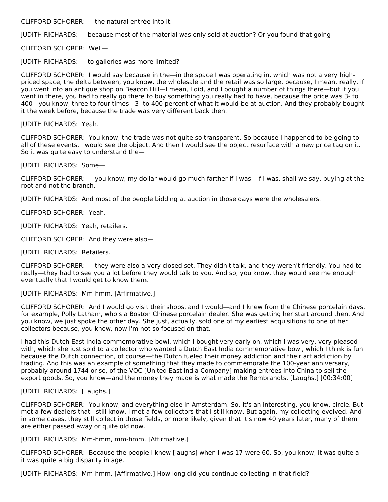CLIFFORD SCHORER: —the natural entrée into it.

JUDITH RICHARDS: —because most of the material was only sold at auction? Or you found that going—

CLIFFORD SCHORER: Well—

JUDITH RICHARDS: —to galleries was more limited?

CLIFFORD SCHORER: I would say because in the—in the space I was operating in, which was not a very highpriced space, the delta between, you know, the wholesale and the retail was so large, because, I mean, really, if you went into an antique shop on Beacon Hill—I mean, I did, and I bought a number of things there—but if you went in there, you had to really go there to buy something you really had to have, because the price was 3- to 400—you know, three to four times—3- to 400 percent of what it would be at auction. And they probably bought it the week before, because the trade was very different back then.

JUDITH RICHARDS: Yeah.

CLIFFORD SCHORER: You know, the trade was not quite so transparent. So because I happened to be going to all of these events, I would see the object. And then I would see the object resurface with a new price tag on it. So it was quite easy to understand the—

JUDITH RICHARDS: Some—

CLIFFORD SCHORER: —you know, my dollar would go much farther if I was—if I was, shall we say, buying at the root and not the branch.

JUDITH RICHARDS: And most of the people bidding at auction in those days were the wholesalers.

CLIFFORD SCHORER: Yeah.

JUDITH RICHARDS: Yeah, retailers.

CLIFFORD SCHORER: And they were also—

JUDITH RICHARDS: Retailers.

CLIFFORD SCHORER: —they were also a very closed set. They didn't talk, and they weren't friendly. You had to really—they had to see you a lot before they would talk to you. And so, you know, they would see me enough eventually that I would get to know them.

JUDITH RICHARDS: Mm-hmm. [Affirmative.]

CLIFFORD SCHORER: And I would go visit their shops, and I would—and I knew from the Chinese porcelain days, for example, Polly Latham, who's a Boston Chinese porcelain dealer. She was getting her start around then. And you know, we just spoke the other day. She just, actually, sold one of my earliest acquisitions to one of her collectors because, you know, now I'm not so focused on that.

I had this Dutch East India commemorative bowl, which I bought very early on, which I was very, very pleased with, which she just sold to a collector who wanted a Dutch East India commemorative bowl, which I think is fun because the Dutch connection, of course—the Dutch fueled their money addiction and their art addiction by trading. And this was an example of something that they made to commemorate the 100-year anniversary, probably around 1744 or so, of the VOC [United East India Company] making entrées into China to sell the export goods. So, you know—and the money they made is what made the Rembrandts. [Laughs.] [00:34:00]

#### JUDITH RICHARDS: [Laughs.]

CLIFFORD SCHORER: You know, and everything else in Amsterdam. So, it's an interesting, you know, circle. But I met a few dealers that I still know. I met a few collectors that I still know. But again, my collecting evolved. And in some cases, they still collect in those fields, or more likely, given that it's now 40 years later, many of them are either passed away or quite old now.

JUDITH RICHARDS: Mm-hmm, mm-hmm. [Affirmative.]

CLIFFORD SCHORER: Because the people I knew [laughs] when I was 17 were 60. So, you know, it was quite a it was quite a big disparity in age.

JUDITH RICHARDS: Mm-hmm. [Affirmative.] How long did you continue collecting in that field?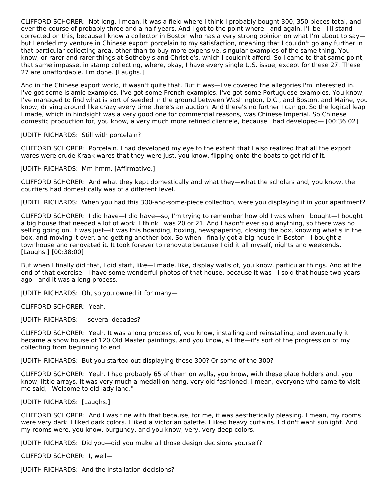CLIFFORD SCHORER: Not long. I mean, it was a field where I think I probably bought 300, 350 pieces total, and over the course of probably three and a half years. And I got to the point where—and again, I'll be—I'll stand corrected on this, because I know a collector in Boston who has a very strong opinion on what I'm about to say but I ended my venture in Chinese export porcelain to my satisfaction, meaning that I couldn't go any further in that particular collecting area, other than to buy more expensive, singular examples of the same thing. You know, or rarer and rarer things at Sotheby's and Christie's, which I couldn't afford. So I came to that same point, that same impasse, in stamp collecting, where, okay, I have every single U.S. issue, except for these 27. These 27 are unaffordable. I'm done. [Laughs.]

And in the Chinese export world, it wasn't quite that. But it was—I've covered the allegories I'm interested in. I've got some Islamic examples. I've got some French examples. I've got some Portuguese examples. You know, I've managed to find what is sort of seeded in the ground between Washington, D.C., and Boston, and Maine, you know, driving around like crazy every time there's an auction. And there's no further I can go. So the logical leap I made, which in hindsight was a very good one for commercial reasons, was Chinese Imperial. So Chinese domestic production for, you know, a very much more refined clientele, because I had developed— [00:36:02]

JUDITH RICHARDS: Still with porcelain?

CLIFFORD SCHORER: Porcelain. I had developed my eye to the extent that I also realized that all the export wares were crude Kraak wares that they were just, you know, flipping onto the boats to get rid of it.

JUDITH RICHARDS: Mm-hmm. [Affirmative.]

CLIFFORD SCHORER: And what they kept domestically and what they—what the scholars and, you know, the courtiers had domestically was of a different level.

JUDITH RICHARDS: When you had this 300-and-some-piece collection, were you displaying it in your apartment?

CLIFFORD SCHORER: I did have—I did have—so, I'm trying to remember how old I was when I bought—I bought a big house that needed a lot of work. I think I was 20 or 21. And I hadn't ever sold anything, so there was no selling going on. It was just—it was this hoarding, boxing, newspapering, closing the box, knowing what's in the box, and moving it over, and getting another box. So when I finally got a big house in Boston—I bought a townhouse and renovated it. It took forever to renovate because I did it all myself, nights and weekends. [Laughs.] [00:38:00]

But when I finally did that, I did start, like—I made, like, display walls of, you know, particular things. And at the end of that exercise—I have some wonderful photos of that house, because it was—I sold that house two years ago—and it was a long process.

JUDITH RICHARDS: Oh, so you owned it for many—

CLIFFORD SCHORER: Yeah.

JUDITH RICHARDS: ––several decades?

CLIFFORD SCHORER: Yeah. It was a long process of, you know, installing and reinstalling, and eventually it became a show house of 120 Old Master paintings, and you know, all the—it's sort of the progression of my collecting from beginning to end.

JUDITH RICHARDS: But you started out displaying these 300? Or some of the 300?

CLIFFORD SCHORER: Yeah. I had probably 65 of them on walls, you know, with these plate holders and, you know, little arrays. It was very much a medallion hang, very old-fashioned. I mean, everyone who came to visit me said, "Welcome to old lady land."

JUDITH RICHARDS: [Laughs.]

CLIFFORD SCHORER: And I was fine with that because, for me, it was aesthetically pleasing. I mean, my rooms were very dark. I liked dark colors. I liked a Victorian palette. I liked heavy curtains. I didn't want sunlight. And my rooms were, you know, burgundy, and you know, very, very deep colors.

JUDITH RICHARDS: Did you—did you make all those design decisions yourself?

CLIFFORD SCHORER: I, well—

JUDITH RICHARDS: And the installation decisions?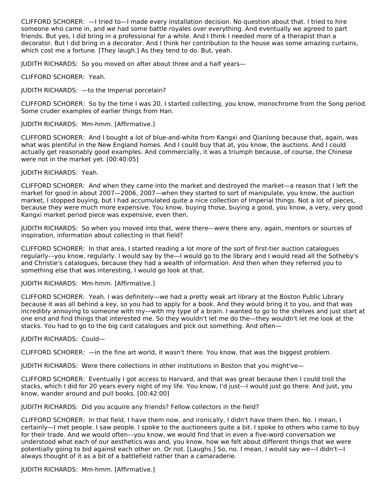CLIFFORD SCHORER: —I tried to—I made every installation decision. No question about that. I tried to hire someone who came in, and we had some battle royales over everything. And eventually we agreed to part friends. But yes, I did bring in a professional for a while. And I think I needed more of a therapist than a decorator. But I did bring in a decorator. And I think her contribution to the house was some amazing curtains, which cost me a fortune. [They laugh.] As they tend to do. But, yeah.

JUDITH RICHARDS: So you moved on after about three and a half years—

CLIFFORD SCHORER: Yeah.

JUDITH RICHARDS: —to the Imperial porcelain?

CLIFFORD SCHORER: So by the time I was 20, I started collecting, you know, monochrome from the Song period. Some cruder examples of earlier things from Han.

#### JUDITH RICHARDS: Mm-hmm. [Affirmative.]

CLIFFORD SCHORER: And I bought a lot of blue-and-white from Kangxi and Qianlong because that, again, was what was plentiful in the New England homes. And I could buy that at, you know, the auctions. And I could actually get reasonably good examples. And commercially, it was a triumph because, of course, the Chinese were not in the market yet. [00:40:05]

#### JUDITH RICHARDS: Yeah.

CLIFFORD SCHORER: And when they came into the market and destroyed the market—a reason that I left the market for good in about 2007—2006, 2007—when they started to sort of manipulate, you know, the auction market, I stopped buying, but I had accumulated quite a nice collection of Imperial things. Not a lot of pieces, because they were much more expensive. You know, buying those, buying a good, you know, a very, very good Kangxi market period piece was expensive, even then.

JUDITH RICHARDS: So when you moved into that, were there—were there any, again, mentors or sources of inspiration, information about collecting in that field?

CLIFFORD SCHORER: In that area, I started reading a lot more of the sort of first-tier auction catalogues regularly––you know, regularly. I would say by the—I would go to the library and I would read all the Sotheby's and Christie's catalogues, because they had a wealth of information. And then when they referred you to something else that was interesting, I would go look at that.

#### JUDITH RICHARDS: Mm-hmm. [Affirmative.]

CLIFFORD SCHORER: Yeah. I was definitely—we had a pretty weak art library at the Boston Public Library because it was all behind a key, so you had to apply for a book. And they would bring it to you, and that was incredibly annoying to someone with my—with my type of a brain. I wanted to go to the shelves and just start at one end and find things that interested me. So they wouldn't let me do the—they wouldn't let me look at the stacks. You had to go to the big card catalogues and pick out something. And often—

#### JUDITH RICHARDS: Could—

CLIFFORD SCHORER: —in the fine art world, it wasn't there. You know, that was the biggest problem.

JUDITH RICHARDS: Were there collections in other institutions in Boston that you might've—

CLIFFORD SCHORER: Eventually I got access to Harvard, and that was great because then I could troll the stacks, which I did for 20 years every night of my life. You know, I'd just––I would just go there. And just, you know, wander around and pull books. [00:42:00]

JUDITH RICHARDS: Did you acquire any friends? Fellow collectors in the field?

CLIFFORD SCHORER: In that field, I have them now, and ironically, I didn't have them then. No. I mean, I certainly—I met people. I saw people. I spoke to the auctioneers quite a bit. I spoke to others who came to buy for their trade. And we would often––you know, we would find that in even a five-word conversation we understood what each of our aesthetics was and, you know, how we felt about different things that we were potentially going to bid against each other on. Or not. [Laughs.] So, no. I mean, I would say we—I didn't—I always thought of it as a bit of a battlefield rather than a camaraderie.

JUDITH RICHARDS: Mm-hmm. [Affirmative.]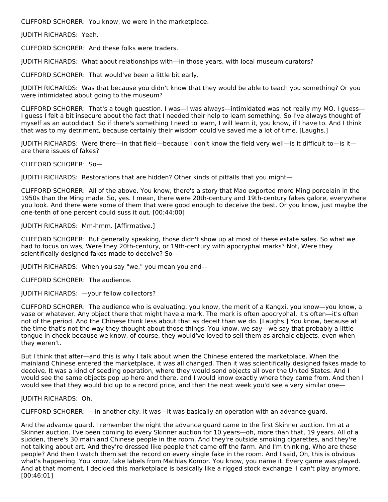CLIFFORD SCHORER: You know, we were in the marketplace.

JUDITH RICHARDS: Yeah.

CLIFFORD SCHORER: And these folks were traders.

JUDITH RICHARDS: What about relationships with—in those years, with local museum curators?

CLIFFORD SCHORER: That would've been a little bit early.

JUDITH RICHARDS: Was that because you didn't know that they would be able to teach you something? Or you were intimidated about going to the museum?

CLIFFORD SCHORER: That's a tough question. I was—I was always—intimidated was not really my MO. I guess— I guess I felt a bit insecure about the fact that I needed their help to learn something. So I've always thought of myself as an autodidact. So if there's something I need to learn, I will learn it, you know, if I have to. And I think that was to my detriment, because certainly their wisdom could've saved me a lot of time. [Laughs.]

JUDITH RICHARDS: Were there—in that field—because I don't know the field very well—is it difficult to—is it are there issues of fakes?

CLIFFORD SCHORER: So—

JUDITH RICHARDS: Restorations that are hidden? Other kinds of pitfalls that you might—

CLIFFORD SCHORER: All of the above. You know, there's a story that Mao exported more Ming porcelain in the 1950s than the Ming made. So, yes. I mean, there were 20th-century and 19th-century fakes galore, everywhere you look. And there were some of them that were good enough to deceive the best. Or you know, just maybe the one-tenth of one percent could suss it out. [00:44:00]

JUDITH RICHARDS: Mm-hmm. [Affirmative.]

CLIFFORD SCHORER: But generally speaking, those didn't show up at most of these estate sales. So what we had to focus on was, Were they 20th-century, or 19th-century with apocryphal marks? Not, Were they scientifically designed fakes made to deceive? So—

JUDITH RICHARDS: When you say "we," you mean you and––

CLIFFORD SCHORER: The audience.

JUDITH RICHARDS: —your fellow collectors?

CLIFFORD SCHORER: The audience who is evaluating, you know, the merit of a Kangxi, you know—you know, a vase or whatever. Any object there that might have a mark. The mark is often apocryphal. It's often—it's often not of the period. And the Chinese think less about that as deceit than we do. [Laughs.] You know, because at the time that's not the way they thought about those things. You know, we say—we say that probably a little tongue in cheek because we know, of course, they would've loved to sell them as archaic objects, even when they weren't.

But I think that after—and this is why I talk about when the Chinese entered the marketplace. When the mainland Chinese entered the marketplace, it was all changed. Then it was scientifically designed fakes made to deceive. It was a kind of seeding operation, where they would send objects all over the United States. And I would see the same objects pop up here and there, and I would know exactly where they came from. And then I would see that they would bid up to a record price, and then the next week you'd see a very similar one—

#### JUDITH RICHARDS: Oh.

CLIFFORD SCHORER: —in another city. It was—it was basically an operation with an advance guard.

And the advance guard, I remember the night the advance guard came to the first Skinner auction. I'm at a Skinner auction. I've been coming to every Skinner auction for 10 years—oh, more than that, 19 years. All of a sudden, there's 30 mainland Chinese people in the room. And they're outside smoking cigarettes, and they're not talking about art. And they're dressed like people that came off the farm. And I'm thinking, Who are these people? And then I watch them set the record on every single fake in the room. And I said, Oh, this is obvious what's happening. You know, fake labels from Mathias Komor. You know, you name it. Every game was played. And at that moment, I decided this marketplace is basically like a rigged stock exchange. I can't play anymore. [00:46:01]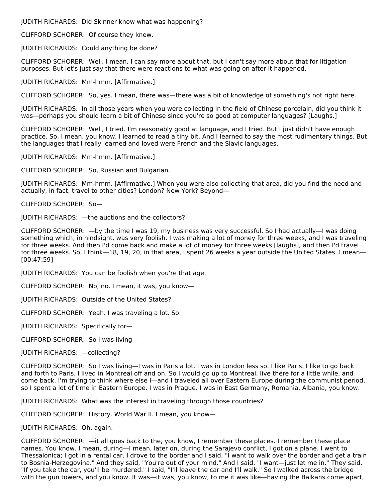JUDITH RICHARDS: Did Skinner know what was happening?

CLIFFORD SCHORER: Of course they knew.

JUDITH RICHARDS: Could anything be done?

CLIFFORD SCHORER: Well, I mean, I can say more about that, but I can't say more about that for litigation purposes. But let's just say that there were reactions to what was going on after it happened.

JUDITH RICHARDS: Mm-hmm. [Affirmative.]

CLIFFORD SCHORER: So, yes. I mean, there was—there was a bit of knowledge of something's not right here.

JUDITH RICHARDS: In all those years when you were collecting in the field of Chinese porcelain, did you think it was—perhaps you should learn a bit of Chinese since you're so good at computer languages? [Laughs.]

CLIFFORD SCHORER: Well, I tried. I'm reasonably good at language, and I tried. But I just didn't have enough practice. So, I mean, you know, I learned to read a tiny bit. And I learned to say the most rudimentary things. But the languages that I really learned and loved were French and the Slavic languages.

JUDITH RICHARDS: Mm-hmm. [Affirmative.]

CLIFFORD SCHORER: So, Russian and Bulgarian.

JUDITH RICHARDS: Mm-hmm. [Affirmative.] When you were also collecting that area, did you find the need and actually, in fact, travel to other cities? London? New York? Beyond—

CLIFFORD SCHORER: So—

JUDITH RICHARDS: —the auctions and the collectors?

CLIFFORD SCHORER: —by the time I was 19, my business was very successful. So I had actually—I was doing something which, in hindsight, was very foolish. I was making a lot of money for three weeks, and I was traveling for three weeks. And then I'd come back and make a lot of money for three weeks [laughs], and then I'd travel for three weeks. So, I think—18, 19, 20, in that area, I spent 26 weeks a year outside the United States. I mean— [00:47:59]

JUDITH RICHARDS: You can be foolish when you're that age.

CLIFFORD SCHORER: No, no. I mean, it was, you know—

JUDITH RICHARDS: Outside of the United States?

CLIFFORD SCHORER: Yeah. I was traveling a lot. So.

JUDITH RICHARDS: Specifically for—

CLIFFORD SCHORER: So I was living—

JUDITH RICHARDS: —collecting?

CLIFFORD SCHORER: So I was living—I was in Paris a lot. I was in London less so. I like Paris. I like to go back and forth to Paris. I lived in Montreal off and on. So I would go up to Montreal, live there for a little while, and come back. I'm trying to think where else I—and I traveled all over Eastern Europe during the communist period, so I spent a lot of time in Eastern Europe. I was in Prague. I was in East Germany, Romania, Albania, you know.

JUDITH RICHARDS: What was the interest in traveling through those countries?

CLIFFORD SCHORER: History. World War II. I mean, you know—

JUDITH RICHARDS: Oh, again.

CLIFFORD SCHORER: —it all goes back to the, you know, I remember these places. I remember these place names. You know. I mean, during—I mean, later on, during the Sarajevo conflict, I got on a plane. I went to Thessalonica; I got in a rental car. I drove to the border and I said, "I want to walk over the border and get a train to Bosnia-Herzegovina." And they said, "You're out of your mind." And I said, "I want—just let me in." They said, "If you take the car, you'll be murdered." I said, "I'll leave the car and I'll walk." So I walked across the bridge with the gun towers, and you know. It was—it was, you know, to me it was like—having the Balkans come apart,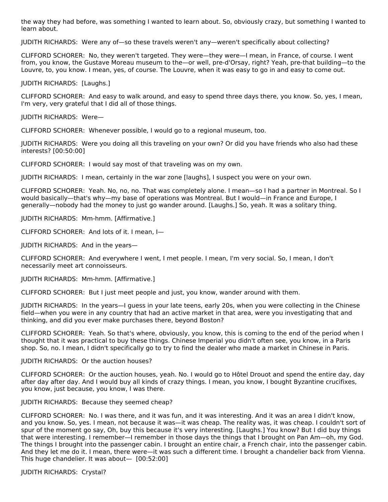the way they had before, was something I wanted to learn about. So, obviously crazy, but something I wanted to learn about.

JUDITH RICHARDS: Were any of—so these travels weren't any—weren't specifically about collecting?

CLIFFORD SCHORER: No, they weren't targeted. They were—they were—I mean, in France, of course. I went from, you know, the Gustave Moreau museum to the—or well, pre-d'Orsay, right? Yeah, pre-that building—to the Louvre, to, you know. I mean, yes, of course. The Louvre, when it was easy to go in and easy to come out.

JUDITH RICHARDS: [Laughs.]

CLIFFORD SCHORER: And easy to walk around, and easy to spend three days there, you know. So, yes, I mean, I'm very, very grateful that I did all of those things.

JUDITH RICHARDS: Were—

CLIFFORD SCHORER: Whenever possible, I would go to a regional museum, too.

JUDITH RICHARDS: Were you doing all this traveling on your own? Or did you have friends who also had these interests? [00:50:00]

CLIFFORD SCHORER: I would say most of that traveling was on my own.

JUDITH RICHARDS: I mean, certainly in the war zone [laughs], I suspect you were on your own.

CLIFFORD SCHORER: Yeah. No, no, no. That was completely alone. I mean—so I had a partner in Montreal. So I would basically—that's why—my base of operations was Montreal. But I would—in France and Europe, I generally—nobody had the money to just go wander around. [Laughs.] So, yeah. It was a solitary thing.

JUDITH RICHARDS: Mm-hmm. [Affirmative.]

CLIFFORD SCHORER: And lots of it. I mean, I—

JUDITH RICHARDS: And in the years—

CLIFFORD SCHORER: And everywhere I went, I met people. I mean, I'm very social. So, I mean, I don't necessarily meet art connoisseurs.

JUDITH RICHARDS: Mm-hmm. [Affirmative.]

CLIFFORD SCHORER: But I just meet people and just, you know, wander around with them.

JUDITH RICHARDS: In the years—I guess in your late teens, early 20s, when you were collecting in the Chinese field—when you were in any country that had an active market in that area, were you investigating that and thinking, and did you ever make purchases there, beyond Boston?

CLIFFORD SCHORER: Yeah. So that's where, obviously, you know, this is coming to the end of the period when I thought that it was practical to buy these things. Chinese Imperial you didn't often see, you know, in a Paris shop. So, no. I mean, I didn't specifically go to try to find the dealer who made a market in Chinese in Paris.

#### JUDITH RICHARDS: Or the auction houses?

CLIFFORD SCHORER: Or the auction houses, yeah. No. I would go to Hôtel Drouot and spend the entire day, day after day after day. And I would buy all kinds of crazy things. I mean, you know, I bought Byzantine crucifixes, you know, just because, you know, I was there.

#### JUDITH RICHARDS: Because they seemed cheap?

CLIFFORD SCHORER: No. I was there, and it was fun, and it was interesting. And it was an area I didn't know, and you know. So, yes. I mean, not because it was—it was cheap. The reality was, it was cheap. I couldn't sort of spur of the moment go say, Oh, buy this because it's very interesting. [Laughs.] You know? But I did buy things that were interesting. I remember—I remember in those days the things that I brought on Pan Am—oh, my God. The things I brought into the passenger cabin. I brought an entire chair, a French chair, into the passenger cabin. And they let me do it. I mean, there were—it was such a different time. I brought a chandelier back from Vienna. This huge chandelier. It was about— [00:52:00]

JUDITH RICHARDS: Crystal?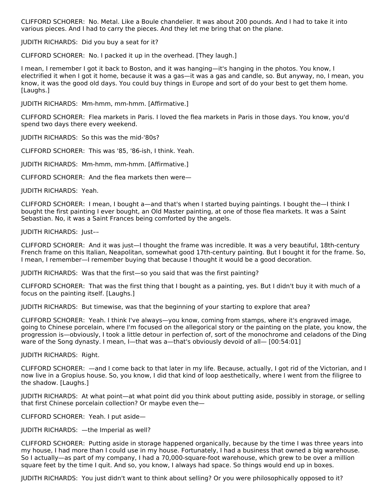CLIFFORD SCHORER: No. Metal. Like a Boule chandelier. It was about 200 pounds. And I had to take it into various pieces. And I had to carry the pieces. And they let me bring that on the plane.

JUDITH RICHARDS: Did you buy a seat for it?

CLIFFORD SCHORER: No. I packed it up in the overhead. [They laugh.]

I mean, I remember I got it back to Boston, and it was hanging—it's hanging in the photos. You know, I electrified it when I got it home, because it was a gas—it was a gas and candle, so. But anyway, no, I mean, you know, it was the good old days. You could buy things in Europe and sort of do your best to get them home. [Laughs.]

JUDITH RICHARDS: Mm-hmm, mm-hmm. [Affirmative.]

CLIFFORD SCHORER: Flea markets in Paris. I loved the flea markets in Paris in those days. You know, you'd spend two days there every weekend.

JUDITH RICHARDS: So this was the mid-'80s?

CLIFFORD SCHORER: This was '85, '86-ish, I think. Yeah.

JUDITH RICHARDS: Mm-hmm, mm-hmm. [Affirmative.]

CLIFFORD SCHORER: And the flea markets then were—

JUDITH RICHARDS: Yeah.

CLIFFORD SCHORER: I mean, I bought a—and that's when I started buying paintings. I bought the—I think I bought the first painting I ever bought, an Old Master painting, at one of those flea markets. It was a Saint Sebastian. No, it was a Saint Frances being comforted by the angels.

JUDITH RICHARDS: Just––

CLIFFORD SCHORER: And it was just—I thought the frame was incredible. It was a very beautiful, 18th-century French frame on this Italian, Neapolitan, somewhat good 17th-century painting. But I bought it for the frame. So, I mean, I remember—I remember buying that because I thought it would be a good decoration.

JUDITH RICHARDS: Was that the first—so you said that was the first painting?

CLIFFORD SCHORER: That was the first thing that I bought as a painting, yes. But I didn't buy it with much of a focus on the painting itself. [Laughs.]

JUDITH RICHARDS: But timewise, was that the beginning of your starting to explore that area?

CLIFFORD SCHORER: Yeah. I think I've always—you know, coming from stamps, where it's engraved image, going to Chinese porcelain, where I'm focused on the allegorical story or the painting on the plate, you know, the progression is—obviously, I took a little detour in perfection of, sort of the monochrome and celadons of the Ding ware of the Song dynasty. I mean, I—that was a—that's obviously devoid of all— [00:54:01]

JUDITH RICHARDS: Right.

CLIFFORD SCHORER: —and I come back to that later in my life. Because, actually, I got rid of the Victorian, and I now live in a Gropius house. So, you know, I did that kind of loop aesthetically, where I went from the filigree to the shadow. [Laughs.]

JUDITH RICHARDS: At what point—at what point did you think about putting aside, possibly in storage, or selling that first Chinese porcelain collection? Or maybe even the—

CLIFFORD SCHORER: Yeah. I put aside—

JUDITH RICHARDS: —the Imperial as well?

CLIFFORD SCHORER: Putting aside in storage happened organically, because by the time I was three years into my house, I had more than I could use in my house. Fortunately, I had a business that owned a big warehouse. So I actually—as part of my company, I had a 70,000-square-foot warehouse, which grew to be over a million square feet by the time I quit. And so, you know, I always had space. So things would end up in boxes.

JUDITH RICHARDS: You just didn't want to think about selling? Or you were philosophically opposed to it?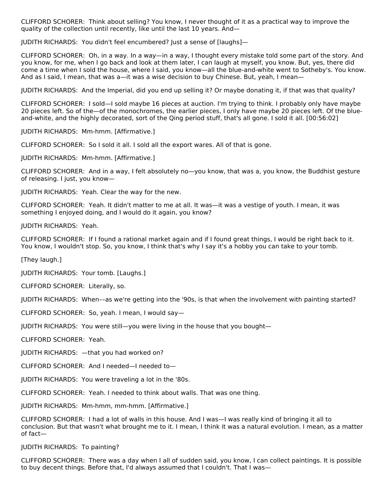CLIFFORD SCHORER: Think about selling? You know, I never thought of it as a practical way to improve the quality of the collection until recently, like until the last 10 years. And—

JUDITH RICHARDS: You didn't feel encumbered? Just a sense of [laughs]—

CLIFFORD SCHORER: Oh, in a way. In a way—in a way, I thought every mistake told some part of the story. And you know, for me, when I go back and look at them later, I can laugh at myself, you know. But, yes, there did come a time when I sold the house, where I said, you know—all the blue-and-white went to Sotheby's. You know. And as I said, I mean, that was a—it was a wise decision to buy Chinese. But, yeah, I mean—

JUDITH RICHARDS: And the Imperial, did you end up selling it? Or maybe donating it, if that was that quality?

CLIFFORD SCHORER: I sold—I sold maybe 16 pieces at auction. I'm trying to think. I probably only have maybe 20 pieces left. So of the—of the monochromes, the earlier pieces, I only have maybe 20 pieces left. Of the blueand-white, and the highly decorated, sort of the Qing period stuff, that's all gone. I sold it all. [00:56:02]

JUDITH RICHARDS: Mm-hmm. [Affirmative.]

CLIFFORD SCHORER: So I sold it all. I sold all the export wares. All of that is gone.

JUDITH RICHARDS: Mm-hmm. [Affirmative.]

CLIFFORD SCHORER: And in a way, I felt absolutely no—you know, that was a, you know, the Buddhist gesture of releasing. I just, you know—

JUDITH RICHARDS: Yeah. Clear the way for the new.

CLIFFORD SCHORER: Yeah. It didn't matter to me at all. It was—it was a vestige of youth. I mean, it was something I enjoyed doing, and I would do it again, you know?

JUDITH RICHARDS: Yeah.

CLIFFORD SCHORER: If I found a rational market again and if I found great things, I would be right back to it. You know, I wouldn't stop. So, you know, I think that's why I say it's a hobby you can take to your tomb.

[They laugh.]

JUDITH RICHARDS: Your tomb. [Laughs.]

CLIFFORD SCHORER: Literally, so.

JUDITH RICHARDS: When––as we're getting into the '90s, is that when the involvement with painting started?

CLIFFORD SCHORER: So, yeah. I mean, I would say—

JUDITH RICHARDS: You were still—you were living in the house that you bought—

CLIFFORD SCHORER: Yeah.

JUDITH RICHARDS: —that you had worked on?

CLIFFORD SCHORER: And I needed—I needed to—

JUDITH RICHARDS: You were traveling a lot in the '80s.

CLIFFORD SCHORER: Yeah. I needed to think about walls. That was one thing.

JUDITH RICHARDS: Mm-hmm, mm-hmm. [Affirmative.]

CLIFFORD SCHORER: I had a lot of walls in this house. And I was—I was really kind of bringing it all to conclusion. But that wasn't what brought me to it. I mean, I think it was a natural evolution. I mean, as a matter of fact—

JUDITH RICHARDS: To painting?

CLIFFORD SCHORER: There was a day when I all of sudden said, you know, I can collect paintings. It is possible to buy decent things. Before that, I'd always assumed that I couldn't. That I was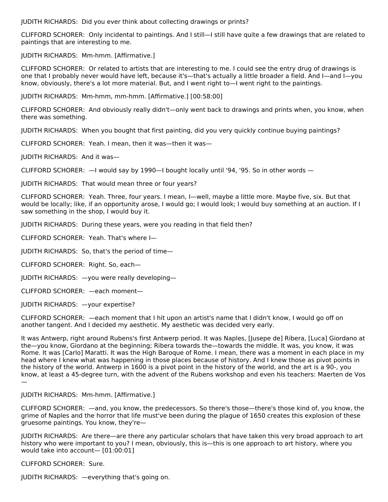JUDITH RICHARDS: Did you ever think about collecting drawings or prints?

CLIFFORD SCHORER: Only incidental to paintings. And I still—I still have quite a few drawings that are related to paintings that are interesting to me.

JUDITH RICHARDS: Mm-hmm. [Affirmative.]

CLIFFORD SCHORER: Or related to artists that are interesting to me. I could see the entry drug of drawings is one that I probably never would have left, because it's—that's actually a little broader a field. And I—and I—you know, obviously, there's a lot more material. But, and I went right to—I went right to the paintings.

JUDITH RICHARDS: Mm-hmm, mm-hmm. [Affirmative.] [00:58:00]

CLIFFORD SCHORER: And obviously really didn't—only went back to drawings and prints when, you know, when there was something.

JUDITH RICHARDS: When you bought that first painting, did you very quickly continue buying paintings?

CLIFFORD SCHORER: Yeah. I mean, then it was—then it was—

JUDITH RICHARDS: And it was—

CLIFFORD SCHORER: —I would say by 1990—I bought locally until '94, '95. So in other words —

JUDITH RICHARDS: That would mean three or four years?

CLIFFORD SCHORER: Yeah. Three, four years. I mean, I—well, maybe a little more. Maybe five, six. But that would be locally; like, if an opportunity arose, I would go; I would look; I would buy something at an auction. If I saw something in the shop, I would buy it.

JUDITH RICHARDS: During these years, were you reading in that field then?

CLIFFORD SCHORER: Yeah. That's where I—

JUDITH RICHARDS: So, that's the period of time—

CLIFFORD SCHORER: Right. So, each—

JUDITH RICHARDS: —you were really developing—

CLIFFORD SCHORER: —each moment—

JUDITH RICHARDS: —your expertise?

CLIFFORD SCHORER: —each moment that I hit upon an artist's name that I didn't know, I would go off on another tangent. And I decided my aesthetic. My aesthetic was decided very early.

It was Antwerp, right around Rubens's first Antwerp period. It was Naples, [Jusepe de] Ribera, [Luca] Giordano at the—you know, Giordano at the beginning; Ribera towards the—towards the middle. It was, you know, it was Rome. It was [Carlo] Maratti. It was the High Baroque of Rome. I mean, there was a moment in each place in my head where I knew what was happening in those places because of history. And I knew those as pivot points in the history of the world. Antwerp in 1600 is a pivot point in the history of the world, and the art is a 90-, you know, at least a 45-degree turn, with the advent of the Rubens workshop and even his teachers: Maerten de Vos —

#### JUDITH RICHARDS: Mm-hmm. [Affirmative.]

CLIFFORD SCHORER: —and, you know, the predecessors. So there's those—there's those kind of, you know, the grime of Naples and the horror that life must've been during the plague of 1650 creates this explosion of these gruesome paintings. You know, they're—

JUDITH RICHARDS: Are there—are there any particular scholars that have taken this very broad approach to art history who were important to you? I mean, obviously, this is—this is one approach to art history, where you would take into account— [01:00:01]

CLIFFORD SCHORER: Sure.

JUDITH RICHARDS: —everything that's going on.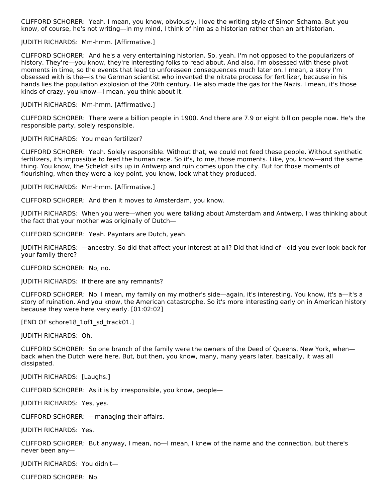CLIFFORD SCHORER: Yeah. I mean, you know, obviously, I love the writing style of Simon Schama. But you know, of course, he's not writing—in my mind, I think of him as a historian rather than an art historian.

#### JUDITH RICHARDS: Mm-hmm. [Affirmative.]

CLIFFORD SCHORER: And he's a very entertaining historian. So, yeah. I'm not opposed to the popularizers of history. They're—you know, they're interesting folks to read about. And also, I'm obsessed with these pivot moments in time, so the events that lead to unforeseen consequences much later on. I mean, a story I'm obsessed with is the—is the German scientist who invented the nitrate process for fertilizer, because in his hands lies the population explosion of the 20th century. He also made the gas for the Nazis. I mean, it's those kinds of crazy, you know—I mean, you think about it.

JUDITH RICHARDS: Mm-hmm. [Affirmative.]

CLIFFORD SCHORER: There were a billion people in 1900. And there are 7.9 or eight billion people now. He's the responsible party, solely responsible.

#### JUDITH RICHARDS: You mean fertilizer?

CLIFFORD SCHORER: Yeah. Solely responsible. Without that, we could not feed these people. Without synthetic fertilizers, it's impossible to feed the human race. So it's, to me, those moments. Like, you know—and the same thing. You know, the Scheldt silts up in Antwerp and ruin comes upon the city. But for those moments of flourishing, when they were a key point, you know, look what they produced.

JUDITH RICHARDS: Mm-hmm. [Affirmative.]

CLIFFORD SCHORER: And then it moves to Amsterdam, you know.

JUDITH RICHARDS: When you were—when you were talking about Amsterdam and Antwerp, I was thinking about the fact that your mother was originally of Dutch—

CLIFFORD SCHORER: Yeah. Payntars are Dutch, yeah.

JUDITH RICHARDS: —ancestry. So did that affect your interest at all? Did that kind of—did you ever look back for your family there?

CLIFFORD SCHORER: No, no.

JUDITH RICHARDS: If there are any remnants?

CLIFFORD SCHORER: No. I mean, my family on my mother's side—again, it's interesting. You know, it's a—it's a story of ruination. And you know, the American catastrophe. So it's more interesting early on in American history because they were here very early. [01:02:02]

[END OF schore18 1of1 sd track01.]

JUDITH RICHARDS: Oh.

CLIFFORD SCHORER: So one branch of the family were the owners of the Deed of Queens, New York, when back when the Dutch were here. But, but then, you know, many, many years later, basically, it was all dissipated.

JUDITH RICHARDS: [Laughs.]

CLIFFORD SCHORER: As it is by irresponsible, you know, people—

JUDITH RICHARDS: Yes, yes.

CLIFFORD SCHORER: —managing their affairs.

JUDITH RICHARDS: Yes.

CLIFFORD SCHORER: But anyway, I mean, no—I mean, I knew of the name and the connection, but there's never been any—

JUDITH RICHARDS: You didn't—

CLIFFORD SCHORER: No.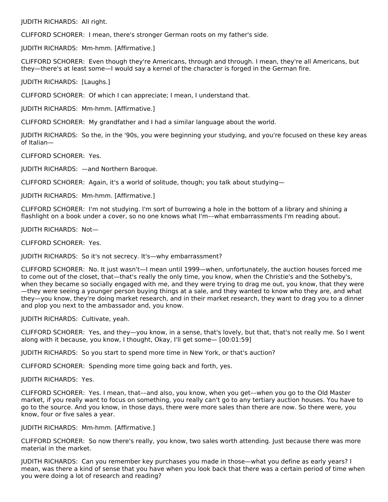JUDITH RICHARDS: All right.

CLIFFORD SCHORER: I mean, there's stronger German roots on my father's side.

JUDITH RICHARDS: Mm-hmm. [Affirmative.]

CLIFFORD SCHORER: Even though they're Americans, through and through. I mean, they're all Americans, but they—there's at least some—I would say a kernel of the character is forged in the German fire.

JUDITH RICHARDS: [Laughs.]

CLIFFORD SCHORER: Of which I can appreciate; I mean, I understand that.

JUDITH RICHARDS: Mm-hmm. [Affirmative.]

CLIFFORD SCHORER: My grandfather and I had a similar language about the world.

JUDITH RICHARDS: So the, in the '90s, you were beginning your studying, and you're focused on these key areas of Italian—

CLIFFORD SCHORER: Yes.

JUDITH RICHARDS: —and Northern Baroque.

CLIFFORD SCHORER: Again, it's a world of solitude, though; you talk about studying—

JUDITH RICHARDS: Mm-hmm. [Affirmative.]

CLIFFORD SCHORER: I'm not studying. I'm sort of burrowing a hole in the bottom of a library and shining a flashlight on a book under a cover, so no one knows what I'm––what embarrassments I'm reading about.

JUDITH RICHARDS: Not—

CLIFFORD SCHORER: Yes.

JUDITH RICHARDS: So it's not secrecy. It's—why embarrassment?

CLIFFORD SCHORER: No. It just wasn't—I mean until 1999—when, unfortunately, the auction houses forced me to come out of the closet, that—that's really the only time, you know, when the Christie's and the Sotheby's, when they became so socially engaged with me, and they were trying to drag me out, you know, that they were —they were seeing a younger person buying things at a sale, and they wanted to know who they are, and what they—you know, they're doing market research, and in their market research, they want to drag you to a dinner and plop you next to the ambassador and, you know.

JUDITH RICHARDS: Cultivate, yeah.

CLIFFORD SCHORER: Yes, and they—you know, in a sense, that's lovely, but that, that's not really me. So I went along with it because, you know, I thought, Okay, I'll get some— [00:01:59]

JUDITH RICHARDS: So you start to spend more time in New York, or that's auction?

CLIFFORD SCHORER: Spending more time going back and forth, yes.

JUDITH RICHARDS: Yes.

CLIFFORD SCHORER: Yes. I mean, that––and also, you know, when you get––when you go to the Old Master market, if you really want to focus on something, you really can't go to any tertiary auction houses. You have to go to the source. And you know, in those days, there were more sales than there are now. So there were, you know, four or five sales a year.

#### JUDITH RICHARDS: Mm-hmm. [Affirmative.]

CLIFFORD SCHORER: So now there's really, you know, two sales worth attending. Just because there was more material in the market.

JUDITH RICHARDS: Can you remember key purchases you made in those—what you define as early years? I mean, was there a kind of sense that you have when you look back that there was a certain period of time when you were doing a lot of research and reading?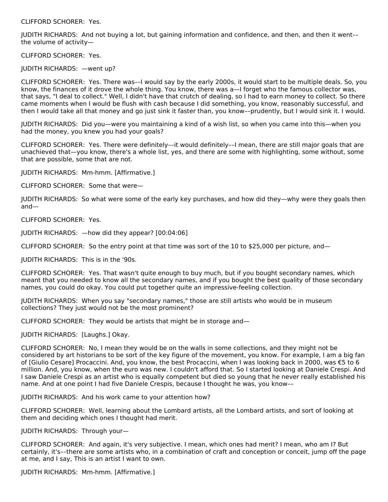CLIFFORD SCHORER: Yes.

JUDITH RICHARDS: And not buying a lot, but gaining information and confidence, and then, and then it went–– the volume of activity—

CLIFFORD SCHORER: Yes.

JUDITH RICHARDS: —went up?

CLIFFORD SCHORER: Yes. There was––I would say by the early 2000s, it would start to be multiple deals. So, you know, the finances of it drove the whole thing. You know, there was a—I forget who the famous collector was, that says, "I deal to collect." Well, I didn't have that crutch of dealing, so I had to earn money to collect. So there came moments when I would be flush with cash because I did something, you know, reasonably successful, and then I would take all that money and go just sink it faster than, you know––prudently, but I would sink it. I would.

JUDITH RICHARDS: Did you—were you maintaining a kind of a wish list, so when you came into this—when you had the money, you knew you had your goals?

CLIFFORD SCHORER: Yes. There were definitely––it would definitely––I mean, there are still major goals that are unachieved that—you know, there's a whole list, yes, and there are some with highlighting, some without, some that are possible, some that are not.

JUDITH RICHARDS: Mm-hmm. [Affirmative.]

CLIFFORD SCHORER: Some that were—

JUDITH RICHARDS: So what were some of the early key purchases, and how did they—why were they goals then and—

CLIFFORD SCHORER: Yes.

JUDITH RICHARDS: —how did they appear? [00:04:06]

CLIFFORD SCHORER: So the entry point at that time was sort of the 10 to \$25,000 per picture, and—

JUDITH RICHARDS: This is in the '90s.

CLIFFORD SCHORER: Yes. That wasn't quite enough to buy much, but if you bought secondary names, which meant that you needed to know all the secondary names, and if you bought the best quality of those secondary names, you could do okay. You could put together quite an impressive-feeling collection.

JUDITH RICHARDS: When you say "secondary names," those are still artists who would be in museum collections? They just would not be the most prominent?

CLIFFORD SCHORER: They would be artists that might be in storage and—

JUDITH RICHARDS: [Laughs.] Okay.

CLIFFORD SCHORER: No, I mean they would be on the walls in some collections, and they might not be considered by art historians to be sort of the key figure of the movement, you know. For example, I am a big fan of [Giulio Cesare] Procaccini. And, you know, the best Procaccini, when I was looking back in 2000, was €5 to 6 million. And, you know, when the euro was new. I couldn't afford that. So I started looking at Daniele Crespi. And I saw Daniele Crespi as an artist who is equally competent but died so young that he never really established his name. And at one point I had five Daniele Crespis, because I thought he was, you know––

JUDITH RICHARDS: And his work came to your attention how?

CLIFFORD SCHORER: Well, learning about the Lombard artists, all the Lombard artists, and sort of looking at them and deciding which ones I thought had merit.

JUDITH RICHARDS: Through your—

CLIFFORD SCHORER: And again, it's very subjective. I mean, which ones had merit? I mean, who am I? But certainly, it's––there are some artists who, in a combination of craft and conception or conceit, jump off the page at me, and I say, This is an artist I want to own.

JUDITH RICHARDS: Mm-hmm. [Affirmative.]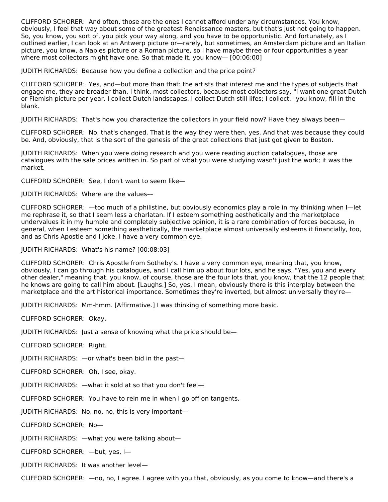CLIFFORD SCHORER: And often, those are the ones I cannot afford under any circumstances. You know, obviously, I feel that way about some of the greatest Renaissance masters, but that's just not going to happen. So, you know, you sort of, you pick your way along, and you have to be opportunistic. And fortunately, as I outlined earlier, I can look at an Antwerp picture or—rarely, but sometimes, an Amsterdam picture and an Italian picture, you know, a Naples picture or a Roman picture, so I have maybe three or four opportunities a year where most collectors might have one. So that made it, you know— [00:06:00]

JUDITH RICHARDS: Because how you define a collection and the price point?

CLIFFORD SCHORER: Yes, and—but more than that: the artists that interest me and the types of subjects that engage me, they are broader than, I think, most collectors, because most collectors say, "I want one great Dutch or Flemish picture per year. I collect Dutch landscapes. I collect Dutch still lifes; I collect," you know, fill in the blank.

JUDITH RICHARDS: That's how you characterize the collectors in your field now? Have they always been—

CLIFFORD SCHORER: No, that's changed. That is the way they were then, yes. And that was because they could be. And, obviously, that is the sort of the genesis of the great collections that just got given to Boston.

JUDITH RICHARDS: When you were doing research and you were reading auction catalogues, those are catalogues with the sale prices written in. So part of what you were studying wasn't just the work; it was the market.

CLIFFORD SCHORER: See, I don't want to seem like—

JUDITH RICHARDS: Where are the values––

CLIFFORD SCHORER: —too much of a philistine, but obviously economics play a role in my thinking when I—let me rephrase it, so that I seem less a charlatan. If I esteem something aesthetically and the marketplace undervalues it in my humble and completely subjective opinion, it is a rare combination of forces because, in general, when I esteem something aesthetically, the marketplace almost universally esteems it financially, too, and as Chris Apostle and I joke, I have a very common eye.

JUDITH RICHARDS: What's his name? [00:08:03]

CLIFFORD SCHORER: Chris Apostle from Sotheby's. I have a very common eye, meaning that, you know, obviously, I can go through his catalogues, and I call him up about four lots, and he says, "Yes, you and every other dealer," meaning that, you know, of course, those are the four lots that, you know, that the 12 people that he knows are going to call him about. [Laughs.] So, yes, I mean, obviously there is this interplay between the marketplace and the art historical importance. Sometimes they're inverted, but almost universally they're—

JUDITH RICHARDS: Mm-hmm. [Affirmative.] I was thinking of something more basic.

CLIFFORD SCHORER: Okay.

JUDITH RICHARDS: Just a sense of knowing what the price should be—

CLIFFORD SCHORER: Right.

JUDITH RICHARDS: —or what's been bid in the past—

CLIFFORD SCHORER: Oh, I see, okay.

JUDITH RICHARDS: —what it sold at so that you don't feel—

CLIFFORD SCHORER: You have to rein me in when I go off on tangents.

JUDITH RICHARDS: No, no, no, this is very important—

CLIFFORD SCHORER: No—

JUDITH RICHARDS: —what you were talking about—

CLIFFORD SCHORER: —but, yes, I—

JUDITH RICHARDS: It was another level—

CLIFFORD SCHORER: —no, no, I agree. I agree with you that, obviously, as you come to know—and there's a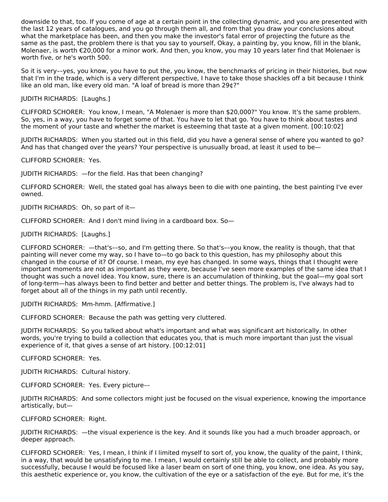downside to that, too. If you come of age at a certain point in the collecting dynamic, and you are presented with the last 12 years of catalogues, and you go through them all, and from that you draw your conclusions about what the marketplace has been, and then you make the investor's fatal error of projecting the future as the same as the past, the problem there is that you say to yourself, Okay, a painting by, you know, fill in the blank, Molenaer, is worth €20,000 for a minor work. And then, you know, you may 10 years later find that Molenaer is worth five, or he's worth 500.

So it is very––yes, you know, you have to put the, you know, the benchmarks of pricing in their histories, but now that I'm in the trade, which is a very different perspective, I have to take those shackles off a bit because I think like an old man, like every old man. "A loaf of bread is more than 29¢?"

JUDITH RICHARDS: [Laughs.]

CLIFFORD SCHORER: You know, I mean, "A Molenaer is more than \$20,000?" You know. It's the same problem. So, yes, in a way, you have to forget some of that. You have to let that go. You have to think about tastes and the moment of your taste and whether the market is esteeming that taste at a given moment. [00:10:02]

JUDITH RICHARDS: When you started out in this field, did you have a general sense of where you wanted to go? And has that changed over the years? Your perspective is unusually broad, at least it used to be—

CLIFFORD SCHORER: Yes.

JUDITH RICHARDS: —for the field. Has that been changing?

CLIFFORD SCHORER: Well, the stated goal has always been to die with one painting, the best painting I've ever owned.

JUDITH RICHARDS: Oh, so part of it—

CLIFFORD SCHORER: And I don't mind living in a cardboard box. So—

JUDITH RICHARDS: [Laughs.]

CLIFFORD SCHORER: —that's––so, and I'm getting there. So that's––you know, the reality is though, that that painting will never come my way, so I have to—to go back to this question, has my philosophy about this changed in the course of it? Of course. I mean, my eye has changed. In some ways, things that I thought were important moments are not as important as they were, because I've seen more examples of the same idea that I thought was such a novel idea. You know, sure, there is an accumulation of thinking, but the goal—my goal sort of long-term—has always been to find better and better and better things. The problem is, I've always had to forget about all of the things in my path until recently.

JUDITH RICHARDS: Mm-hmm. [Affirmative.]

CLIFFORD SCHORER: Because the path was getting very cluttered.

JUDITH RICHARDS: So you talked about what's important and what was significant art historically. In other words, you're trying to build a collection that educates you, that is much more important than just the visual experience of it, that gives a sense of art history. [00:12:01]

CLIFFORD SCHORER: Yes.

JUDITH RICHARDS: Cultural history.

CLIFFORD SCHORER: Yes. Every picture––

JUDITH RICHARDS: And some collectors might just be focused on the visual experience, knowing the importance artistically, but—

CLIFFORD SCHORER: Right.

JUDITH RICHARDS: —the visual experience is the key. And it sounds like you had a much broader approach, or deeper approach.

CLIFFORD SCHORER: Yes, I mean, I think if I limited myself to sort of, you know, the quality of the paint, I think, in a way, that would be unsatisfying to me. I mean, I would certainly still be able to collect, and probably more successfully, because I would be focused like a laser beam on sort of one thing, you know, one idea. As you say, this aesthetic experience or, you know, the cultivation of the eye or a satisfaction of the eye. But for me, it's the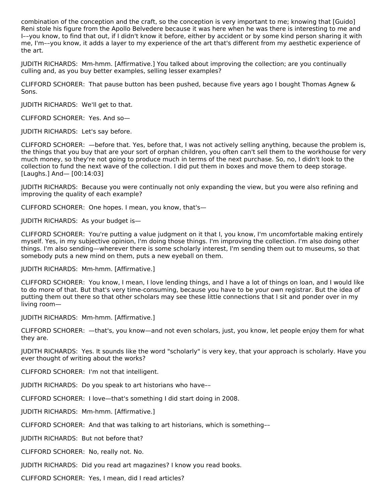combination of the conception and the craft, so the conception is very important to me; knowing that [Guido] Reni stole his figure from the Apollo Belvedere because it was here when he was there is interesting to me and I––you know, to find that out, if I didn't know it before, either by accident or by some kind person sharing it with me, I'm––you know, it adds a layer to my experience of the art that's different from my aesthetic experience of the art.

JUDITH RICHARDS: Mm-hmm. [Affirmative.] You talked about improving the collection; are you continually culling and, as you buy better examples, selling lesser examples?

CLIFFORD SCHORER: That pause button has been pushed, because five years ago I bought Thomas Agnew & Sons.

JUDITH RICHARDS: We'll get to that.

CLIFFORD SCHORER: Yes. And so—

JUDITH RICHARDS: Let's say before.

CLIFFORD SCHORER: —before that. Yes, before that, I was not actively selling anything, because the problem is, the things that you buy that are your sort of orphan children, you often can't sell them to the workhouse for very much money, so they're not going to produce much in terms of the next purchase. So, no, I didn't look to the collection to fund the next wave of the collection. I did put them in boxes and move them to deep storage. [Laughs.] And— [00:14:03]

JUDITH RICHARDS: Because you were continually not only expanding the view, but you were also refining and improving the quality of each example?

CLIFFORD SCHORER: One hopes. I mean, you know, that's—

JUDITH RICHARDS: As your budget is—

CLIFFORD SCHORER: You're putting a value judgment on it that I, you know, I'm uncomfortable making entirely myself. Yes, in my subjective opinion, I'm doing those things. I'm improving the collection. I'm also doing other things. I'm also sending—wherever there is some scholarly interest, I'm sending them out to museums, so that somebody puts a new mind on them, puts a new eyeball on them.

JUDITH RICHARDS: Mm-hmm. [Affirmative.]

CLIFFORD SCHORER: You know, I mean, I love lending things, and I have a lot of things on loan, and I would like to do more of that. But that's very time-consuming, because you have to be your own registrar. But the idea of putting them out there so that other scholars may see these little connections that I sit and ponder over in my living room—

JUDITH RICHARDS: Mm-hmm. [Affirmative.]

CLIFFORD SCHORER: —that's, you know—and not even scholars, just, you know, let people enjoy them for what they are.

JUDITH RICHARDS: Yes. It sounds like the word "scholarly" is very key, that your approach is scholarly. Have you ever thought of writing about the works?

CLIFFORD SCHORER: I'm not that intelligent.

JUDITH RICHARDS: Do you speak to art historians who have––

CLIFFORD SCHORER: I love—that's something I did start doing in 2008.

JUDITH RICHARDS: Mm-hmm. [Affirmative.]

CLIFFORD SCHORER: And that was talking to art historians, which is something––

JUDITH RICHARDS: But not before that?

CLIFFORD SCHORER: No, really not. No.

JUDITH RICHARDS: Did you read art magazines? I know you read books.

CLIFFORD SCHORER: Yes, I mean, did I read articles?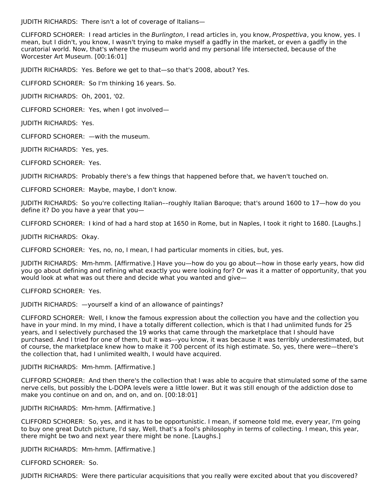JUDITH RICHARDS: There isn't a lot of coverage of Italians—

CLIFFORD SCHORER: I read articles in the Burlington, I read articles in, you know, Prospettiva, you know, yes. I mean, but I didn't, you know, I wasn't trying to make myself a gadfly in the market, or even a gadfly in the curatorial world. Now, that's where the museum world and my personal life intersected, because of the Worcester Art Museum. [00:16:01]

JUDITH RICHARDS: Yes. Before we get to that—so that's 2008, about? Yes.

CLIFFORD SCHORER: So I'm thinking 16 years. So.

JUDITH RICHARDS: Oh, 2001, '02.

CLIFFORD SCHORER: Yes, when I got involved—

JUDITH RICHARDS: Yes.

CLIFFORD SCHORER: —with the museum.

JUDITH RICHARDS: Yes, yes.

CLIFFORD SCHORER: Yes.

JUDITH RICHARDS: Probably there's a few things that happened before that, we haven't touched on.

CLIFFORD SCHORER: Maybe, maybe, I don't know.

JUDITH RICHARDS: So you're collecting Italian––roughly Italian Baroque; that's around 1600 to 17—how do you define it? Do you have a year that you—

CLIFFORD SCHORER: I kind of had a hard stop at 1650 in Rome, but in Naples, I took it right to 1680. [Laughs.]

JUDITH RICHARDS: Okay.

CLIFFORD SCHORER: Yes, no, no, I mean, I had particular moments in cities, but, yes.

JUDITH RICHARDS: Mm-hmm. [Affirmative.] Have you—how do you go about—how in those early years, how did you go about defining and refining what exactly you were looking for? Or was it a matter of opportunity, that you would look at what was out there and decide what you wanted and give—

CLIFFORD SCHORER: Yes.

JUDITH RICHARDS: —yourself a kind of an allowance of paintings?

CLIFFORD SCHORER: Well, I know the famous expression about the collection you have and the collection you have in your mind. In my mind, I have a totally different collection, which is that I had unlimited funds for 25 years, and I selectively purchased the 19 works that came through the marketplace that I should have purchased. And I tried for one of them, but it was––you know, it was because it was terribly underestimated, but of course, the marketplace knew how to make it 700 percent of its high estimate. So, yes, there were—there's the collection that, had I unlimited wealth, I would have acquired.

JUDITH RICHARDS: Mm-hmm. [Affirmative.]

CLIFFORD SCHORER: And then there's the collection that I was able to acquire that stimulated some of the same nerve cells, but possibly the L-DOPA levels were a little lower. But it was still enough of the addiction dose to make you continue on and on, and on, and on. [00:18:01]

JUDITH RICHARDS: Mm-hmm. [Affirmative.]

CLIFFORD SCHORER: So, yes, and it has to be opportunistic. I mean, if someone told me, every year, I'm going to buy one great Dutch picture, I'd say, Well, that's a fool's philosophy in terms of collecting. I mean, this year, there might be two and next year there might be none. [Laughs.]

JUDITH RICHARDS: Mm-hmm. [Affirmative.]

CLIFFORD SCHORER: So.

JUDITH RICHARDS: Were there particular acquisitions that you really were excited about that you discovered?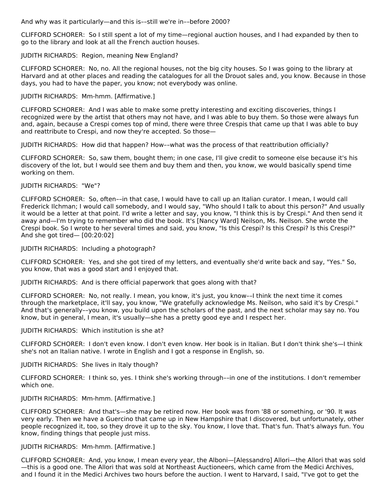And why was it particularly—and this is––still we're in––before 2000?

CLIFFORD SCHORER: So I still spent a lot of my time—regional auction houses, and I had expanded by then to go to the library and look at all the French auction houses.

JUDITH RICHARDS: Region, meaning New England?

CLIFFORD SCHORER: No, no. All the regional houses, not the big city houses. So I was going to the library at Harvard and at other places and reading the catalogues for all the Drouot sales and, you know. Because in those days, you had to have the paper, you know; not everybody was online.

JUDITH RICHARDS: Mm-hmm. [Affirmative.]

CLIFFORD SCHORER: And I was able to make some pretty interesting and exciting discoveries, things I recognized were by the artist that others may not have, and I was able to buy them. So those were always fun and, again, because a Crespi comes top of mind, there were three Crespis that came up that I was able to buy and reattribute to Crespi, and now they're accepted. So those—

JUDITH RICHARDS: How did that happen? How––what was the process of that reattribution officially?

CLIFFORD SCHORER: So, saw them, bought them; in one case, I'll give credit to someone else because it's his discovery of the lot, but I would see them and buy them and then, you know, we would basically spend time working on them.

JUDITH RICHARDS: "We"?

CLIFFORD SCHORER: So, often––in that case, I would have to call up an Italian curator. I mean, I would call Frederick Ilchman; I would call somebody, and I would say, "Who should I talk to about this person?" And usually it would be a letter at that point. I'd write a letter and say, you know, "I think this is by Crespi." And then send it away and—I'm trying to remember who did the book. It's [Nancy Ward] Neilson, Ms. Neilson. She wrote the Crespi book. So I wrote to her several times and said, you know, "Is this Crespi? Is this Crespi? Is this Crespi?" And she got tired— [00:20:02]

JUDITH RICHARDS: Including a photograph?

CLIFFORD SCHORER: Yes, and she got tired of my letters, and eventually she'd write back and say, "Yes." So, you know, that was a good start and I enjoyed that.

JUDITH RICHARDS: And is there official paperwork that goes along with that?

CLIFFORD SCHORER: No, not really. I mean, you know, it's just, you know––I think the next time it comes through the marketplace, it'll say, you know, "We gratefully acknowledge Ms. Neilson, who said it's by Crespi." And that's generally––you know, you build upon the scholars of the past, and the next scholar may say no. You know, but in general, I mean, it's usually—she has a pretty good eye and I respect her.

JUDITH RICHARDS: Which institution is she at?

CLIFFORD SCHORER: I don't even know. I don't even know. Her book is in Italian. But I don't think she's—I think she's not an Italian native. I wrote in English and I got a response in English, so.

JUDITH RICHARDS: She lives in Italy though?

CLIFFORD SCHORER: I think so, yes. I think she's working through––in one of the institutions. I don't remember which one.

JUDITH RICHARDS: Mm-hmm. [Affirmative.]

CLIFFORD SCHORER: And that's—she may be retired now. Her book was from '88 or something, or '90. It was very early. Then we have a Guercino that came up in New Hampshire that I discovered, but unfortunately, other people recognized it, too, so they drove it up to the sky. You know, I love that. That's fun. That's always fun. You know, finding things that people just miss.

#### JUDITH RICHARDS: Mm-hmm. [Affirmative.]

CLIFFORD SCHORER: And, you know, I mean every year, the Alboni—[Alessandro] Allori—the Allori that was sold —this is a good one. The Allori that was sold at Northeast Auctioneers, which came from the Medici Archives, and I found it in the Medici Archives two hours before the auction. I went to Harvard, I said, "I've got to get the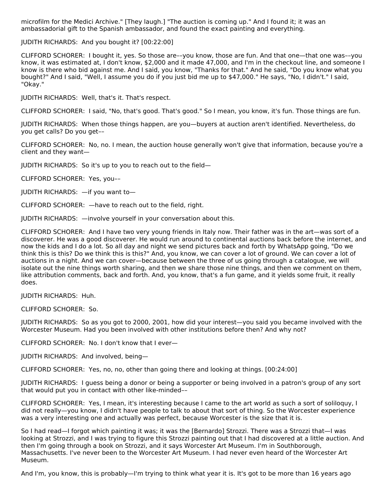microfilm for the Medici Archive." [They laugh.] "The auction is coming up." And I found it; it was an ambassadorial gift to the Spanish ambassador, and found the exact painting and everything.

JUDITH RICHARDS: And you bought it? [00:22:00]

CLIFFORD SCHORER: I bought it, yes. So those are––you know, those are fun. And that one—that one was––you know, it was estimated at, I don't know, \$2,000 and it made 47,000, and I'm in the checkout line, and someone I know is there who bid against me. And I said, you know, "Thanks for that." And he said, "Do you know what you bought?" And I said, "Well, I assume you do if you just bid me up to \$47,000." He says, "No, I didn't." I said, "Okay."

JUDITH RICHARDS: Well, that's it. That's respect.

CLIFFORD SCHORER: I said, "No, that's good. That's good." So I mean, you know, it's fun. Those things are fun.

JUDITH RICHARDS: When those things happen, are you—buyers at auction aren't identified. Nevertheless, do you get calls? Do you get––

CLIFFORD SCHORER: No, no. I mean, the auction house generally won't give that information, because you're a client and they want—

JUDITH RICHARDS: So it's up to you to reach out to the field—

CLIFFORD SCHORER: Yes, you––

JUDITH RICHARDS: —if you want to—

CLIFFORD SCHORER: —have to reach out to the field, right.

JUDITH RICHARDS: —involve yourself in your conversation about this.

CLIFFORD SCHORER: And I have two very young friends in Italy now. Their father was in the art—was sort of a discoverer. He was a good discoverer. He would run around to continental auctions back before the internet, and now the kids and I do a lot. So all day and night we send pictures back and forth by WhatsApp going, "Do we think this is this? Do we think this is this?" And, you know, we can cover a lot of ground. We can cover a lot of auctions in a night. And we can cover—because between the three of us going through a catalogue, we will isolate out the nine things worth sharing, and then we share those nine things, and then we comment on them, like attribution comments, back and forth. And, you know, that's a fun game, and it yields some fruit, it really does.

JUDITH RICHARDS: Huh.

CLIFFORD SCHORER: So.

JUDITH RICHARDS: So as you got to 2000, 2001, how did your interest—you said you became involved with the Worcester Museum. Had you been involved with other institutions before then? And why not?

CLIFFORD SCHORER: No. I don't know that I ever—

JUDITH RICHARDS: And involved, being—

CLIFFORD SCHORER: Yes, no, no, other than going there and looking at things. [00:24:00]

JUDITH RICHARDS: I guess being a donor or being a supporter or being involved in a patron's group of any sort that would put you in contact with other like-minded––

CLIFFORD SCHORER: Yes, I mean, it's interesting because I came to the art world as such a sort of soliloquy, I did not really—you know, I didn't have people to talk to about that sort of thing. So the Worcester experience was a very interesting one and actually was perfect, because Worcester is the size that it is.

So I had read—I forgot which painting it was; it was the [Bernardo] Strozzi. There was a Strozzi that—I was looking at Strozzi, and I was trying to figure this Strozzi painting out that I had discovered at a little auction. And then I'm going through a book on Strozzi, and it says Worcester Art Museum. I'm in Southborough, Massachusetts. I've never been to the Worcester Art Museum. I had never even heard of the Worcester Art Museum.

And I'm, you know, this is probably—I'm trying to think what year it is. It's got to be more than 16 years ago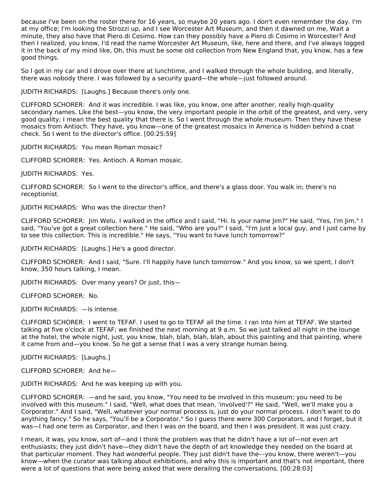because I've been on the roster there for 16 years, so maybe 20 years ago. I don't even remember the day. I'm at my office; I'm looking the Strozzi up, and I see Worcester Art Museum, and then it dawned on me, Wait a minute, they also have that Piero di Cosimo. How can they possibly have a Piero di Cosimo in Worcester? And then I realized, you know, I'd read the name Worcester Art Museum, like, here and there, and I've always logged it in the back of my mind like, Oh, this must be some old collection from New England that, you know, has a few good things.

So I got in my car and I drove over there at lunchtime, and I walked through the whole building, and literally, there was nobody there. I was followed by a security guard—the whole—just followed around.

JUDITH RICHARDS: [Laughs.] Because there's only one.

CLIFFORD SCHORER: And it was incredible. I was like, you know, one after another, really high-quality secondary names. Like the best—you know, the very important people in the orbit of the greatest, and very, very good quality; I mean the best quality that there is. So I went through the whole museum. Then they have these mosaics from Antioch. They have, you know—one of the greatest mosaics in America is hidden behind a coat check. So I went to the director's office. [00:25:59]

JUDITH RICHARDS: You mean Roman mosaic?

CLIFFORD SCHORER: Yes. Antioch. A Roman mosaic.

JUDITH RICHARDS: Yes.

CLIFFORD SCHORER: So I went to the director's office, and there's a glass door. You walk in; there's no receptionist.

JUDITH RICHARDS: Who was the director then?

CLIFFORD SCHORER: Jim Welu. I walked in the office and I said, "Hi. Is your name Jim?" He said, "Yes, I'm Jim." I said, "You've got a great collection here." He said, "Who are you?" I said, "I'm just a local guy, and I just came by to see this collection. This is incredible." He says, "You want to have lunch tomorrow?"

JUDITH RICHARDS: [Laughs.] He's a good director.

CLIFFORD SCHORER: And I said, "Sure. I'll happily have lunch tomorrow." And you know, so we spent, I don't know, 350 hours talking, I mean.

JUDITH RICHARDS: Over many years? Or just, this—

CLIFFORD SCHORER: No.

JUDITH RICHARDS: —is intense.

CLIFFORD SCHORER: I went to TEFAF. I used to go to TEFAF all the time. I ran into him at TEFAF. We started talking at five o'clock at TEFAF; we finished the next morning at 9 a.m. So we just talked all night in the lounge at the hotel, the whole night, just, you know, blah, blah, blah, blah, about this painting and that painting, where it came from and—you know. So he got a sense that I was a very strange human being.

JUDITH RICHARDS: [Laughs.]

CLIFFORD SCHORER: And he—

JUDITH RICHARDS: And he was keeping up with you.

CLIFFORD SCHORER: —and he said, you know, "You need to be involved in this museum; you need to be involved with this museum." I said, "Well, what does that mean, 'involved'?" He said, "Well, we'll make you a Corporator." And I said, "Well, whatever your normal process is, just do your normal process. I don't want to do anything fancy." So he says, "You'll be a Corporator." So I guess there were 300 Corporators, and I forget, but it was—I had one term as Corporator, and then I was on the board, and then I was president. It was just crazy.

I mean, it was, you know, sort of—and I think the problem was that he didn't have a lot of—not even art enthusiasts; they just didn't have—they didn't have the depth of art knowledge they needed on the board at that particular moment. They had wonderful people. They just didn't have the––you know, there weren't—you know—when the curator was talking about exhibitions, and why this is important and that's not important, there were a lot of questions that were being asked that were derailing the conversations. [00:28:03]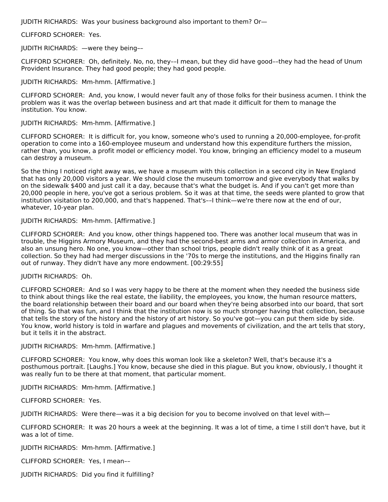JUDITH RICHARDS: Was your business background also important to them? Or—

#### CLIFFORD SCHORER: Yes.

#### JUDITH RICHARDS: —were they being––

CLIFFORD SCHORER: Oh, definitely. No, no, they––I mean, but they did have good––they had the head of Unum Provident Insurance. They had good people; they had good people.

#### JUDITH RICHARDS: Mm-hmm. [Affirmative.]

CLIFFORD SCHORER: And, you know, I would never fault any of those folks for their business acumen. I think the problem was it was the overlap between business and art that made it difficult for them to manage the institution. You know.

#### JUDITH RICHARDS: Mm-hmm. [Affirmative.]

CLIFFORD SCHORER: It is difficult for, you know, someone who's used to running a 20,000-employee, for-profit operation to come into a 160-employee museum and understand how this expenditure furthers the mission, rather than, you know, a profit model or efficiency model. You know, bringing an efficiency model to a museum can destroy a museum.

So the thing I noticed right away was, we have a museum with this collection in a second city in New England that has only 20,000 visitors a year. We should close the museum tomorrow and give everybody that walks by on the sidewalk \$400 and just call it a day, because that's what the budget is. And if you can't get more than 20,000 people in here, you've got a serious problem. So it was at that time, the seeds were planted to grow that institution visitation to 200,000, and that's happened. That's––I think—we're there now at the end of our, whatever, 10-year plan.

#### JUDITH RICHARDS: Mm-hmm. [Affirmative.]

CLIFFORD SCHORER: And you know, other things happened too. There was another local museum that was in trouble, the Higgins Armory Museum, and they had the second-best arms and armor collection in America, and also an unsung hero. No one, you know—other than school trips, people didn't really think of it as a great collection. So they had had merger discussions in the '70s to merge the institutions, and the Higgins finally ran out of runway. They didn't have any more endowment. [00:29:55]

#### JUDITH RICHARDS: Oh.

CLIFFORD SCHORER: And so I was very happy to be there at the moment when they needed the business side to think about things like the real estate, the liability, the employees, you know, the human resource matters, the board relationship between their board and our board when they're being absorbed into our board, that sort of thing. So that was fun, and I think that the institution now is so much stronger having that collection, because that tells the story of the history and the history of art history. So you've got—you can put them side by side. You know, world history is told in warfare and plagues and movements of civilization, and the art tells that story, but it tells it in the abstract.

#### JUDITH RICHARDS: Mm-hmm. [Affirmative.]

CLIFFORD SCHORER: You know, why does this woman look like a skeleton? Well, that's because it's a posthumous portrait. [Laughs.] You know, because she died in this plague. But you know, obviously, I thought it was really fun to be there at that moment, that particular moment.

JUDITH RICHARDS: Mm-hmm. [Affirmative.]

#### CLIFFORD SCHORER: Yes.

JUDITH RICHARDS: Were there—was it a big decision for you to become involved on that level with—

CLIFFORD SCHORER: It was 20 hours a week at the beginning. It was a lot of time, a time I still don't have, but it was a lot of time.

JUDITH RICHARDS: Mm-hmm. [Affirmative.]

CLIFFORD SCHORER: Yes, I mean––

JUDITH RICHARDS: Did you find it fulfilling?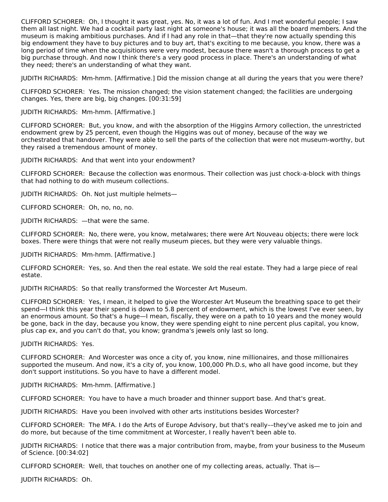CLIFFORD SCHORER: Oh, I thought it was great, yes. No, it was a lot of fun. And I met wonderful people; I saw them all last night. We had a cocktail party last night at someone's house; it was all the board members. And the museum is making ambitious purchases. And if I had any role in that—that they're now actually spending this big endowment they have to buy pictures and to buy art, that's exciting to me because, you know, there was a long period of time when the acquisitions were very modest, because there wasn't a thorough process to get a big purchase through. And now I think there's a very good process in place. There's an understanding of what they need; there's an understanding of what they want.

JUDITH RICHARDS: Mm-hmm. [Affirmative.] Did the mission change at all during the years that you were there?

CLIFFORD SCHORER: Yes. The mission changed; the vision statement changed; the facilities are undergoing changes. Yes, there are big, big changes. [00:31:59]

JUDITH RICHARDS: Mm-hmm. [Affirmative.]

CLIFFORD SCHORER: But, you know, and with the absorption of the Higgins Armory collection, the unrestricted endowment grew by 25 percent, even though the Higgins was out of money, because of the way we orchestrated that handover. They were able to sell the parts of the collection that were not museum-worthy, but they raised a tremendous amount of money.

JUDITH RICHARDS: And that went into your endowment?

CLIFFORD SCHORER: Because the collection was enormous. Their collection was just chock-a-block with things that had nothing to do with museum collections.

JUDITH RICHARDS: Oh. Not just multiple helmets—

CLIFFORD SCHORER: Oh, no, no, no.

JUDITH RICHARDS: —that were the same.

CLIFFORD SCHORER: No, there were, you know, metalwares; there were Art Nouveau objects; there were lock boxes. There were things that were not really museum pieces, but they were very valuable things.

JUDITH RICHARDS: Mm-hmm. [Affirmative.]

CLIFFORD SCHORER: Yes, so. And then the real estate. We sold the real estate. They had a large piece of real estate.

JUDITH RICHARDS: So that really transformed the Worcester Art Museum.

CLIFFORD SCHORER: Yes, I mean, it helped to give the Worcester Art Museum the breathing space to get their spend—I think this year their spend is down to 5.8 percent of endowment, which is the lowest I've ever seen, by an enormous amount. So that's a huge—I mean, fiscally, they were on a path to 10 years and the money would be gone, back in the day, because you know, they were spending eight to nine percent plus capital, you know, plus cap ex, and you can't do that, you know; grandma's jewels only last so long.

JUDITH RICHARDS: Yes.

CLIFFORD SCHORER: And Worcester was once a city of, you know, nine millionaires, and those millionaires supported the museum. And now, it's a city of, you know, 100,000 Ph.D.s, who all have good income, but they don't support institutions. So you have to have a different model.

JUDITH RICHARDS: Mm-hmm. [Affirmative.]

CLIFFORD SCHORER: You have to have a much broader and thinner support base. And that's great.

JUDITH RICHARDS: Have you been involved with other arts institutions besides Worcester?

CLIFFORD SCHORER: The MFA. I do the Arts of Europe Advisory, but that's really––they've asked me to join and do more, but because of the time commitment at Worcester, I really haven't been able to.

JUDITH RICHARDS: I notice that there was a major contribution from, maybe, from your business to the Museum of Science. [00:34:02]

CLIFFORD SCHORER: Well, that touches on another one of my collecting areas, actually. That is—

JUDITH RICHARDS: Oh.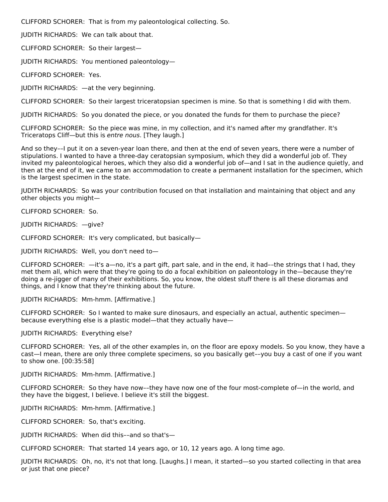CLIFFORD SCHORER: That is from my paleontological collecting. So.

JUDITH RICHARDS: We can talk about that.

CLIFFORD SCHORER: So their largest—

JUDITH RICHARDS: You mentioned paleontology—

CLIFFORD SCHORER: Yes.

JUDITH RICHARDS: —at the very beginning.

CLIFFORD SCHORER: So their largest triceratopsian specimen is mine. So that is something I did with them.

JUDITH RICHARDS: So you donated the piece, or you donated the funds for them to purchase the piece?

CLIFFORD SCHORER: So the piece was mine, in my collection, and it's named after my grandfather. It's Triceratops Cliff—but this is entre nous. [They laugh.]

And so they––I put it on a seven-year loan there, and then at the end of seven years, there were a number of stipulations. I wanted to have a three-day ceratopsian symposium, which they did a wonderful job of. They invited my paleontological heroes, which they also did a wonderful job of—and I sat in the audience quietly, and then at the end of it, we came to an accommodation to create a permanent installation for the specimen, which is the largest specimen in the state.

JUDITH RICHARDS: So was your contribution focused on that installation and maintaining that object and any other objects you might—

CLIFFORD SCHORER: So.

JUDITH RICHARDS: —give?

CLIFFORD SCHORER: It's very complicated, but basically—

JUDITH RICHARDS: Well, you don't need to—

CLIFFORD SCHORER: —it's a—no, it's a part gift, part sale, and in the end, it had––the strings that I had, they met them all, which were that they're going to do a focal exhibition on paleontology in the—because they're doing a re-jigger of many of their exhibitions. So, you know, the oldest stuff there is all these dioramas and things, and I know that they're thinking about the future.

JUDITH RICHARDS: Mm-hmm. [Affirmative.]

CLIFFORD SCHORER: So I wanted to make sure dinosaurs, and especially an actual, authentic specimen because everything else is a plastic model—that they actually have—

JUDITH RICHARDS: Everything else?

CLIFFORD SCHORER: Yes, all of the other examples in, on the floor are epoxy models. So you know, they have a cast—I mean, there are only three complete specimens, so you basically get––you buy a cast of one if you want to show one. [00:35:58]

JUDITH RICHARDS: Mm-hmm. [Affirmative.]

CLIFFORD SCHORER: So they have now––they have now one of the four most-complete of—in the world, and they have the biggest, I believe. I believe it's still the biggest.

JUDITH RICHARDS: Mm-hmm. [Affirmative.]

CLIFFORD SCHORER: So, that's exciting.

JUDITH RICHARDS: When did this––and so that's—

CLIFFORD SCHORER: That started 14 years ago, or 10, 12 years ago. A long time ago.

JUDITH RICHARDS: Oh, no, it's not that long. [Laughs.] I mean, it started—so you started collecting in that area or just that one piece?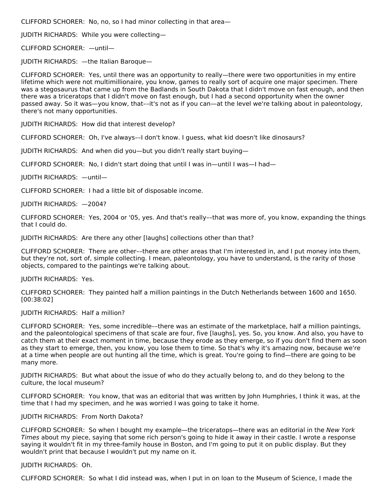CLIFFORD SCHORER: No, no, so I had minor collecting in that area—

JUDITH RICHARDS: While you were collecting—

CLIFFORD SCHORER: —until—

JUDITH RICHARDS: —the Italian Baroque—

CLIFFORD SCHORER: Yes, until there was an opportunity to really—there were two opportunities in my entire lifetime which were not multimillionaire, you know, games to really sort of acquire one major specimen. There was a stegosaurus that came up from the Badlands in South Dakota that I didn't move on fast enough, and then there was a triceratops that I didn't move on fast enough, but I had a second opportunity when the owner passed away. So it was—you know, that––it's not as if you can—at the level we're talking about in paleontology, there's not many opportunities.

JUDITH RICHARDS: How did that interest develop?

CLIFFORD SCHORER: Oh, I've always––I don't know. I guess, what kid doesn't like dinosaurs?

JUDITH RICHARDS: And when did you—but you didn't really start buying—

CLIFFORD SCHORER: No, I didn't start doing that until I was in—until I was—I had—

JUDITH RICHARDS: —until—

CLIFFORD SCHORER: I had a little bit of disposable income.

JUDITH RICHARDS: —2004?

CLIFFORD SCHORER: Yes, 2004 or '05, yes. And that's really––that was more of, you know, expanding the things that I could do.

JUDITH RICHARDS: Are there any other [laughs] collections other than that?

CLIFFORD SCHORER: There are other––there are other areas that I'm interested in, and I put money into them, but they're not, sort of, simple collecting. I mean, paleontology, you have to understand, is the rarity of those objects, compared to the paintings we're talking about.

JUDITH RICHARDS: Yes.

CLIFFORD SCHORER: They painted half a million paintings in the Dutch Netherlands between 1600 and 1650. [00:38:02]

JUDITH RICHARDS: Half a million?

CLIFFORD SCHORER: Yes, some incredible––there was an estimate of the marketplace, half a million paintings, and the paleontological specimens of that scale are four, five [laughs], yes. So, you know. And also, you have to catch them at their exact moment in time, because they erode as they emerge, so if you don't find them as soon as they start to emerge, then, you know, you lose them to time. So that's why it's amazing now, because we're at a time when people are out hunting all the time, which is great. You're going to find—there are going to be many more.

JUDITH RICHARDS: But what about the issue of who do they actually belong to, and do they belong to the culture, the local museum?

CLIFFORD SCHORER: You know, that was an editorial that was written by John Humphries, I think it was, at the time that I had my specimen, and he was worried I was going to take it home.

#### JUDITH RICHARDS: From North Dakota?

CLIFFORD SCHORER: So when I bought my example—the triceratops—there was an editorial in the New York Times about my piece, saying that some rich person's going to hide it away in their castle. I wrote a response saying it wouldn't fit in my three-family house in Boston, and I'm going to put it on public display. But they wouldn't print that because I wouldn't put my name on it.

#### JUDITH RICHARDS: Oh.

CLIFFORD SCHORER: So what I did instead was, when I put in on loan to the Museum of Science, I made the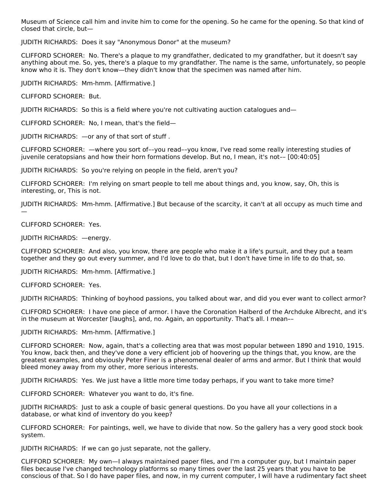Museum of Science call him and invite him to come for the opening. So he came for the opening. So that kind of closed that circle, but—

JUDITH RICHARDS: Does it say "Anonymous Donor" at the museum?

CLIFFORD SCHORER: No. There's a plaque to my grandfather, dedicated to my grandfather, but it doesn't say anything about me. So, yes, there's a plaque to my grandfather. The name is the same, unfortunately, so people know who it is. They don't know—they didn't know that the specimen was named after him.

JUDITH RICHARDS: Mm-hmm. [Affirmative.]

CLIFFORD SCHORER: But.

JUDITH RICHARDS: So this is a field where you're not cultivating auction catalogues and—

CLIFFORD SCHORER: No, I mean, that's the field—

JUDITH RICHARDS: —or any of that sort of stuff .

CLIFFORD SCHORER: —where you sort of––you read––you know, I've read some really interesting studies of juvenile ceratopsians and how their horn formations develop. But no, I mean, it's not–– [00:40:05]

JUDITH RICHARDS: So you're relying on people in the field, aren't you?

CLIFFORD SCHORER: I'm relying on smart people to tell me about things and, you know, say, Oh, this is interesting, or, This is not.

JUDITH RICHARDS: Mm-hmm. [Affirmative.] But because of the scarcity, it can't at all occupy as much time and —

CLIFFORD SCHORER: Yes.

JUDITH RICHARDS: —energy.

CLIFFORD SCHORER: And also, you know, there are people who make it a life's pursuit, and they put a team together and they go out every summer, and I'd love to do that, but I don't have time in life to do that, so.

JUDITH RICHARDS: Mm-hmm. [Affirmative.]

CLIFFORD SCHORER: Yes.

JUDITH RICHARDS: Thinking of boyhood passions, you talked about war, and did you ever want to collect armor?

CLIFFORD SCHORER: I have one piece of armor. I have the Coronation Halberd of the Archduke Albrecht, and it's in the museum at Worcester [laughs], and, no. Again, an opportunity. That's all. I mean––

JUDITH RICHARDS: Mm-hmm. [Affirmative.]

CLIFFORD SCHORER: Now, again, that's a collecting area that was most popular between 1890 and 1910, 1915. You know, back then, and they've done a very efficient job of hoovering up the things that, you know, are the greatest examples, and obviously Peter Finer is a phenomenal dealer of arms and armor. But I think that would bleed money away from my other, more serious interests.

JUDITH RICHARDS: Yes. We just have a little more time today perhaps, if you want to take more time?

CLIFFORD SCHORER: Whatever you want to do, it's fine.

JUDITH RICHARDS: Just to ask a couple of basic general questions. Do you have all your collections in a database, or what kind of inventory do you keep?

CLIFFORD SCHORER: For paintings, well, we have to divide that now. So the gallery has a very good stock book system.

JUDITH RICHARDS: If we can go just separate, not the gallery.

CLIFFORD SCHORER: My own—I always maintained paper files, and I'm a computer guy, but I maintain paper files because I've changed technology platforms so many times over the last 25 years that you have to be conscious of that. So I do have paper files, and now, in my current computer, I will have a rudimentary fact sheet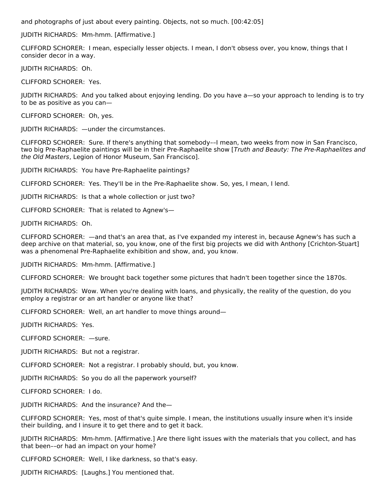and photographs of just about every painting. Objects, not so much. [00:42:05]

JUDITH RICHARDS: Mm-hmm. [Affirmative.]

CLIFFORD SCHORER: I mean, especially lesser objects. I mean, I don't obsess over, you know, things that I consider decor in a way.

JUDITH RICHARDS: Oh.

CLIFFORD SCHORER: Yes.

JUDITH RICHARDS: And you talked about enjoying lending. Do you have a—so your approach to lending is to try to be as positive as you can—

CLIFFORD SCHORER: Oh, yes.

JUDITH RICHARDS: —under the circumstances.

CLIFFORD SCHORER: Sure. If there's anything that somebody––I mean, two weeks from now in San Francisco, two big Pre-Raphaelite paintings will be in their Pre-Raphaelite show [Truth and Beauty: The Pre-Raphaelites and the Old Masters, Legion of Honor Museum, San Francisco].

JUDITH RICHARDS: You have Pre-Raphaelite paintings?

CLIFFORD SCHORER: Yes. They'll be in the Pre-Raphaelite show. So, yes, I mean, I lend.

JUDITH RICHARDS: Is that a whole collection or just two?

CLIFFORD SCHORER: That is related to Agnew's—

JUDITH RICHARDS: Oh.

CLIFFORD SCHORER: —and that's an area that, as I've expanded my interest in, because Agnew's has such a deep archive on that material, so, you know, one of the first big projects we did with Anthony [Crichton-Stuart] was a phenomenal Pre-Raphaelite exhibition and show, and, you know.

JUDITH RICHARDS: Mm-hmm. [Affirmative.]

CLIFFORD SCHORER: We brought back together some pictures that hadn't been together since the 1870s.

JUDITH RICHARDS: Wow. When you're dealing with loans, and physically, the reality of the question, do you employ a registrar or an art handler or anyone like that?

CLIFFORD SCHORER: Well, an art handler to move things around—

JUDITH RICHARDS: Yes.

CLIFFORD SCHORER: —sure.

JUDITH RICHARDS: But not a registrar.

CLIFFORD SCHORER: Not a registrar. I probably should, but, you know.

JUDITH RICHARDS: So you do all the paperwork yourself?

CLIFFORD SCHORER: I do.

JUDITH RICHARDS: And the insurance? And the—

CLIFFORD SCHORER: Yes, most of that's quite simple. I mean, the institutions usually insure when it's inside their building, and I insure it to get there and to get it back.

JUDITH RICHARDS: Mm-hmm. [Affirmative.] Are there light issues with the materials that you collect, and has that been––or had an impact on your home?

CLIFFORD SCHORER: Well, I like darkness, so that's easy.

JUDITH RICHARDS: [Laughs.] You mentioned that.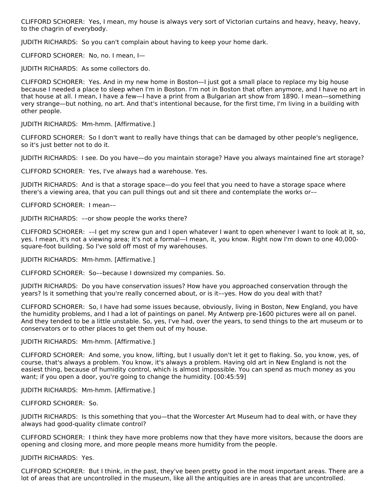CLIFFORD SCHORER: Yes, I mean, my house is always very sort of Victorian curtains and heavy, heavy, heavy, to the chagrin of everybody.

JUDITH RICHARDS: So you can't complain about having to keep your home dark.

CLIFFORD SCHORER: No, no. I mean, I—

JUDITH RICHARDS: As some collectors do.

CLIFFORD SCHORER: Yes. And in my new home in Boston—I just got a small place to replace my big house because I needed a place to sleep when I'm in Boston. I'm not in Boston that often anymore, and I have no art in that house at all. I mean, I have a few—I have a print from a Bulgarian art show from 1890. I mean—something very strange—but nothing, no art. And that's intentional because, for the first time, I'm living in a building with other people.

JUDITH RICHARDS: Mm-hmm. [Affirmative.]

CLIFFORD SCHORER: So I don't want to really have things that can be damaged by other people's negligence, so it's just better not to do it.

JUDITH RICHARDS: I see. Do you have—do you maintain storage? Have you always maintained fine art storage?

CLIFFORD SCHORER: Yes, I've always had a warehouse. Yes.

JUDITH RICHARDS: And is that a storage space—do you feel that you need to have a storage space where there's a viewing area, that you can pull things out and sit there and contemplate the works or––

CLIFFORD SCHORER: I mean––

JUDITH RICHARDS: ––or show people the works there?

CLIFFORD SCHORER: ––I get my screw gun and I open whatever I want to open whenever I want to look at it, so, yes. I mean, it's not a viewing area; it's not a formal—I mean, it, you know. Right now I'm down to one 40,000 square-foot building. So I've sold off most of my warehouses.

JUDITH RICHARDS: Mm-hmm. [Affirmative.]

CLIFFORD SCHORER: So––because I downsized my companies. So.

JUDITH RICHARDS: Do you have conservation issues? How have you approached conservation through the years? Is it something that you're really concerned about, or is it––yes. How do you deal with that?

CLIFFORD SCHORER: So, I have had some issues because, obviously, living in Boston, New England, you have the humidity problems, and I had a lot of paintings on panel. My Antwerp pre-1600 pictures were all on panel. And they tended to be a little unstable. So, yes, I've had, over the years, to send things to the art museum or to conservators or to other places to get them out of my house.

JUDITH RICHARDS: Mm-hmm. [Affirmative.]

CLIFFORD SCHORER: And some, you know, lifting, but I usually don't let it get to flaking. So, you know, yes, of course, that's always a problem. You know, it's always a problem. Having old art in New England is not the easiest thing, because of humidity control, which is almost impossible. You can spend as much money as you want; if you open a door, you're going to change the humidity. [00:45:59]

JUDITH RICHARDS: Mm-hmm. [Affirmative.]

CLIFFORD SCHORER: So.

JUDITH RICHARDS: Is this something that you—that the Worcester Art Museum had to deal with, or have they always had good-quality climate control?

CLIFFORD SCHORER: I think they have more problems now that they have more visitors, because the doors are opening and closing more, and more people means more humidity from the people.

JUDITH RICHARDS: Yes.

CLIFFORD SCHORER: But I think, in the past, they've been pretty good in the most important areas. There are a lot of areas that are uncontrolled in the museum, like all the antiquities are in areas that are uncontrolled.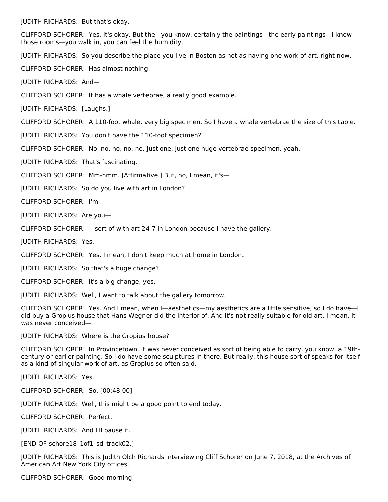JUDITH RICHARDS: But that's okay.

CLIFFORD SCHORER: Yes. It's okay. But the––you know, certainly the paintings—the early paintings—I know those rooms—you walk in, you can feel the humidity.

JUDITH RICHARDS: So you describe the place you live in Boston as not as having one work of art, right now.

CLIFFORD SCHORER: Has almost nothing.

JUDITH RICHARDS: And—

CLIFFORD SCHORER: It has a whale vertebrae, a really good example.

JUDITH RICHARDS: [Laughs.]

CLIFFORD SCHORER: A 110-foot whale, very big specimen. So I have a whale vertebrae the size of this table.

JUDITH RICHARDS: You don't have the 110-foot specimen?

CLIFFORD SCHORER: No, no, no, no, no. Just one. Just one huge vertebrae specimen, yeah.

JUDITH RICHARDS: That's fascinating.

CLIFFORD SCHORER: Mm-hmm. [Affirmative.] But, no, I mean, it's—

JUDITH RICHARDS: So do you live with art in London?

CLIFFORD SCHORER: I'm—

JUDITH RICHARDS: Are you—

CLIFFORD SCHORER: —sort of with art 24-7 in London because I have the gallery.

JUDITH RICHARDS: Yes.

CLIFFORD SCHORER: Yes, I mean, I don't keep much at home in London.

JUDITH RICHARDS: So that's a huge change?

CLIFFORD SCHORER: It's a big change, yes.

JUDITH RICHARDS: Well, I want to talk about the gallery tomorrow.

CLIFFORD SCHORER: Yes. And I mean, when I—aesthetics—my aesthetics are a little sensitive, so I do have—I did buy a Gropius house that Hans Wegner did the interior of. And it's not really suitable for old art. I mean, it was never conceived—

JUDITH RICHARDS: Where is the Gropius house?

CLIFFORD SCHORER: In Provincetown. It was never conceived as sort of being able to carry, you know, a 19thcentury or earlier painting. So I do have some sculptures in there. But really, this house sort of speaks for itself as a kind of singular work of art, as Gropius so often said.

JUDITH RICHARDS: Yes.

CLIFFORD SCHORER: So. [00:48:00]

JUDITH RICHARDS: Well, this might be a good point to end today.

CLIFFORD SCHORER: Perfect.

JUDITH RICHARDS: And I'll pause it.

[END OF schore18 1of1 sd track02.]

JUDITH RICHARDS: This is Judith Olch Richards interviewing Cliff Schorer on June 7, 2018, at the Archives of American Art New York City offices.

CLIFFORD SCHORER: Good morning.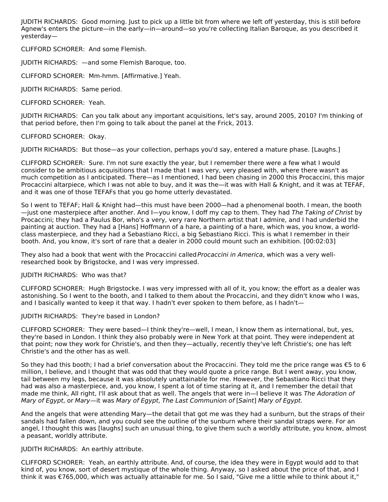JUDITH RICHARDS: Good morning. Just to pick up a little bit from where we left off yesterday, this is still before Agnew's enters the picture—in the early—in—around—so you're collecting Italian Baroque, as you described it yesterday—

CLIFFORD SCHORER: And some Flemish.

JUDITH RICHARDS: —and some Flemish Baroque, too.

CLIFFORD SCHORER: Mm-hmm. [Affirmative.] Yeah.

JUDITH RICHARDS: Same period.

CLIFFORD SCHORER: Yeah.

JUDITH RICHARDS: Can you talk about any important acquisitions, let's say, around 2005, 2010? I'm thinking of that period before, then I'm going to talk about the panel at the Frick, 2013.

CLIFFORD SCHORER: Okay.

JUDITH RICHARDS: But those—as your collection, perhaps you'd say, entered a mature phase. [Laughs.]

CLIFFORD SCHORER: Sure. I'm not sure exactly the year, but I remember there were a few what I would consider to be ambitious acquisitions that I made that I was very, very pleased with, where there wasn't as much competition as I anticipated. There—as I mentioned, I had been chasing in 2000 this Procaccini, this major Procaccini altarpiece, which I was not able to buy, and it was the—it was with Hall & Knight, and it was at TEFAF, and it was one of those TEFAFs that you go home utterly devastated.

So I went to TEFAF; Hall & Knight had—this must have been 2000—had a phenomenal booth. I mean, the booth —just one masterpiece after another. And I—you know, I doff my cap to them. They had The Taking of Christ by Procaccini; they had a Paulus Bor, who's a very, very rare Northern artist that I admire, and I had underbid the painting at auction. They had a [Hans] Hoffmann of a hare, a painting of a hare, which was, you know, a worldclass masterpiece, and they had a Sebastiano Ricci, a big Sebastiano Ricci. This is what I remember in their booth. And, you know, it's sort of rare that a dealer in 2000 could mount such an exhibition. [00:02:03]

They also had a book that went with the Procaccini called Procaccini in America, which was a very wellresearched book by Brigstocke, and I was very impressed.

### JUDITH RICHARDS: Who was that?

CLIFFORD SCHORER: Hugh Brigstocke. I was very impressed with all of it, you know; the effort as a dealer was astonishing. So I went to the booth, and I talked to them about the Procaccini, and they didn't know who I was, and I basically wanted to keep it that way. I hadn't ever spoken to them before, as I hadn't-

### JUDITH RICHARDS: They're based in London?

CLIFFORD SCHORER: They were based—I think they're—well, I mean, I know them as international, but, yes, they're based in London. I think they also probably were in New York at that point. They were independent at that point; now they work for Christie's, and then they—actually, recently they've left Christie's; one has left Christie's and the other has as well.

So they had this booth; I had a brief conversation about the Procaccini. They told me the price range was €5 to 6 million, I believe, and I thought that was odd that they would quote a price range. But I went away, you know, tail between my legs, because it was absolutely unattainable for me. However, the Sebastiano Ricci that they had was also a masterpiece, and, you know, I spent a lot of time staring at it, and I remember the detail that made me think, All right, I'll ask about that as well. The angels that were in-I believe it was The Adoration of Mary of Egypt, or Mary—it was Mary of Egypt, The Last Communion of [Saint] Mary of Egypt.

And the angels that were attending Mary—the detail that got me was they had a sunburn, but the straps of their sandals had fallen down, and you could see the outline of the sunburn where their sandal straps were. For an angel, I thought this was [laughs] such an unusual thing, to give them such a worldly attribute, you know, almost a peasant, worldly attribute.

### JUDITH RICHARDS: An earthly attribute.

CLIFFORD SCHORER: Yeah, an earthly attribute. And, of course, the idea they were in Egypt would add to that kind of, you know, sort of desert mystique of the whole thing. Anyway, so I asked about the price of that, and I think it was €765,000, which was actually attainable for me. So I said, "Give me a little while to think about it,"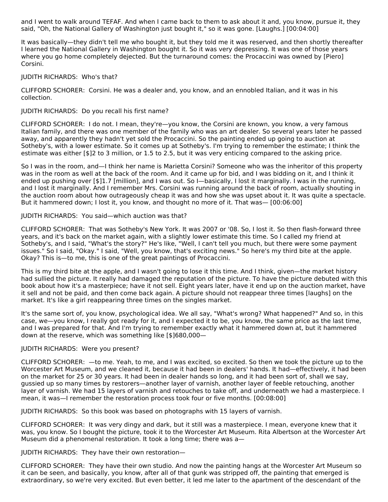and I went to walk around TEFAF. And when I came back to them to ask about it and, you know, pursue it, they said, "Oh, the National Gallery of Washington just bought it," so it was gone. [Laughs.] [00:04:00]

It was basically—they didn't tell me who bought it, but they told me it was reserved, and then shortly thereafter I learned the National Gallery in Washington bought it. So it was very depressing. It was one of those years where you go home completely dejected. But the turnaround comes: the Procaccini was owned by [Piero] Corsini.

#### JUDITH RICHARDS: Who's that?

CLIFFORD SCHORER: Corsini. He was a dealer and, you know, and an ennobled Italian, and it was in his collection.

#### JUDITH RICHARDS: Do you recall his first name?

CLIFFORD SCHORER: I do not. I mean, they're—you know, the Corsini are known, you know, a very famous Italian family, and there was one member of the family who was an art dealer. So several years later he passed away, and apparently they hadn't yet sold the Procaccini. So the painting ended up going to auction at Sotheby's, with a lower estimate. So it comes up at Sotheby's. I'm trying to remember the estimate; I think the estimate was either [\$]2 to 3 million, or 1.5 to 2.5, but it was very enticing compared to the asking price.

So I was in the room, and—I think her name is Marietta Corsini? Someone who was the inheritor of this property was in the room as well at the back of the room. And it came up for bid, and I was bidding on it, and I think it ended up pushing over [\$]1.7 [million], and I was out. So I—basically, I lost it marginally. I was in the running, and I lost it marginally. And I remember Mrs. Corsini was running around the back of room, actually shouting in the auction room about how outrageously cheap it was and how she was upset about it. It was quite a spectacle. But it hammered down; I lost it, you know, and thought no more of it. That was— [00:06:00]

#### JUDITH RICHARDS: You said—which auction was that?

CLIFFORD SCHORER: That was Sotheby's New York. It was 2007 or '08. So, I lost it. So then flash-forward three years, and it's back on the market again, with a slightly lower estimate this time. So I called my friend at Sotheby's, and I said, "What's the story?" He's like, "Well, I can't tell you much, but there were some payment issues." So I said, "Okay." I said, "Well, you know, that's exciting news." So here's my third bite at the apple. Okay? This is—to me, this is one of the great paintings of Procaccini.

This is my third bite at the apple, and I wasn't going to lose it this time. And I think, given—the market history had sullied the picture. It really had damaged the reputation of the picture. To have the picture debuted with this book about how it's a masterpiece; have it not sell. Eight years later, have it end up on the auction market, have it sell and not be paid, and then come back again. A picture should not reappear three times [laughs] on the market. It's like a girl reappearing three times on the singles market.

It's the same sort of, you know, psychological idea. We all say, "What's wrong? What happened?" And so, in this case, we—you know, I really got ready for it, and I expected it to be, you know, the same price as the last time, and I was prepared for that. And I'm trying to remember exactly what it hammered down at, but it hammered down at the reserve, which was something like [\$]680,000—

#### JUDITH RICHARDS: Were you present?

CLIFFORD SCHORER: —to me. Yeah, to me, and I was excited, so excited. So then we took the picture up to the Worcester Art Museum, and we cleaned it, because it had been in dealers' hands. It had—effectively, it had been on the market for 25 or 30 years. It had been in dealer hands so long, and it had been sort of, shall we say, gussied up so many times by restorers—another layer of varnish, another layer of feeble retouching, another layer of varnish. We had 15 layers of varnish and retouches to take off, and underneath we had a masterpiece. I mean, it was—I remember the restoration process took four or five months. [00:08:00]

JUDITH RICHARDS: So this book was based on photographs with 15 layers of varnish.

CLIFFORD SCHORER: It was very dingy and dark, but it still was a masterpiece. I mean, everyone knew that it was, you know. So I bought the picture, took it to the Worcester Art Museum. Rita Albertson at the Worcester Art Museum did a phenomenal restoration. It took a long time; there was a—

JUDITH RICHARDS: They have their own restoration—

CLIFFORD SCHORER: They have their own studio. And now the painting hangs at the Worcester Art Museum so it can be seen, and basically, you know, after all of that gunk was stripped off, the painting that emerged is extraordinary, so we're very excited. But even better, it led me later to the apartment of the descendant of the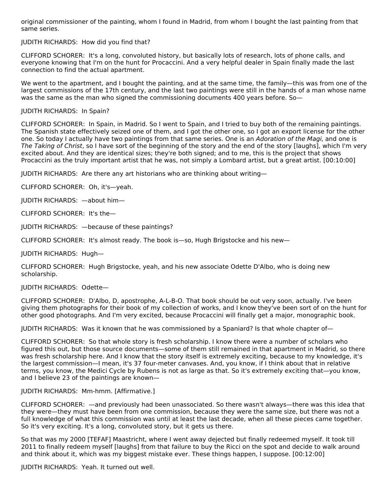original commissioner of the painting, whom I found in Madrid, from whom I bought the last painting from that same series.

## JUDITH RICHARDS: How did you find that?

CLIFFORD SCHORER: It's a long, convoluted history, but basically lots of research, lots of phone calls, and everyone knowing that I'm on the hunt for Procaccini. And a very helpful dealer in Spain finally made the last connection to find the actual apartment.

We went to the apartment, and I bought the painting, and at the same time, the family—this was from one of the largest commissions of the 17th century, and the last two paintings were still in the hands of a man whose name was the same as the man who signed the commissioning documents 400 years before. So-

### JUDITH RICHARDS: In Spain?

CLIFFORD SCHORER: In Spain, in Madrid. So I went to Spain, and I tried to buy both of the remaining paintings. The Spanish state effectively seized one of them, and I got the other one, so I got an export license for the other one. So today I actually have two paintings from that same series. One is an Adoration of the Magi, and one is The Taking of Christ, so I have sort of the beginning of the story and the end of the story [laughs], which I'm very excited about. And they are identical sizes; they're both signed; and to me, this is the project that shows Procaccini as the truly important artist that he was, not simply a Lombard artist, but a great artist. [00:10:00]

JUDITH RICHARDS: Are there any art historians who are thinking about writing—

CLIFFORD SCHORER: Oh, it's—yeah.

JUDITH RICHARDS: —about him—

CLIFFORD SCHORER: It's the—

JUDITH RICHARDS: —because of these paintings?

CLIFFORD SCHORER: It's almost ready. The book is—so, Hugh Brigstocke and his new—

JUDITH RICHARDS: Hugh—

CLIFFORD SCHORER: Hugh Brigstocke, yeah, and his new associate Odette D'Albo, who is doing new scholarship.

# JUDITH RICHARDS: Odette—

CLIFFORD SCHORER: D'Albo, D, apostrophe, A-L-B-O. That book should be out very soon, actually. I've been giving them photographs for their book of my collection of works, and I know they've been sort of on the hunt for other good photographs. And I'm very excited, because Procaccini will finally get a major, monographic book.

JUDITH RICHARDS: Was it known that he was commissioned by a Spaniard? Is that whole chapter of—

CLIFFORD SCHORER: So that whole story is fresh scholarship. I know there were a number of scholars who figured this out, but those source documents—some of them still remained in that apartment in Madrid, so there was fresh scholarship here. And I know that the story itself is extremely exciting, because to my knowledge, it's the largest commission—I mean, it's 37 four-meter canvases. And, you know, if I think about that in relative terms, you know, the Medici Cycle by Rubens is not as large as that. So it's extremely exciting that—you know, and I believe 23 of the paintings are known—

### JUDITH RICHARDS: Mm-hmm. [Affirmative.]

CLIFFORD SCHORER: —and previously had been unassociated. So there wasn't always—there was this idea that they were—they must have been from one commission, because they were the same size, but there was not a full knowledge of what this commission was until at least the last decade, when all these pieces came together. So it's very exciting. It's a long, convoluted story, but it gets us there.

So that was my 2000 [TEFAF] Maastricht, where I went away dejected but finally redeemed myself. It took till 2011 to finally redeem myself [laughs] from that failure to buy the Ricci on the spot and decide to walk around and think about it, which was my biggest mistake ever. These things happen, I suppose. [00:12:00]

JUDITH RICHARDS: Yeah. It turned out well.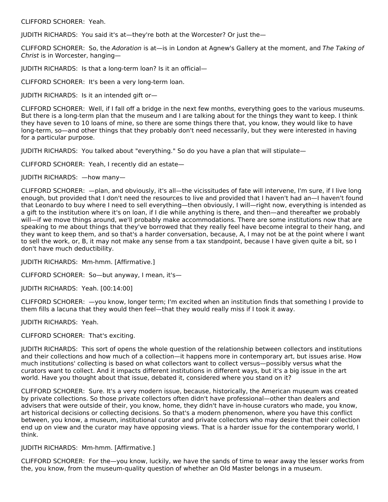CLIFFORD SCHORER: Yeah.

JUDITH RICHARDS: You said it's at—they're both at the Worcester? Or just the—

CLIFFORD SCHORER: So, the Adoration is at—is in London at Agnew's Gallery at the moment, and The Taking of Christ is in Worcester, hanging—

JUDITH RICHARDS: Is that a long-term loan? Is it an official—

CLIFFORD SCHORER: It's been a very long-term loan.

JUDITH RICHARDS: Is it an intended gift or—

CLIFFORD SCHORER: Well, if I fall off a bridge in the next few months, everything goes to the various museums. But there is a long-term plan that the museum and I are talking about for the things they want to keep. I think they have seven to 10 loans of mine, so there are some things there that, you know, they would like to have long-term, so—and other things that they probably don't need necessarily, but they were interested in having for a particular purpose.

JUDITH RICHARDS: You talked about "everything." So do you have a plan that will stipulate—

CLIFFORD SCHORER: Yeah, I recently did an estate—

JUDITH RICHARDS: —how many—

CLIFFORD SCHORER: —plan, and obviously, it's all—the vicissitudes of fate will intervene, I'm sure, if I live long enough, but provided that I don't need the resources to live and provided that I haven't had an—I haven't found that Leonardo to buy where I need to sell everything—then obviously, I will—right now, everything is intended as a gift to the institution where it's on loan, if I die while anything is there, and then—and thereafter we probably will—if we move things around, we'll probably make accommodations. There are some institutions now that are speaking to me about things that they've borrowed that they really feel have become integral to their hang, and they want to keep them, and so that's a harder conversation, because, A, I may not be at the point where I want to sell the work, or, B, it may not make any sense from a tax standpoint, because I have given quite a bit, so I don't have much deductibility.

JUDITH RICHARDS: Mm-hmm. [Affirmative.]

CLIFFORD SCHORER: So—but anyway, I mean, it's—

JUDITH RICHARDS: Yeah. [00:14:00]

CLIFFORD SCHORER: —you know, longer term; I'm excited when an institution finds that something I provide to them fills a lacuna that they would then feel—that they would really miss if I took it away.

JUDITH RICHARDS: Yeah.

CLIFFORD SCHORER: That's exciting.

JUDITH RICHARDS: This sort of opens the whole question of the relationship between collectors and institutions and their collections and how much of a collection—it happens more in contemporary art, but issues arise. How much institutions' collecting is based on what collectors want to collect versus—possibly versus what the curators want to collect. And it impacts different institutions in different ways, but it's a big issue in the art world. Have you thought about that issue, debated it, considered where you stand on it?

CLIFFORD SCHORER: Sure. It's a very modern issue, because, historically, the American museum was created by private collections. So those private collectors often didn't have professional—other than dealers and advisers that were outside of their, you know, home, they didn't have in-house curators who made, you know, art historical decisions or collecting decisions. So that's a modern phenomenon, where you have this conflict between, you know, a museum, institutional curator and private collectors who may desire that their collection end up on view and the curator may have opposing views. That is a harder issue for the contemporary world, I think.

### JUDITH RICHARDS: Mm-hmm. [Affirmative.]

CLIFFORD SCHORER: For the—you know, luckily, we have the sands of time to wear away the lesser works from the, you know, from the museum-quality question of whether an Old Master belongs in a museum.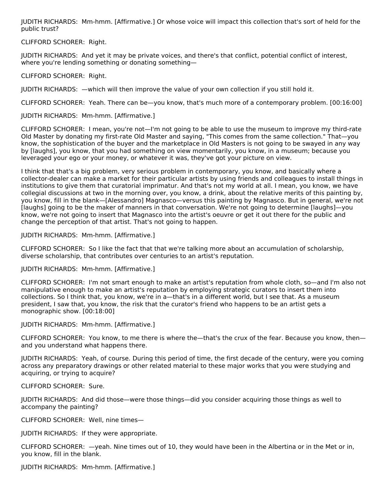JUDITH RICHARDS: Mm-hmm. [Affirmative.] Or whose voice will impact this collection that's sort of held for the public trust?

## CLIFFORD SCHORER: Right.

JUDITH RICHARDS: And yet it may be private voices, and there's that conflict, potential conflict of interest, where you're lending something or donating something—

CLIFFORD SCHORER: Right.

JUDITH RICHARDS: —which will then improve the value of your own collection if you still hold it.

CLIFFORD SCHORER: Yeah. There can be—you know, that's much more of a contemporary problem. [00:16:00]

JUDITH RICHARDS: Mm-hmm. [Affirmative.]

CLIFFORD SCHORER: I mean, you're not—I'm not going to be able to use the museum to improve my third-rate Old Master by donating my first-rate Old Master and saying, "This comes from the same collection." That—you know, the sophistication of the buyer and the marketplace in Old Masters is not going to be swayed in any way by [laughs], you know, that you had something on view momentarily, you know, in a museum; because you leveraged your ego or your money, or whatever it was, they've got your picture on view.

I think that that's a big problem, very serious problem in contemporary, you know, and basically where a collector-dealer can make a market for their particular artists by using friends and colleagues to install things in institutions to give them that curatorial imprimatur. And that's not my world at all. I mean, you know, we have collegial discussions at two in the morning over, you know, a drink, about the relative merits of this painting by, you know, fill in the blank—[Alessandro] Magnasco—versus this painting by Magnasco. But in general, we're not [laughs] going to be the maker of manners in that conversation. We're not going to determine [laughs]—you know, we're not going to insert that Magnasco into the artist's oeuvre or get it out there for the public and change the perception of that artist. That's not going to happen.

JUDITH RICHARDS: Mm-hmm. [Affirmative.]

CLIFFORD SCHORER: So I like the fact that that we're talking more about an accumulation of scholarship, diverse scholarship, that contributes over centuries to an artist's reputation.

JUDITH RICHARDS: Mm-hmm. [Affirmative.]

CLIFFORD SCHORER: I'm not smart enough to make an artist's reputation from whole cloth, so—and I'm also not manipulative enough to make an artist's reputation by employing strategic curators to insert them into collections. So I think that, you know, we're in a—that's in a different world, but I see that. As a museum president, I saw that, you know, the risk that the curator's friend who happens to be an artist gets a monographic show. [00:18:00]

JUDITH RICHARDS: Mm-hmm. [Affirmative.]

CLIFFORD SCHORER: You know, to me there is where the—that's the crux of the fear. Because you know, then and you understand what happens there.

JUDITH RICHARDS: Yeah, of course. During this period of time, the first decade of the century, were you coming across any preparatory drawings or other related material to these major works that you were studying and acquiring, or trying to acquire?

CLIFFORD SCHORER: Sure.

JUDITH RICHARDS: And did those—were those things—did you consider acquiring those things as well to accompany the painting?

CLIFFORD SCHORER: Well, nine times—

JUDITH RICHARDS: If they were appropriate.

CLIFFORD SCHORER: —yeah. Nine times out of 10, they would have been in the Albertina or in the Met or in, you know, fill in the blank.

JUDITH RICHARDS: Mm-hmm. [Affirmative.]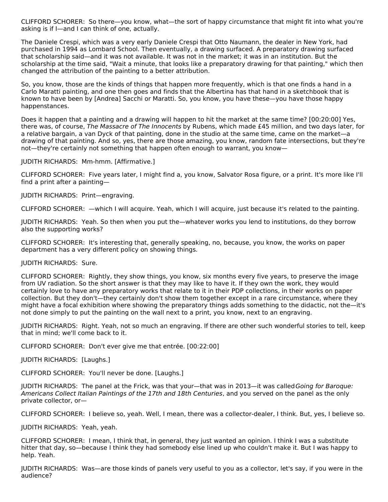CLIFFORD SCHORER: So there—you know, what—the sort of happy circumstance that might fit into what you're asking is if I—and I can think of one, actually.

The Daniele Crespi, which was a very early Daniele Crespi that Otto Naumann, the dealer in New York, had purchased in 1994 as Lombard School. Then eventually, a drawing surfaced. A preparatory drawing surfaced that scholarship said—and it was not available. It was not in the market; it was in an institution. But the scholarship at the time said, "Wait a minute, that looks like a preparatory drawing for that painting," which then changed the attribution of the painting to a better attribution.

So, you know, those are the kinds of things that happen more frequently, which is that one finds a hand in a Carlo Maratti painting, and one then goes and finds that the Albertina has that hand in a sketchbook that is known to have been by [Andrea] Sacchi or Maratti. So, you know, you have these—you have those happy happenstances.

Does it happen that a painting and a drawing will happen to hit the market at the same time? [00:20:00] Yes, there was, of course, The Massacre of The Innocents by Rubens, which made £45 million, and two days later, for a relative bargain, a van Dyck of that painting, done in the studio at the same time, came on the market—a drawing of that painting. And so, yes, there are those amazing, you know, random fate intersections, but they're not—they're certainly not something that happen often enough to warrant, you know—

JUDITH RICHARDS: Mm-hmm. [Affirmative.]

CLIFFORD SCHORER: Five years later, I might find a, you know, Salvator Rosa figure, or a print. It's more like I'll find a print after a painting—

JUDITH RICHARDS: Print—engraving.

CLIFFORD SCHORER: —which I will acquire. Yeah, which I will acquire, just because it's related to the painting.

JUDITH RICHARDS: Yeah. So then when you put the—whatever works you lend to institutions, do they borrow also the supporting works?

CLIFFORD SCHORER: It's interesting that, generally speaking, no, because, you know, the works on paper department has a very different policy on showing things.

### JUDITH RICHARDS: Sure.

CLIFFORD SCHORER: Rightly, they show things, you know, six months every five years, to preserve the image from UV radiation. So the short answer is that they may like to have it. If they own the work, they would certainly love to have any preparatory works that relate to it in their PDP collections, in their works on paper collection. But they don't—they certainly don't show them together except in a rare circumstance, where they might have a focal exhibition where showing the preparatory things adds something to the didactic, not the—it's not done simply to put the painting on the wall next to a print, you know, next to an engraving.

JUDITH RICHARDS: Right. Yeah, not so much an engraving. If there are other such wonderful stories to tell, keep that in mind; we'll come back to it.

CLIFFORD SCHORER: Don't ever give me that entrée. [00:22:00]

JUDITH RICHARDS: [Laughs.]

CLIFFORD SCHORER: You'll never be done. [Laughs.]

JUDITH RICHARDS: The panel at the Frick, was that your—that was in 2013—it was calledGoing for Baroque: Americans Collect Italian Paintings of the 17th and 18th Centuries, and you served on the panel as the only private collector, or—

CLIFFORD SCHORER: I believe so, yeah. Well, I mean, there was a collector-dealer, I think. But, yes, I believe so.

JUDITH RICHARDS: Yeah, yeah.

CLIFFORD SCHORER: I mean, I think that, in general, they just wanted an opinion. I think I was a substitute hitter that day, so—because I think they had somebody else lined up who couldn't make it. But I was happy to help. Yeah.

JUDITH RICHARDS: Was—are those kinds of panels very useful to you as a collector, let's say, if you were in the audience?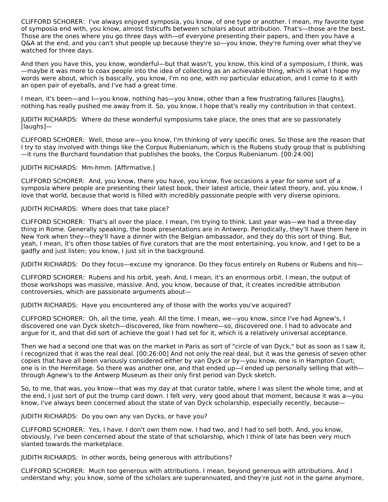CLIFFORD SCHORER: I've always enjoyed symposia, you know, of one type or another. I mean, my favorite type of symposia end with, you know, almost fisticuffs between scholars about attribution. That's—those are the best. Those are the ones where you go three days with—of everyone presenting their papers, and then you have a Q&A at the end, and you can't shut people up because they're so—you know, they're fuming over what they've watched for three days.

And then you have this, you know, wonderful—but that wasn't, you know, this kind of a symposium, I think, was —maybe it was more to coax people into the idea of collecting as an achievable thing, which is what I hope my words were about, which is basically, you know, I'm no one, with no particular education, and I come to it with an open pair of eyeballs, and I've had a great time.

I mean, it's been—and I—you know, nothing has—you know, other than a few frustrating failures [laughs], nothing has really pushed me away from it. So, you know, I hope that's really my contribution in that context.

JUDITH RICHARDS: Where do these wonderful symposiums take place, the ones that are so passionately [laughs]—

CLIFFORD SCHORER: Well, those are—you know, I'm thinking of very specific ones. So those are the reason that I try to stay involved with things like the Corpus Rubenianum, which is the Rubens study group that is publishing —it runs the Burchard foundation that publishes the books, the Corpus Rubenianum. [00:24:00]

### JUDITH RICHARDS: Mm-hmm. [Affirmative.]

CLIFFORD SCHORER: And, you know, there you have, you know, five occasions a year for some sort of a symposia where people are presenting their latest book, their latest article, their latest theory, and, you know, I love that world, because that world is filled with incredibly passionate people with very diverse opinions.

# JUDITH RICHARDS: Where does that take place?

CLIFFORD SCHORER: That's all over the place. I mean, I'm trying to think. Last year was—we had a three-day thing in Rome. Generally speaking, the book presentations are in Antwerp. Periodically, they'll have them here in New York when they—they'll have a dinner with the Belgian ambassador, and they do this sort of thing. But, yeah, I mean, it's often those tables of five curators that are the most entertaining, you know, and I get to be a gadfly and just listen; you know, I just sit in the background.

JUDITH RICHARDS: Do they focus—excuse my ignorance. Do they focus entirely on Rubens or Rubens and his—

CLIFFORD SCHORER: Rubens and his orbit, yeah. And, I mean, it's an enormous orbit. I mean, the output of those workshops was massive, massive. And, you know, because of that, it creates incredible attribution controversies, which are passionate arguments about—

JUDITH RICHARDS: Have you encountered any of those with the works you've acquired?

CLIFFORD SCHORER: Oh, all the time, yeah. All the time. I mean, we—you know, since I've had Agnew's, I discovered one van Dyck sketch—discovered, like from nowhere—so, discovered one. I had to advocate and argue for it, and that did sort of achieve the goal I had set for it, which is a relatively universal acceptance.

Then we had a second one that was on the market in Paris as sort of "circle of van Dyck," but as soon as I saw it, I recognized that it was the real deal. [00:26:00] And not only the real deal, but it was the genesis of seven other copies that have all been variously considered either by van Dyck or by—you know, one is in Hampton Court; one is in the Hermitage. So there was another one, and that ended up—I ended up personally selling that with through Agnew's to the Antwerp Museum as their only first period van Dyck sketch.

So, to me, that was, you know—that was my day at that curator table, where I was silent the whole time, and at the end, I just sort of put the trump card down. I felt very, very good about that moment, because it was a—you know, I've always been concerned about the state of van Dyck scholarship, especially recently, because—

JUDITH RICHARDS: Do you own any van Dycks, or have you?

CLIFFORD SCHORER: Yes, I have. I don't own them now. I had two, and I had to sell both. And, you know, obviously, I've been concerned about the state of that scholarship, which I think of late has been very much slanted towards the marketplace.

JUDITH RICHARDS: In other words, being generous with attributions?

CLIFFORD SCHORER: Much too generous with attributions. I mean, beyond generous with attributions. And I understand why; you know, some of the scholars are superannuated, and they're just not in the game anymore,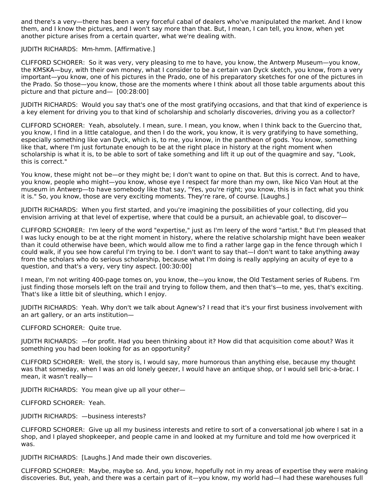and there's a very—there has been a very forceful cabal of dealers who've manipulated the market. And I know them, and I know the pictures, and I won't say more than that. But, I mean, I can tell, you know, when yet another picture arises from a certain quarter, what we're dealing with.

JUDITH RICHARDS: Mm-hmm. [Affirmative.]

CLIFFORD SCHORER: So it was very, very pleasing to me to have, you know, the Antwerp Museum—you know, the KMSKA—buy, with their own money, what I consider to be a certain van Dyck sketch, you know, from a very important—you know, one of his pictures in the Prado, one of his preparatory sketches for one of the pictures in the Prado. So those—you know, those are the moments where I think about all those table arguments about this picture and that picture and— [00:28:00]

JUDITH RICHARDS: Would you say that's one of the most gratifying occasions, and that that kind of experience is a key element for driving you to that kind of scholarship and scholarly discoveries, driving you as a collector?

CLIFFORD SCHORER: Yeah, absolutely. I mean, sure. I mean, you know, when I think back to the Guercino that, you know, I find in a little catalogue, and then I do the work, you know, it is very gratifying to have something, especially something like van Dyck, which is, to me, you know, in the pantheon of gods. You know, something like that, where I'm just fortunate enough to be at the right place in history at the right moment when scholarship is what it is, to be able to sort of take something and lift it up out of the quagmire and say, "Look, this is correct."

You know, these might not be—or they might be; I don't want to opine on that. But this is correct. And to have, you know, people who might—you know, whose eye I respect far more than my own, like Nico Van Hout at the museum in Antwerp—to have somebody like that say, "Yes, you're right; you know, this is in fact what you think it is." So, you know, those are very exciting moments. They're rare, of course. [Laughs.]

JUDITH RICHARDS: When you first started, and you're imagining the possibilities of your collecting, did you envision arriving at that level of expertise, where that could be a pursuit, an achievable goal, to discover—

CLIFFORD SCHORER: I'm leery of the word "expertise," just as I'm leery of the word "artist." But I'm pleased that I was lucky enough to be at the right moment in history, where the relative scholarship might have been weaker than it could otherwise have been, which would allow me to find a rather large gap in the fence through which I could walk, if you see how careful I'm trying to be. I don't want to say that—I don't want to take anything away from the scholars who do serious scholarship, because what I'm doing is really applying an acuity of eye to a question, and that's a very, very tiny aspect. [00:30:00]

I mean, I'm not writing 400-page tomes on, you know, the—you know, the Old Testament series of Rubens. I'm just finding those morsels left on the trail and trying to follow them, and then that's—to me, yes, that's exciting. That's like a little bit of sleuthing, which I enjoy.

JUDITH RICHARDS: Yeah. Why don't we talk about Agnew's? I read that it's your first business involvement with an art gallery, or an arts institution—

CLIFFORD SCHORER: Quite true.

JUDITH RICHARDS: —for profit. Had you been thinking about it? How did that acquisition come about? Was it something you had been looking for as an opportunity?

CLIFFORD SCHORER: Well, the story is, I would say, more humorous than anything else, because my thought was that someday, when I was an old lonely geezer, I would have an antique shop, or I would sell bric-a-brac. I mean, it wasn't really—

JUDITH RICHARDS: You mean give up all your other—

CLIFFORD SCHORER: Yeah.

JUDITH RICHARDS: —business interests?

CLIFFORD SCHORER: Give up all my business interests and retire to sort of a conversational job where I sat in a shop, and I played shopkeeper, and people came in and looked at my furniture and told me how overpriced it was.

JUDITH RICHARDS: [Laughs.] And made their own discoveries.

CLIFFORD SCHORER: Maybe, maybe so. And, you know, hopefully not in my areas of expertise they were making discoveries. But, yeah, and there was a certain part of it—you know, my world had—I had these warehouses full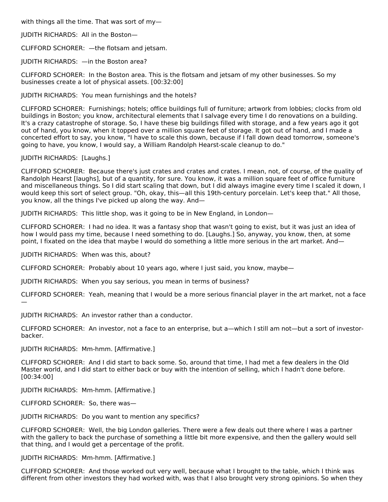with things all the time. That was sort of my—

JUDITH RICHARDS: All in the Boston—

CLIFFORD SCHORER: —the flotsam and jetsam.

JUDITH RICHARDS: —in the Boston area?

CLIFFORD SCHORER: In the Boston area. This is the flotsam and jetsam of my other businesses. So my businesses create a lot of physical assets. [00:32:00]

JUDITH RICHARDS: You mean furnishings and the hotels?

CLIFFORD SCHORER: Furnishings; hotels; office buildings full of furniture; artwork from lobbies; clocks from old buildings in Boston; you know, architectural elements that I salvage every time I do renovations on a building. It's a crazy catastrophe of storage. So, I have these big buildings filled with storage, and a few years ago it got out of hand, you know, when it topped over a million square feet of storage. It got out of hand, and I made a concerted effort to say, you know, "I have to scale this down, because if I fall down dead tomorrow, someone's going to have, you know, I would say, a William Randolph Hearst-scale cleanup to do."

JUDITH RICHARDS: [Laughs.]

CLIFFORD SCHORER: Because there's just crates and crates and crates. I mean, not, of course, of the quality of Randolph Hearst [laughs], but of a quantity, for sure. You know, it was a million square feet of office furniture and miscellaneous things. So I did start scaling that down, but I did always imagine every time I scaled it down, I would keep this sort of select group. "Oh, okay, this—all this 19th-century porcelain. Let's keep that." All those, you know, all the things I've picked up along the way. And—

JUDITH RICHARDS: This little shop, was it going to be in New England, in London—

CLIFFORD SCHORER: I had no idea. It was a fantasy shop that wasn't going to exist, but it was just an idea of how I would pass my time, because I need something to do. [Laughs.] So, anyway, you know, then, at some point, I fixated on the idea that maybe I would do something a little more serious in the art market. And—

JUDITH RICHARDS: When was this, about?

CLIFFORD SCHORER: Probably about 10 years ago, where I just said, you know, maybe—

JUDITH RICHARDS: When you say serious, you mean in terms of business?

CLIFFORD SCHORER: Yeah, meaning that I would be a more serious financial player in the art market, not a face —

JUDITH RICHARDS: An investor rather than a conductor.

CLIFFORD SCHORER: An investor, not a face to an enterprise, but a—which I still am not—but a sort of investorbacker.

JUDITH RICHARDS: Mm-hmm. [Affirmative.]

CLIFFORD SCHORER: And I did start to back some. So, around that time, I had met a few dealers in the Old Master world, and I did start to either back or buy with the intention of selling, which I hadn't done before. [00:34:00]

JUDITH RICHARDS: Mm-hmm. [Affirmative.]

CLIFFORD SCHORER: So, there was—

JUDITH RICHARDS: Do you want to mention any specifics?

CLIFFORD SCHORER: Well, the big London galleries. There were a few deals out there where I was a partner with the gallery to back the purchase of something a little bit more expensive, and then the gallery would sell that thing, and I would get a percentage of the profit.

JUDITH RICHARDS: Mm-hmm. [Affirmative.]

CLIFFORD SCHORER: And those worked out very well, because what I brought to the table, which I think was different from other investors they had worked with, was that I also brought very strong opinions. So when they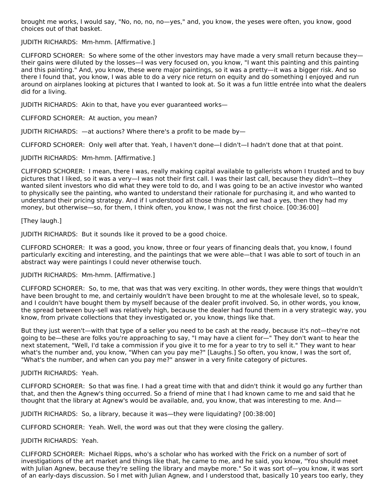brought me works, I would say, "No, no, no, no—yes," and, you know, the yeses were often, you know, good choices out of that basket.

JUDITH RICHARDS: Mm-hmm. [Affirmative.]

CLIFFORD SCHORER: So where some of the other investors may have made a very small return because they their gains were diluted by the losses—I was very focused on, you know, "I want this painting and this painting and this painting." And, you know, these were major paintings, so it was a pretty—it was a bigger risk. And so there I found that, you know, I was able to do a very nice return on equity and do something I enjoyed and run around on airplanes looking at pictures that I wanted to look at. So it was a fun little entrée into what the dealers did for a living.

JUDITH RICHARDS: Akin to that, have you ever guaranteed works—

CLIFFORD SCHORER: At auction, you mean?

JUDITH RICHARDS: —at auctions? Where there's a profit to be made by—

CLIFFORD SCHORER: Only well after that. Yeah, I haven't done—I didn't—I hadn't done that at that point.

JUDITH RICHARDS: Mm-hmm. [Affirmative.]

CLIFFORD SCHORER: I mean, there I was, really making capital available to gallerists whom I trusted and to buy pictures that I liked, so it was a very—I was not their first call. I was their last call, because they didn't—they wanted silent investors who did what they were told to do, and I was going to be an active investor who wanted to physically see the painting, who wanted to understand their rationale for purchasing it, and who wanted to understand their pricing strategy. And if I understood all those things, and we had a yes, then they had my money, but otherwise—so, for them, I think often, you know, I was not the first choice. [00:36:00]

# [They laugh.]

JUDITH RICHARDS: But it sounds like it proved to be a good choice.

CLIFFORD SCHORER: It was a good, you know, three or four years of financing deals that, you know, I found particularly exciting and interesting, and the paintings that we were able—that I was able to sort of touch in an abstract way were paintings I could never otherwise touch.

### JUDITH RICHARDS: Mm-hmm. [Affirmative.]

CLIFFORD SCHORER: So, to me, that was that was very exciting. In other words, they were things that wouldn't have been brought to me, and certainly wouldn't have been brought to me at the wholesale level, so to speak, and I couldn't have bought them by myself because of the dealer profit involved. So, in other words, you know, the spread between buy-sell was relatively high, because the dealer had found them in a very strategic way, you know, from private collections that they investigated or, you know, things like that.

But they just weren't—with that type of a seller you need to be cash at the ready, because it's not—they're not going to be—these are folks you're approaching to say, "I may have a client for—" They don't want to hear the next statement, "Well, I'd take a commission if you give it to me for a year to try to sell it." They want to hear what's the number and, you know, "When can you pay me?" [Laughs.] So often, you know, I was the sort of, "What's the number, and when can you pay me?" answer in a very finite category of pictures.

### JUDITH RICHARDS: Yeah.

CLIFFORD SCHORER: So that was fine. I had a great time with that and didn't think it would go any further than that, and then the Agnew's thing occurred. So a friend of mine that I had known came to me and said that he thought that the library at Agnew's would be available, and, you know, that was interesting to me. And—

JUDITH RICHARDS: So, a library, because it was—they were liquidating? [00:38:00]

CLIFFORD SCHORER: Yeah. Well, the word was out that they were closing the gallery.

JUDITH RICHARDS: Yeah.

CLIFFORD SCHORER: Michael Ripps, who's a scholar who has worked with the Frick on a number of sort of investigations of the art market and things like that, he came to me, and he said, you know, "You should meet with Julian Agnew, because they're selling the library and maybe more." So it was sort of—you know, it was sort of an early-days discussion. So I met with Julian Agnew, and I understood that, basically 10 years too early, they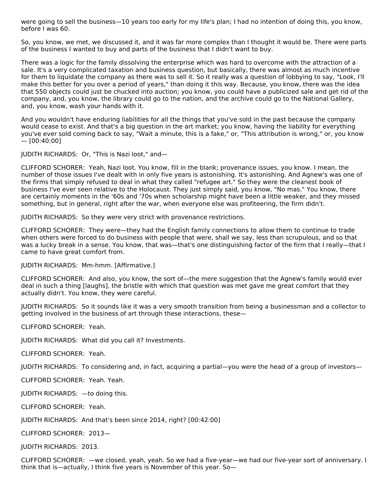were going to sell the business—10 years too early for my life's plan; I had no intention of doing this, you know, before I was 60.

So, you know, we met, we discussed it, and it was far more complex than I thought it would be. There were parts of the business I wanted to buy and parts of the business that I didn't want to buy.

There was a logic for the family dissolving the enterprise which was hard to overcome with the attraction of a sale. It's a very complicated taxation and business question, but basically, there was almost as much incentive for them to liquidate the company as there was to sell it. So it really was a question of lobbying to say, "Look, I'll make this better for you over a period of years," than doing it this way. Because, you know, there was the idea that 550 objects could just be chucked into auction; you know, you could have a publicized sale and get rid of the company, and, you know, the library could go to the nation, and the archive could go to the National Gallery, and, you know, wash your hands with it.

And you wouldn't have enduring liabilities for all the things that you've sold in the past because the company would cease to exist. And that's a big question in the art market; you know, having the liability for everything you've ever sold coming back to say, "Wait a minute, this is a fake," or, "This attribution is wrong," or, you know  $-$  [00:40:00]

JUDITH RICHARDS: Or, "This is Nazi loot," and—

CLIFFORD SCHORER: Yeah, Nazi loot. You know, fill in the blank; provenance issues, you know. I mean, the number of those issues I've dealt with in only five years is astonishing. It's astonishing. And Agnew's was one of the firms that simply refused to deal in what they called "refugee art." So they were the cleanest book of business I've ever seen relative to the Holocaust. They just simply said, you know, "No mas." You know, there are certainly moments in the '60s and '70s when scholarship might have been a little weaker, and they missed something, but in general, right after the war, when everyone else was profiteering, the firm didn't.

JUDITH RICHARDS: So they were very strict with provenance restrictions.

CLIFFORD SCHORER: They were—they had the English family connections to allow them to continue to trade when others were forced to do business with people that were, shall we say, less than scrupulous, and so that was a lucky break in a sense. You know, that was—that's one distinguishing factor of the firm that I really—that I came to have great comfort from.

JUDITH RICHARDS: Mm-hmm. [Affirmative.]

CLIFFORD SCHORER: And also, you know, the sort of—the mere suggestion that the Agnew's family would ever deal in such a thing [laughs], the bristle with which that question was met gave me great comfort that they actually didn't. You know, they were careful.

JUDITH RICHARDS: So it sounds like it was a very smooth transition from being a businessman and a collector to getting involved in the business of art through these interactions, these—

CLIFFORD SCHORER: Yeah.

JUDITH RICHARDS: What did you call it? Investments.

CLIFFORD SCHORER: Yeah.

JUDITH RICHARDS: To considering and, in fact, acquiring a partial—you were the head of a group of investors—

CLIFFORD SCHORER: Yeah. Yeah.

JUDITH RICHARDS: —to doing this.

CLIFFORD SCHORER: Yeah.

JUDITH RICHARDS: And that's been since 2014, right? [00:42:00]

CLIFFORD SCHORER: 2013—

JUDITH RICHARDS: 2013.

CLIFFORD SCHORER: —we closed, yeah, yeah. So we had a five-year—we had our five-year sort of anniversary. I think that is—actually, I think five years is November of this year. So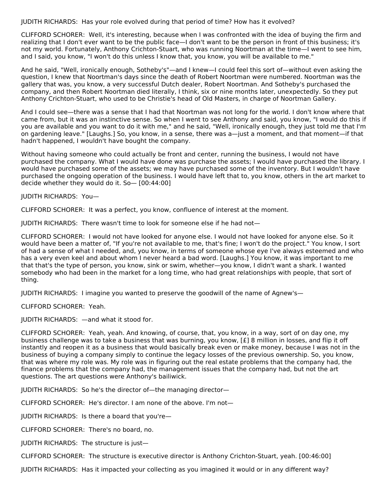JUDITH RICHARDS: Has your role evolved during that period of time? How has it evolved?

CLIFFORD SCHORER: Well, it's interesting, because when I was confronted with the idea of buying the firm and realizing that I don't ever want to be the public face—I don't want to be the person in front of this business; it's not my world. Fortunately, Anthony Crichton-Stuart, who was running Noortman at the time—I went to see him, and I said, you know, "I won't do this unless I know that, you know, you will be available to me."

And he said, "Well, ironically enough, Sotheby's"—and I knew—I could feel this sort of—without even asking the question, I knew that Noortman's days since the death of Robert Noortman were numbered. Noortman was the gallery that was, you know, a very successful Dutch dealer, Robert Noortman. And Sotheby's purchased the company, and then Robert Noortman died literally, I think, six or nine months later, unexpectedly. So they put Anthony Crichton-Stuart, who used to be Christie's head of Old Masters, in charge of Noortman Gallery.

And I could see—there was a sense that I had that Noortman was not long for the world. I don't know where that came from, but it was an instinctive sense. So when I went to see Anthony and said, you know, "I would do this if you are available and you want to do it with me," and he said, "Well, ironically enough, they just told me that I'm on gardening leave." [Laughs.] So, you know, in a sense, there was a—just a moment, and that moment—if that hadn't happened, I wouldn't have bought the company.

Without having someone who could actually be front and center, running the business, I would not have purchased the company. What I would have done was purchase the assets; I would have purchased the library. I would have purchased some of the assets; we may have purchased some of the inventory. But I wouldn't have purchased the ongoing operation of the business. I would have left that to, you know, others in the art market to decide whether they would do it. So— [00:44:00]

JUDITH RICHARDS: You—

CLIFFORD SCHORER: It was a perfect, you know, confluence of interest at the moment.

JUDITH RICHARDS: There wasn't time to look for someone else if he had not—

CLIFFORD SCHORER: I would not have looked for anyone else. I would not have looked for anyone else. So it would have been a matter of, "If you're not available to me, that's fine; I won't do the project." You know, I sort of had a sense of what I needed, and, you know, in terms of someone whose eye I've always esteemed and who has a very even keel and about whom I never heard a bad word. [Laughs.] You know, it was important to me that that's the type of person, you know, sink or swim, whether—you know, I didn't want a shark. I wanted somebody who had been in the market for a long time, who had great relationships with people, that sort of thing.

JUDITH RICHARDS: I imagine you wanted to preserve the goodwill of the name of Agnew's—

CLIFFORD SCHORER: Yeah.

JUDITH RICHARDS: —and what it stood for.

CLIFFORD SCHORER: Yeah, yeah. And knowing, of course, that, you know, in a way, sort of on day one, my business challenge was to take a business that was burning, you know, [£] 8 million in losses, and flip it off instantly and reopen it as a business that would basically break even or make money, because I was not in the business of buying a company simply to continue the legacy losses of the previous ownership. So, you know, that was where my role was. My role was in figuring out the real estate problems that the company had, the finance problems that the company had, the management issues that the company had, but not the art questions. The art questions were Anthony's bailiwick.

JUDITH RICHARDS: So he's the director of—the managing director—

CLIFFORD SCHORER: He's director. I am none of the above. I'm not—

JUDITH RICHARDS: Is there a board that you're—

CLIFFORD SCHORER: There's no board, no.

JUDITH RICHARDS: The structure is just—

CLIFFORD SCHORER: The structure is executive director is Anthony Crichton-Stuart, yeah. [00:46:00]

JUDITH RICHARDS: Has it impacted your collecting as you imagined it would or in any different way?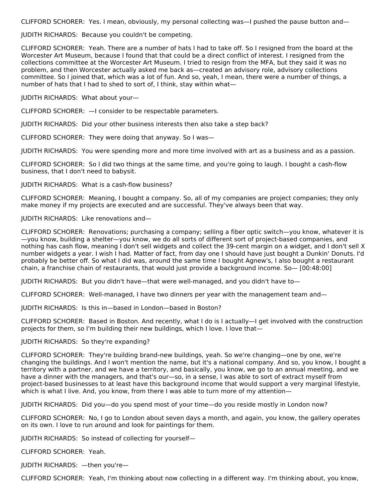CLIFFORD SCHORER: Yes. I mean, obviously, my personal collecting was—I pushed the pause button and—

JUDITH RICHARDS: Because you couldn't be competing.

CLIFFORD SCHORER: Yeah. There are a number of hats I had to take off. So I resigned from the board at the Worcester Art Museum, because I found that that could be a direct conflict of interest. I resigned from the collections committee at the Worcester Art Museum. I tried to resign from the MFA, but they said it was no problem, and then Worcester actually asked me back as—created an advisory role, advisory collections committee. So I joined that, which was a lot of fun. And so, yeah, I mean, there were a number of things, a number of hats that I had to shed to sort of, I think, stay within what—

JUDITH RICHARDS: What about your—

CLIFFORD SCHORER: —I consider to be respectable parameters.

JUDITH RICHARDS: Did your other business interests then also take a step back?

CLIFFORD SCHORER: They were doing that anyway. So I was—

JUDITH RICHARDS: You were spending more and more time involved with art as a business and as a passion.

CLIFFORD SCHORER: So I did two things at the same time, and you're going to laugh. I bought a cash-flow business, that I don't need to babysit.

JUDITH RICHARDS: What is a cash-flow business?

CLIFFORD SCHORER: Meaning, I bought a company. So, all of my companies are project companies; they only make money if my projects are executed and are successful. They've always been that way.

# JUDITH RICHARDS: Like renovations and—

CLIFFORD SCHORER: Renovations; purchasing a company; selling a fiber optic switch—you know, whatever it is —you know, building a shelter—you know, we do all sorts of different sort of project-based companies, and nothing has cash flow, meaning I don't sell widgets and collect the 39-cent margin on a widget, and I don't sell X number widgets a year. I wish I had. Matter of fact, from day one I should have just bought a Dunkin' Donuts. I'd probably be better off. So what I did was, around the same time I bought Agnew's, I also bought a restaurant chain, a franchise chain of restaurants, that would just provide a background income. So— [00:48:00]

JUDITH RICHARDS: But you didn't have—that were well-managed, and you didn't have to—

CLIFFORD SCHORER: Well-managed, I have two dinners per year with the management team and—

JUDITH RICHARDS: Is this in—based in London—based in Boston?

CLIFFORD SCHORER: Based in Boston. And recently, what I do is I actually—I get involved with the construction projects for them, so I'm building their new buildings, which I love. I love that—

# JUDITH RICHARDS: So they're expanding?

CLIFFORD SCHORER: They're building brand-new buildings, yeah. So we're changing—one by one, we're changing the buildings. And I won't mention the name, but it's a national company. And so, you know, I bought a territory with a partner, and we have a territory, and basically, you know, we go to an annual meeting, and we have a dinner with the managers, and that's our—so, in a sense, I was able to sort of extract myself from project-based businesses to at least have this background income that would support a very marginal lifestyle, which is what I live. And, you know, from there I was able to turn more of my attention—

JUDITH RICHARDS: Did you—do you spend most of your time—do you reside mostly in London now?

CLIFFORD SCHORER: No, I go to London about seven days a month, and again, you know, the gallery operates on its own. I love to run around and look for paintings for them.

JUDITH RICHARDS: So instead of collecting for yourself—

CLIFFORD SCHORER: Yeah.

JUDITH RICHARDS: —then you're—

CLIFFORD SCHORER: Yeah, I'm thinking about now collecting in a different way. I'm thinking about, you know,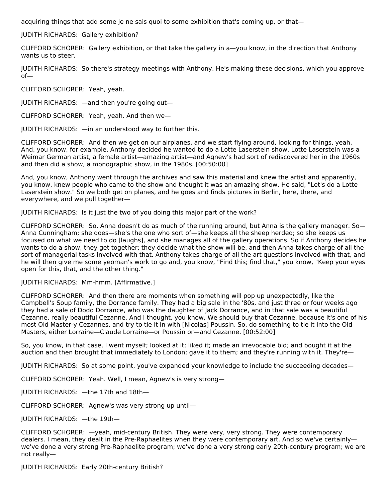acquiring things that add some je ne sais quoi to some exhibition that's coming up, or that—

JUDITH RICHARDS: Gallery exhibition?

CLIFFORD SCHORER: Gallery exhibition, or that take the gallery in a—you know, in the direction that Anthony wants us to steer.

JUDITH RICHARDS: So there's strategy meetings with Anthony. He's making these decisions, which you approve of—

CLIFFORD SCHORER: Yeah, yeah.

JUDITH RICHARDS: —and then you're going out—

CLIFFORD SCHORER: Yeah, yeah. And then we—

JUDITH RICHARDS: —in an understood way to further this.

CLIFFORD SCHORER: And then we get on our airplanes, and we start flying around, looking for things, yeah. And, you know, for example, Anthony decided he wanted to do a Lotte Laserstein show. Lotte Laserstein was a Weimar German artist, a female artist—amazing artist—and Agnew's had sort of rediscovered her in the 1960s and then did a show, a monographic show, in the 1980s. [00:50:00]

And, you know, Anthony went through the archives and saw this material and knew the artist and apparently, you know, knew people who came to the show and thought it was an amazing show. He said, "Let's do a Lotte Laserstein show." So we both get on planes, and he goes and finds pictures in Berlin, here, there, and everywhere, and we pull together—

JUDITH RICHARDS: Is it just the two of you doing this major part of the work?

CLIFFORD SCHORER: So, Anna doesn't do as much of the running around, but Anna is the gallery manager. So— Anna Cunningham; she does—she's the one who sort of—she keeps all the sheep herded; so she keeps us focused on what we need to do [laughs], and she manages all of the gallery operations. So if Anthony decides he wants to do a show, they get together; they decide what the show will be, and then Anna takes charge of all the sort of managerial tasks involved with that. Anthony takes charge of all the art questions involved with that, and he will then give me some yeoman's work to go and, you know, "Find this; find that," you know, "Keep your eyes open for this, that, and the other thing."

JUDITH RICHARDS: Mm-hmm. [Affirmative.]

CLIFFORD SCHORER: And then there are moments when something will pop up unexpectedly, like the Campbell's Soup family, the Dorrance family. They had a big sale in the '80s, and just three or four weeks ago they had a sale of Dodo Dorrance, who was the daughter of Jack Dorrance, and in that sale was a beautiful Cezanne, really beautiful Cezanne. And I thought, you know, We should buy that Cezanne, because it's one of his most Old Master-y Cezannes, and try to tie it in with [Nicolas] Poussin. So, do something to tie it into the Old Masters, either Lorraine—Claude Lorraine—or Poussin or—and Cezanne. [00:52:00]

So, you know, in that case, I went myself; looked at it; liked it; made an irrevocable bid; and bought it at the auction and then brought that immediately to London; gave it to them; and they're running with it. They're—

JUDITH RICHARDS: So at some point, you've expanded your knowledge to include the succeeding decades—

CLIFFORD SCHORER: Yeah. Well, I mean, Agnew's is very strong—

JUDITH RICHARDS: —the 17th and 18th—

CLIFFORD SCHORER: Agnew's was very strong up until—

JUDITH RICHARDS: —the 19th—

CLIFFORD SCHORER: —yeah, mid-century British. They were very, very strong. They were contemporary dealers. I mean, they dealt in the Pre-Raphaelites when they were contemporary art. And so we've certainlywe've done a very strong Pre-Raphaelite program; we've done a very strong early 20th-century program; we are not really—

JUDITH RICHARDS: Early 20th-century British?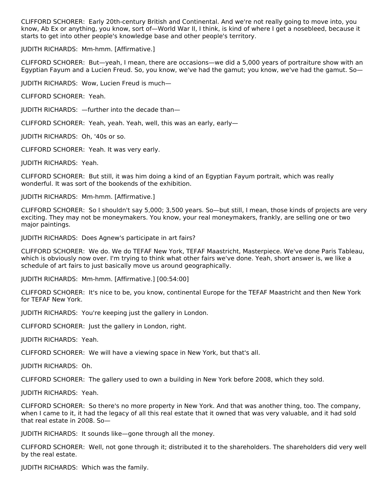CLIFFORD SCHORER: Early 20th-century British and Continental. And we're not really going to move into, you know, Ab Ex or anything, you know, sort of—World War II, I think, is kind of where I get a nosebleed, because it starts to get into other people's knowledge base and other people's territory.

JUDITH RICHARDS: Mm-hmm. [Affirmative.]

CLIFFORD SCHORER: But—yeah, I mean, there are occasions—we did a 5,000 years of portraiture show with an Egyptian Fayum and a Lucien Freud. So, you know, we've had the gamut; you know, we've had the gamut. So—

JUDITH RICHARDS: Wow, Lucien Freud is much—

CLIFFORD SCHORER: Yeah.

JUDITH RICHARDS: —further into the decade than—

CLIFFORD SCHORER: Yeah, yeah. Yeah, well, this was an early, early—

JUDITH RICHARDS: Oh, '40s or so.

CLIFFORD SCHORER: Yeah. It was very early.

JUDITH RICHARDS: Yeah.

CLIFFORD SCHORER: But still, it was him doing a kind of an Egyptian Fayum portrait, which was really wonderful. It was sort of the bookends of the exhibition.

JUDITH RICHARDS: Mm-hmm. [Affirmative.]

CLIFFORD SCHORER: So I shouldn't say 5,000; 3,500 years. So—but still, I mean, those kinds of projects are very exciting. They may not be moneymakers. You know, your real moneymakers, frankly, are selling one or two major paintings.

JUDITH RICHARDS: Does Agnew's participate in art fairs?

CLIFFORD SCHORER: We do. We do TEFAF New York, TEFAF Maastricht, Masterpiece. We've done Paris Tableau, which is obviously now over. I'm trying to think what other fairs we've done. Yeah, short answer is, we like a schedule of art fairs to just basically move us around geographically.

JUDITH RICHARDS: Mm-hmm. [Affirmative.] [00:54:00]

CLIFFORD SCHORER: It's nice to be, you know, continental Europe for the TEFAF Maastricht and then New York for TEFAF New York.

JUDITH RICHARDS: You're keeping just the gallery in London.

CLIFFORD SCHORER: Just the gallery in London, right.

JUDITH RICHARDS: Yeah.

CLIFFORD SCHORER: We will have a viewing space in New York, but that's all.

JUDITH RICHARDS: Oh.

CLIFFORD SCHORER: The gallery used to own a building in New York before 2008, which they sold.

JUDITH RICHARDS: Yeah.

CLIFFORD SCHORER: So there's no more property in New York. And that was another thing, too. The company, when I came to it, it had the legacy of all this real estate that it owned that was very valuable, and it had sold that real estate in 2008. So—

JUDITH RICHARDS: It sounds like—gone through all the money.

CLIFFORD SCHORER: Well, not gone through it; distributed it to the shareholders. The shareholders did very well by the real estate.

JUDITH RICHARDS: Which was the family.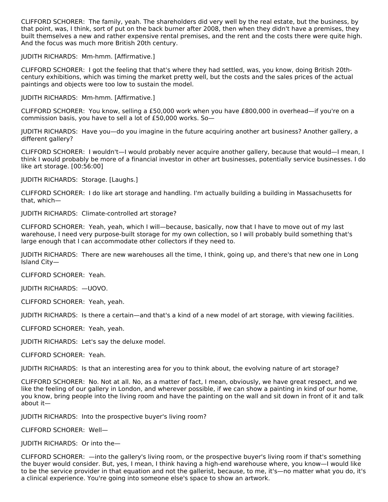CLIFFORD SCHORER: The family, yeah. The shareholders did very well by the real estate, but the business, by that point, was, I think, sort of put on the back burner after 2008, then when they didn't have a premises, they built themselves a new and rather expensive rental premises, and the rent and the costs there were quite high. And the focus was much more British 20th century.

JUDITH RICHARDS: Mm-hmm. [Affirmative.]

CLIFFORD SCHORER: I got the feeling that that's where they had settled, was, you know, doing British 20thcentury exhibitions, which was timing the market pretty well, but the costs and the sales prices of the actual paintings and objects were too low to sustain the model.

JUDITH RICHARDS: Mm-hmm. [Affirmative.]

CLIFFORD SCHORER: You know, selling a £50,000 work when you have £800,000 in overhead—if you're on a commission basis, you have to sell a lot of £50,000 works. So—

JUDITH RICHARDS: Have you—do you imagine in the future acquiring another art business? Another gallery, a different gallery?

CLIFFORD SCHORER: I wouldn't—I would probably never acquire another gallery, because that would—I mean, I think I would probably be more of a financial investor in other art businesses, potentially service businesses. I do like art storage. [00:56:00]

JUDITH RICHARDS: Storage. [Laughs.]

CLIFFORD SCHORER: I do like art storage and handling. I'm actually building a building in Massachusetts for that, which—

JUDITH RICHARDS: Climate-controlled art storage?

CLIFFORD SCHORER: Yeah, yeah, which I will—because, basically, now that I have to move out of my last warehouse, I need very purpose-built storage for my own collection, so I will probably build something that's large enough that I can accommodate other collectors if they need to.

JUDITH RICHARDS: There are new warehouses all the time, I think, going up, and there's that new one in Long Island City—

CLIFFORD SCHORER: Yeah.

JUDITH RICHARDS: —UOVO.

CLIFFORD SCHORER: Yeah, yeah.

JUDITH RICHARDS: Is there a certain—and that's a kind of a new model of art storage, with viewing facilities.

CLIFFORD SCHORER: Yeah, yeah.

JUDITH RICHARDS: Let's say the deluxe model.

CLIFFORD SCHORER: Yeah.

JUDITH RICHARDS: Is that an interesting area for you to think about, the evolving nature of art storage?

CLIFFORD SCHORER: No. Not at all. No, as a matter of fact, I mean, obviously, we have great respect, and we like the feeling of our gallery in London, and wherever possible, if we can show a painting in kind of our home, you know, bring people into the living room and have the painting on the wall and sit down in front of it and talk about it—

JUDITH RICHARDS: Into the prospective buyer's living room?

CLIFFORD SCHORER: Well—

JUDITH RICHARDS: Or into the—

CLIFFORD SCHORER: —into the gallery's living room, or the prospective buyer's living room if that's something the buyer would consider. But, yes, I mean, I think having a high-end warehouse where, you know—I would like to be the service provider in that equation and not the gallerist, because, to me, it's—no matter what you do, it's a clinical experience. You're going into someone else's space to show an artwork.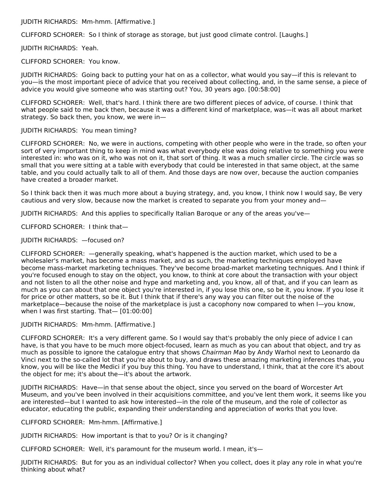JUDITH RICHARDS: Mm-hmm. [Affirmative.]

CLIFFORD SCHORER: So I think of storage as storage, but just good climate control. [Laughs.]

JUDITH RICHARDS: Yeah.

CLIFFORD SCHORER: You know.

JUDITH RICHARDS: Going back to putting your hat on as a collector, what would you say—if this is relevant to you—is the most important piece of advice that you received about collecting, and, in the same sense, a piece of advice you would give someone who was starting out? You, 30 years ago. [00:58:00]

CLIFFORD SCHORER: Well, that's hard. I think there are two different pieces of advice, of course. I think that what people said to me back then, because it was a different kind of marketplace, was—it was all about market strategy. So back then, you know, we were in—

### JUDITH RICHARDS: You mean timing?

CLIFFORD SCHORER: No, we were in auctions, competing with other people who were in the trade, so often your sort of very important thing to keep in mind was what everybody else was doing relative to something you were interested in: who was on it, who was not on it, that sort of thing. It was a much smaller circle. The circle was so small that you were sitting at a table with everybody that could be interested in that same object, at the same table, and you could actually talk to all of them. And those days are now over, because the auction companies have created a broader market.

So I think back then it was much more about a buying strategy, and, you know, I think now I would say, Be very cautious and very slow, because now the market is created to separate you from your money and—

JUDITH RICHARDS: And this applies to specifically Italian Baroque or any of the areas you've—

CLIFFORD SCHORER: I think that—

JUDITH RICHARDS: —focused on?

CLIFFORD SCHORER: —generally speaking, what's happened is the auction market, which used to be a wholesaler's market, has become a mass market, and as such, the marketing techniques employed have become mass-market marketing techniques. They've become broad-market marketing techniques. And I think if you're focused enough to stay on the object, you know, to think at core about the transaction with your object and not listen to all the other noise and hype and marketing and, you know, all of that, and if you can learn as much as you can about that one object you're interested in, if you lose this one, so be it, you know. If you lose it for price or other matters, so be it. But I think that if there's any way you can filter out the noise of the marketplace—because the noise of the marketplace is just a cacophony now compared to when I—you know, when I was first starting. That— [01:00:00]

### JUDITH RICHARDS: Mm-hmm. [Affirmative.]

CLIFFORD SCHORER: It's a very different game. So I would say that's probably the only piece of advice I can have, is that you have to be much more object-focused, learn as much as you can about that object, and try as much as possible to ignore the catalogue entry that shows Chairman Mao by Andy Warhol next to Leonardo da Vinci next to the so-called lot that you're about to buy, and draws these amazing marketing inferences that, you know, you will be like the Medici if you buy this thing. You have to understand, I think, that at the core it's about the object for me; it's about the—it's about the artwork.

JUDITH RICHARDS: Have—in that sense about the object, since you served on the board of Worcester Art Museum, and you've been involved in their acquisitions committee, and you've lent them work, it seems like you are interested—but I wanted to ask how interested—in the role of the museum, and the role of collector as educator, educating the public, expanding their understanding and appreciation of works that you love.

CLIFFORD SCHORER: Mm-hmm. [Affirmative.]

JUDITH RICHARDS: How important is that to you? Or is it changing?

CLIFFORD SCHORER: Well, it's paramount for the museum world. I mean, it's—

JUDITH RICHARDS: But for you as an individual collector? When you collect, does it play any role in what you're thinking about what?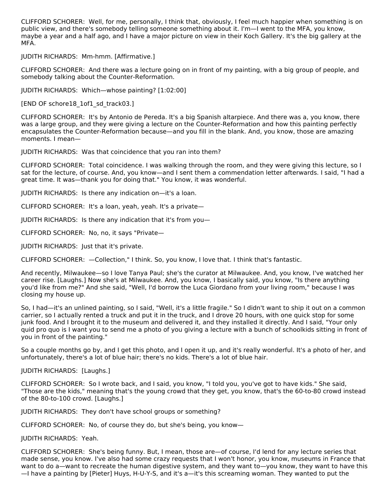CLIFFORD SCHORER: Well, for me, personally, I think that, obviously, I feel much happier when something is on public view, and there's somebody telling someone something about it. I'm—I went to the MFA, you know, maybe a year and a half ago, and I have a major picture on view in their Koch Gallery. It's the big gallery at the MFA.

JUDITH RICHARDS: Mm-hmm. [Affirmative.]

CLIFFORD SCHORER: And there was a lecture going on in front of my painting, with a big group of people, and somebody talking about the Counter-Reformation.

JUDITH RICHARDS: Which—whose painting? [1:02:00]

[END OF schore18 1of1 sd track03.]

CLIFFORD SCHORER: It's by Antonio de Pereda. It's a big Spanish altarpiece. And there was a, you know, there was a large group, and they were giving a lecture on the Counter-Reformation and how this painting perfectly encapsulates the Counter-Reformation because—and you fill in the blank. And, you know, those are amazing moments. I mean—

JUDITH RICHARDS: Was that coincidence that you ran into them?

CLIFFORD SCHORER: Total coincidence. I was walking through the room, and they were giving this lecture, so I sat for the lecture, of course. And, you know—and I sent them a commendation letter afterwards. I said, "I had a great time. It was—thank you for doing that." You know, it was wonderful.

JUDITH RICHARDS: Is there any indication on—it's a loan.

CLIFFORD SCHORER: It's a loan, yeah, yeah. It's a private—

JUDITH RICHARDS: Is there any indication that it's from you—

CLIFFORD SCHORER: No, no, it says "Private—

JUDITH RICHARDS: Just that it's private.

CLIFFORD SCHORER: —Collection," I think. So, you know, I love that. I think that's fantastic.

And recently, Milwaukee—so I love Tanya Paul; she's the curator at Milwaukee. And, you know, I've watched her career rise. [Laughs.] Now she's at Milwaukee. And, you know, I basically said, you know, "Is there anything you'd like from me?" And she said, "Well, I'd borrow the Luca Giordano from your living room," because I was closing my house up.

So, I had—it's an unlined painting, so I said, "Well, it's a little fragile." So I didn't want to ship it out on a common carrier, so I actually rented a truck and put it in the truck, and I drove 20 hours, with one quick stop for some junk food. And I brought it to the museum and delivered it, and they installed it directly. And I said, "Your only quid pro quo is I want you to send me a photo of you giving a lecture with a bunch of schoolkids sitting in front of you in front of the painting."

So a couple months go by, and I get this photo, and I open it up, and it's really wonderful. It's a photo of her, and unfortunately, there's a lot of blue hair; there's no kids. There's a lot of blue hair.

JUDITH RICHARDS: [Laughs.]

CLIFFORD SCHORER: So I wrote back, and I said, you know, "I told you, you've got to have kids." She said, "Those are the kids," meaning that's the young crowd that they get, you know, that's the 60-to-80 crowd instead of the 80-to-100 crowd. [Laughs.]

JUDITH RICHARDS: They don't have school groups or something?

CLIFFORD SCHORER: No, of course they do, but she's being, you know—

### JUDITH RICHARDS: Yeah.

CLIFFORD SCHORER: She's being funny. But, I mean, those are—of course, I'd lend for any lecture series that made sense, you know. I've also had some crazy requests that I won't honor, you know, museums in France that want to do a—want to recreate the human digestive system, and they want to—you know, they want to have this —I have a painting by [Pieter] Huys, H-U-Y-S, and it's a—it's this screaming woman. They wanted to put the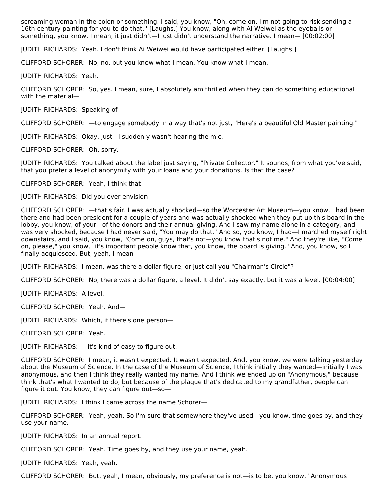screaming woman in the colon or something. I said, you know, "Oh, come on, I'm not going to risk sending a 16th-century painting for you to do that." [Laughs.] You know, along with Ai Weiwei as the eyeballs or something, you know. I mean, it just didn't—I just didn't understand the narrative. I mean— [00:02:00]

JUDITH RICHARDS: Yeah. I don't think Ai Weiwei would have participated either. [Laughs.]

CLIFFORD SCHORER: No, no, but you know what I mean. You know what I mean.

JUDITH RICHARDS: Yeah.

CLIFFORD SCHORER: So, yes. I mean, sure, I absolutely am thrilled when they can do something educational with the material—

JUDITH RICHARDS: Speaking of—

CLIFFORD SCHORER: —to engage somebody in a way that's not just, "Here's a beautiful Old Master painting."

JUDITH RICHARDS: Okay, just—I suddenly wasn't hearing the mic.

CLIFFORD SCHORER: Oh, sorry.

JUDITH RICHARDS: You talked about the label just saying, "Private Collector." It sounds, from what you've said, that you prefer a level of anonymity with your loans and your donations. Is that the case?

CLIFFORD SCHORER: Yeah, I think that—

JUDITH RICHARDS: Did you ever envision—

CLIFFORD SCHORER: —that's fair. I was actually shocked—so the Worcester Art Museum—you know, I had been there and had been president for a couple of years and was actually shocked when they put up this board in the lobby, you know, of your—of the donors and their annual giving. And I saw my name alone in a category, and I was very shocked, because I had never said, "You may do that." And so, you know, I had—I marched myself right downstairs, and I said, you know, "Come on, guys, that's not—you know that's not me." And they're like, "Come on, please," you know, "it's important people know that, you know, the board is giving." And, you know, so I finally acquiesced. But, yeah, I mean—

JUDITH RICHARDS: I mean, was there a dollar figure, or just call you "Chairman's Circle"?

CLIFFORD SCHORER: No, there was a dollar figure, a level. It didn't say exactly, but it was a level. [00:04:00]

JUDITH RICHARDS: A level.

CLIFFORD SCHORER: Yeah. And—

JUDITH RICHARDS: Which, if there's one person—

CLIFFORD SCHORER: Yeah.

JUDITH RICHARDS: —it's kind of easy to figure out.

CLIFFORD SCHORER: I mean, it wasn't expected. It wasn't expected. And, you know, we were talking yesterday about the Museum of Science. In the case of the Museum of Science, I think initially they wanted—initially I was anonymous, and then I think they really wanted my name. And I think we ended up on "Anonymous," because I think that's what I wanted to do, but because of the plaque that's dedicated to my grandfather, people can figure it out. You know, they can figure out—so—

JUDITH RICHARDS: I think I came across the name Schorer—

CLIFFORD SCHORER: Yeah, yeah. So I'm sure that somewhere they've used—you know, time goes by, and they use your name.

JUDITH RICHARDS: In an annual report.

CLIFFORD SCHORER: Yeah. Time goes by, and they use your name, yeah.

JUDITH RICHARDS: Yeah, yeah.

CLIFFORD SCHORER: But, yeah, I mean, obviously, my preference is not—is to be, you know, "Anonymous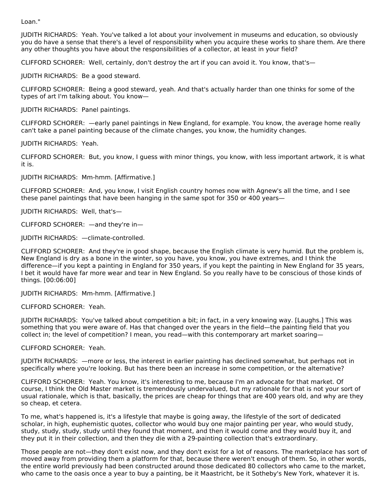Loan."

JUDITH RICHARDS: Yeah. You've talked a lot about your involvement in museums and education, so obviously you do have a sense that there's a level of responsibility when you acquire these works to share them. Are there any other thoughts you have about the responsibilities of a collector, at least in your field?

CLIFFORD SCHORER: Well, certainly, don't destroy the art if you can avoid it. You know, that's—

JUDITH RICHARDS: Be a good steward.

CLIFFORD SCHORER: Being a good steward, yeah. And that's actually harder than one thinks for some of the types of art I'm talking about. You know—

JUDITH RICHARDS: Panel paintings.

CLIFFORD SCHORER: —early panel paintings in New England, for example. You know, the average home really can't take a panel painting because of the climate changes, you know, the humidity changes.

JUDITH RICHARDS: Yeah.

CLIFFORD SCHORER: But, you know, I guess with minor things, you know, with less important artwork, it is what it is.

JUDITH RICHARDS: Mm-hmm. [Affirmative.]

CLIFFORD SCHORER: And, you know, I visit English country homes now with Agnew's all the time, and I see these panel paintings that have been hanging in the same spot for 350 or 400 years—

JUDITH RICHARDS: Well, that's—

CLIFFORD SCHORER: —and they're in—

JUDITH RICHARDS: —climate-controlled.

CLIFFORD SCHORER: And they're in good shape, because the English climate is very humid. But the problem is, New England is dry as a bone in the winter, so you have, you know, you have extremes, and I think the difference—if you kept a painting in England for 350 years, if you kept the painting in New England for 35 years, I bet it would have far more wear and tear in New England. So you really have to be conscious of those kinds of things. [00:06:00]

JUDITH RICHARDS: Mm-hmm. [Affirmative.]

CLIFFORD SCHORER: Yeah.

JUDITH RICHARDS: You've talked about competition a bit; in fact, in a very knowing way. [Laughs.] This was something that you were aware of. Has that changed over the years in the field—the painting field that you collect in; the level of competition? I mean, you read—with this contemporary art market soaring—

CLIFFORD SCHORER: Yeah.

JUDITH RICHARDS: —more or less, the interest in earlier painting has declined somewhat, but perhaps not in specifically where you're looking. But has there been an increase in some competition, or the alternative?

CLIFFORD SCHORER: Yeah. You know, it's interesting to me, because I'm an advocate for that market. Of course, I think the Old Master market is tremendously undervalued, but my rationale for that is not your sort of usual rationale, which is that, basically, the prices are cheap for things that are 400 years old, and why are they so cheap, et cetera.

To me, what's happened is, it's a lifestyle that maybe is going away, the lifestyle of the sort of dedicated scholar, in high, euphemistic quotes, collector who would buy one major painting per year, who would study, study, study, study, study until they found that moment, and then it would come and they would buy it, and they put it in their collection, and then they die with a 29-painting collection that's extraordinary.

Those people are not—they don't exist now, and they don't exist for a lot of reasons. The marketplace has sort of moved away from providing them a platform for that, because there weren't enough of them. So, in other words, the entire world previously had been constructed around those dedicated 80 collectors who came to the market, who came to the oasis once a year to buy a painting, be it Maastricht, be it Sotheby's New York, whatever it is.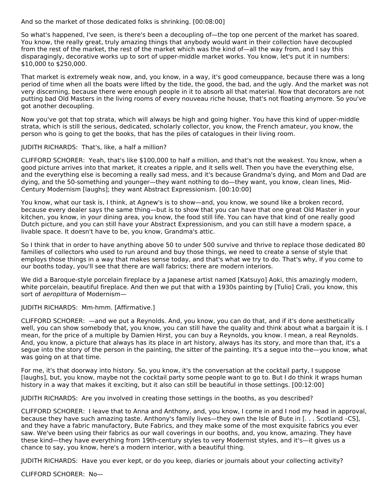And so the market of those dedicated folks is shrinking. [00:08:00]

So what's happened, I've seen, is there's been a decoupling of—the top one percent of the market has soared. You know, the really great, truly amazing things that anybody would want in their collection have decoupled from the rest of the market, the rest of the market which was the kind of—all the way from, and I say this disparagingly, decorative works up to sort of upper-middle market works. You know, let's put it in numbers: \$10,000 to \$250,000.

That market is extremely weak now, and, you know, in a way, it's good comeuppance, because there was a long period of time when all the boats were lifted by the tide, the good, the bad, and the ugly. And the market was not very discerning, because there were enough people in it to absorb all that material. Now that decorators are not putting bad Old Masters in the living rooms of every nouveau riche house, that's not floating anymore. So you've got another decoupling.

Now you've got that top strata, which will always be high and going higher. You have this kind of upper-middle strata, which is still the serious, dedicated, scholarly collector, you know, the French amateur, you know, the person who is going to get the books, that has the piles of catalogues in their living room.

### JUDITH RICHARDS: That's, like, a half a million?

CLIFFORD SCHORER: Yeah, that's like \$100,000 to half a million, and that's not the weakest. You know, when a good picture arrives into that market, it creates a ripple, and it sells well. Then you have the everything else, and the everything else is becoming a really sad mess, and it's because Grandma's dying, and Mom and Dad are dying, and the 50-something and younger—they want nothing to do—they want, you know, clean lines, Mid-Century Modernism [laughs]; they want Abstract Expressionism. [00:10:00]

You know, what our task is, I think, at Agnew's is to show—and, you know, we sound like a broken record, because every dealer says the same thing—but is to show that you can have that one great Old Master in your kitchen, you know, in your dining area, you know, the food still life. You can have that kind of one really good Dutch picture, and you can still have your Abstract Expressionism, and you can still have a modern space, a livable space. It doesn't have to be, you know, Grandma's attic.

So I think that in order to have anything above 50 to under 500 survive and thrive to replace those dedicated 80 families of collectors who used to run around and buy those things, we need to create a sense of style that employs those things in a way that makes sense today, and that's what we try to do. That's why, if you come to our booths today, you'll see that there are wall fabrics; there are modern interiors.

We did a Baroque-style porcelain fireplace by a Japanese artist named [Katsuyo] Aoki, this amazingly modern, white porcelain, beautiful fireplace. And then we put that with a 1930s painting by [Tulio] Crali, you know, this sort of aeropittura of Modernism—

## JUDITH RICHARDS: Mm-hmm. [Affirmative.]

CLIFFORD SCHORER: —and we put a Reynolds. And, you know, you can do that, and if it's done aesthetically well, you can show somebody that, you know, you can still have the quality and think about what a bargain it is. I mean, for the price of a multiple by Damien Hirst, you can buy a Reynolds, you know. I mean, a real Reynolds. And, you know, a picture that always has its place in art history, always has its story, and more than that, it's a segue into the story of the person in the painting, the sitter of the painting. It's a segue into the—you know, what was going on at that time.

For me, it's that doorway into history. So, you know, it's the conversation at the cocktail party, I suppose [laughs], but, you know, maybe not the cocktail party some people want to go to. But I do think it wraps human history in a way that makes it exciting, but it also can still be beautiful in those settings. [00:12:00]

JUDITH RICHARDS: Are you involved in creating those settings in the booths, as you described?

CLIFFORD SCHORER: I leave that to Anna and Anthony, and, you know, I come in and I nod my head in approval, because they have such amazing taste. Anthony's family lives—they own the Isle of Bute in [. . . Scotland –CS], and they have a fabric manufactory, Bute Fabrics, and they make some of the most exquisite fabrics you ever saw. We've been using their fabrics as our wall coverings in our booths, and, you know, amazing. They have these kind—they have everything from 19th-century styles to very Modernist styles, and it's—it gives us a chance to say, you know, here's a modern interior, with a beautiful thing.

JUDITH RICHARDS: Have you ever kept, or do you keep, diaries or journals about your collecting activity?

CLIFFORD SCHORER: No—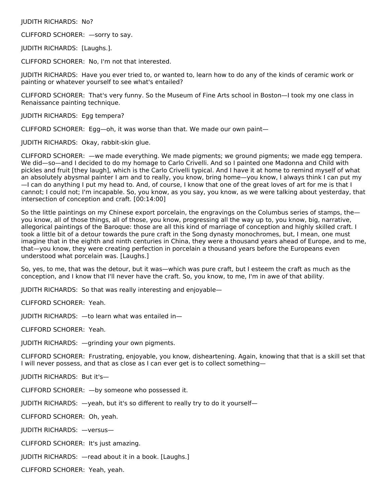### JUDITH RICHARDS: No?

CLIFFORD SCHORER: —sorry to say.

JUDITH RICHARDS: [Laughs.].

CLIFFORD SCHORER: No, I'm not that interested.

JUDITH RICHARDS: Have you ever tried to, or wanted to, learn how to do any of the kinds of ceramic work or painting or whatever yourself to see what's entailed?

CLIFFORD SCHORER: That's very funny. So the Museum of Fine Arts school in Boston—I took my one class in Renaissance painting technique.

JUDITH RICHARDS: Egg tempera?

CLIFFORD SCHORER: Egg—oh, it was worse than that. We made our own paint—

JUDITH RICHARDS: Okay, rabbit-skin glue.

CLIFFORD SCHORER: —we made everything. We made pigments; we ground pigments; we made egg tempera. We did—so—and I decided to do my homage to Carlo Crivelli. And so I painted one Madonna and Child with pickles and fruit [they laugh], which is the Carlo Crivelli typical. And I have it at home to remind myself of what an absolutely abysmal painter I am and to really, you know, bring home—you know, I always think I can put my —I can do anything I put my head to. And, of course, I know that one of the great loves of art for me is that I cannot; I could not; I'm incapable. So, you know, as you say, you know, as we were talking about yesterday, that intersection of conception and craft. [00:14:00]

So the little paintings on my Chinese export porcelain, the engravings on the Columbus series of stamps, the you know, all of those things, all of those, you know, progressing all the way up to, you know, big, narrative, allegorical paintings of the Baroque: those are all this kind of marriage of conception and highly skilled craft. I took a little bit of a detour towards the pure craft in the Song dynasty monochromes, but, I mean, one must imagine that in the eighth and ninth centuries in China, they were a thousand years ahead of Europe, and to me, that—you know, they were creating perfection in porcelain a thousand years before the Europeans even understood what porcelain was. [Laughs.]

So, yes, to me, that was the detour, but it was—which was pure craft, but I esteem the craft as much as the conception, and I know that I'll never have the craft. So, you know, to me, I'm in awe of that ability.

JUDITH RICHARDS: So that was really interesting and enjoyable—

CLIFFORD SCHORER: Yeah.

JUDITH RICHARDS: —to learn what was entailed in—

CLIFFORD SCHORER: Yeah.

JUDITH RICHARDS: —grinding your own pigments.

CLIFFORD SCHORER: Frustrating, enjoyable, you know, disheartening. Again, knowing that that is a skill set that I will never possess, and that as close as I can ever get is to collect something—

JUDITH RICHARDS: But it's—

CLIFFORD SCHORER: —by someone who possessed it.

JUDITH RICHARDS: —yeah, but it's so different to really try to do it yourself—

CLIFFORD SCHORER: Oh, yeah.

JUDITH RICHARDS: —versus—

CLIFFORD SCHORER: It's just amazing.

JUDITH RICHARDS: —read about it in a book. [Laughs.]

CLIFFORD SCHORER: Yeah, yeah.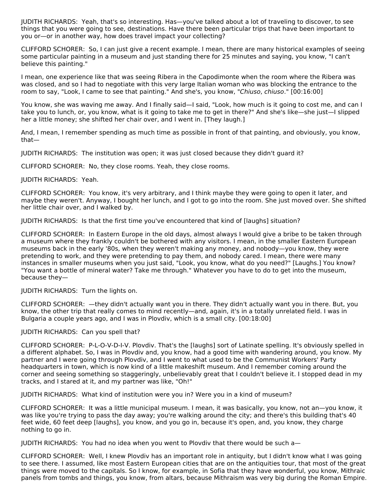JUDITH RICHARDS: Yeah, that's so interesting. Has—you've talked about a lot of traveling to discover, to see things that you were going to see, destinations. Have there been particular trips that have been important to you or—or in another way, how does travel impact your collecting?

CLIFFORD SCHORER: So, I can just give a recent example. I mean, there are many historical examples of seeing some particular painting in a museum and just standing there for 25 minutes and saying, you know, "I can't believe this painting."

I mean, one experience like that was seeing Ribera in the Capodimonte when the room where the Ribera was was closed, and so I had to negotiate with this very large Italian woman who was blocking the entrance to the room to say, "Look, I came to see that painting." And she's, you know, "Chiuso, chiuso." [00:16:00]

You know, she was waving me away. And I finally said—I said, "Look, how much is it going to cost me, and can I take you to lunch, or, you know, what is it going to take me to get in there?" And she's like—she just—I slipped her a little money; she shifted her chair over, and I went in. [They laugh.]

And, I mean, I remember spending as much time as possible in front of that painting, and obviously, you know, that—

JUDITH RICHARDS: The institution was open; it was just closed because they didn't guard it?

CLIFFORD SCHORER: No, they close rooms. Yeah, they close rooms.

# JUDITH RICHARDS: Yeah.

CLIFFORD SCHORER: You know, it's very arbitrary, and I think maybe they were going to open it later, and maybe they weren't. Anyway, I bought her lunch, and I got to go into the room. She just moved over. She shifted her little chair over, and I walked by.

JUDITH RICHARDS: Is that the first time you've encountered that kind of [laughs] situation?

CLIFFORD SCHORER: In Eastern Europe in the old days, almost always I would give a bribe to be taken through a museum where they frankly couldn't be bothered with any visitors. I mean, in the smaller Eastern European museums back in the early '80s, when they weren't making any money, and nobody—you know, they were pretending to work, and they were pretending to pay them, and nobody cared. I mean, there were many instances in smaller museums when you just said, "Look, you know, what do you need?" [Laughs.] You know? "You want a bottle of mineral water? Take me through." Whatever you have to do to get into the museum, because they—

### JUDITH RICHARDS: Turn the lights on.

CLIFFORD SCHORER: —they didn't actually want you in there. They didn't actually want you in there. But, you know, the other trip that really comes to mind recently—and, again, it's in a totally unrelated field. I was in Bulgaria a couple years ago, and I was in Plovdiv, which is a small city. [00:18:00]

### JUDITH RICHARDS: Can you spell that?

CLIFFORD SCHORER: P-L-O-V-D-I-V. Plovdiv. That's the [laughs] sort of Latinate spelling. It's obviously spelled in a different alphabet. So, I was in Plovdiv and, you know, had a good time with wandering around, you know. My partner and I were going through Plovdiv, and I went to what used to be the Communist Workers' Party headquarters in town, which is now kind of a little makeshift museum. And I remember coming around the corner and seeing something so staggeringly, unbelievably great that I couldn't believe it. I stopped dead in my tracks, and I stared at it, and my partner was like, "Oh!"

JUDITH RICHARDS: What kind of institution were you in? Were you in a kind of museum?

CLIFFORD SCHORER: It was a little municipal museum. I mean, it was basically, you know, not an—you know, it was like you're trying to pass the day away; you're walking around the city; and there's this building that's 40 feet wide, 60 feet deep [laughs], you know, and you go in, because it's open, and, you know, they charge nothing to go in.

JUDITH RICHARDS: You had no idea when you went to Plovdiv that there would be such a—

CLIFFORD SCHORER: Well, I knew Plovdiv has an important role in antiquity, but I didn't know what I was going to see there. I assumed, like most Eastern European cities that are on the antiquities tour, that most of the great things were moved to the capitals. So I know, for example, in Sofia that they have wonderful, you know, Mithraic panels from tombs and things, you know, from altars, because Mithraism was very big during the Roman Empire.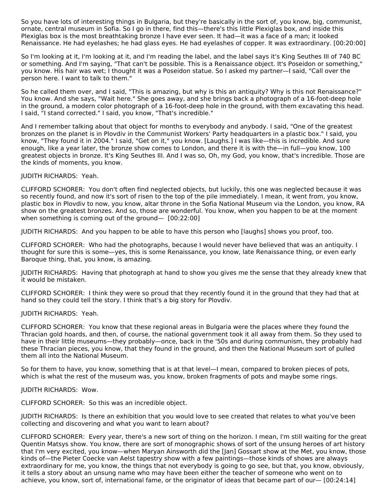So you have lots of interesting things in Bulgaria, but they're basically in the sort of, you know, big, communist, ornate, central museum in Sofia. So I go in there, find this—there's this little Plexiglas box, and inside this Plexiglas box is the most breathtaking bronze I have ever seen. It had—it was a face of a man; it looked Renaissance. He had eyelashes; he had glass eyes. He had eyelashes of copper. It was extraordinary. [00:20:00]

So I'm looking at it, I'm looking at it, and I'm reading the label, and the label says it's King Seuthes III of 740 BC or something. And I'm saying, "That can't be possible. This is a Renaissance object. It's Poseidon or something," you know. His hair was wet; I thought it was a Poseidon statue. So I asked my partner—I said, "Call over the person here. I want to talk to them."

So he called them over, and I said, "This is amazing, but why is this an antiquity? Why is this not Renaissance?" You know. And she says, "Wait here." She goes away, and she brings back a photograph of a 16-foot-deep hole in the ground, a modern color photograph of a 16-foot-deep hole in the ground, with them excavating this head. I said, "I stand corrected." I said, you know, "That's incredible."

And I remember talking about that object for months to everybody and anybody. I said, "One of the greatest bronzes on the planet is in Plovdiv in the Communist Workers' Party headquarters in a plastic box." I said, you know, "They found it in 2004." I said, "Get on it," you know. [Laughs.] I was like—this is incredible. And sure enough, like a year later, the bronze show comes to London, and there it is with the—in full—you know, 100 greatest objects in bronze. It's King Seuthes III. And I was so, Oh, my God, you know, that's incredible. Those are the kinds of moments, you know.

# JUDITH RICHARDS: Yeah.

CLIFFORD SCHORER: You don't often find neglected objects, but luckily, this one was neglected because it was so recently found, and now it's sort of risen to the top of the pile immediately. I mean, it went from, you know, plastic box in Plovdiv to now, you know, altar throne in the Sofia National Museum via the London, you know, RA show on the greatest bronzes. And so, those are wonderful. You know, when you happen to be at the moment when something is coming out of the ground— [00:22:00]

JUDITH RICHARDS: And you happen to be able to have this person who [laughs] shows you proof, too.

CLIFFORD SCHORER: Who had the photographs, because I would never have believed that was an antiquity. I thought for sure this is some—yes, this is some Renaissance, you know, late Renaissance thing, or even early Baroque thing, that, you know, is amazing.

JUDITH RICHARDS: Having that photograph at hand to show you gives me the sense that they already knew that it would be mistaken.

CLIFFORD SCHORER: I think they were so proud that they recently found it in the ground that they had that at hand so they could tell the story. I think that's a big story for Plovdiv.

### JUDITH RICHARDS: Yeah.

CLIFFORD SCHORER: You know that these regional areas in Bulgaria were the places where they found the Thracian gold hoards, and then, of course, the national government took it all away from them. So they used to have in their little museums—they probably—once, back in the '50s and during communism, they probably had these Thracian pieces, you know, that they found in the ground, and then the National Museum sort of pulled them all into the National Museum.

So for them to have, you know, something that is at that level—I mean, compared to broken pieces of pots, which is what the rest of the museum was, you know, broken fragments of pots and maybe some rings.

### JUDITH RICHARDS: Wow.

CLIFFORD SCHORER: So this was an incredible object.

JUDITH RICHARDS: Is there an exhibition that you would love to see created that relates to what you've been collecting and discovering and what you want to learn about?

CLIFFORD SCHORER: Every year, there's a new sort of thing on the horizon. I mean, I'm still waiting for the great Quentin Matsys show. You know, there are sort of monographic shows of sort of the unsung heroes of art history that I'm very excited, you know—when Maryan Ainsworth did the [Jan] Gossart show at the Met, you know, those kinds of—the Pieter Coecke van Aelst tapestry show with a few paintings—those kinds of shows are always extraordinary for me, you know, the things that not everybody is going to go see, but that, you know, obviously, it tells a story about an unsung name who may have been either the teacher of someone who went on to achieve, you know, sort of, international fame, or the originator of ideas that became part of our— [00:24:14]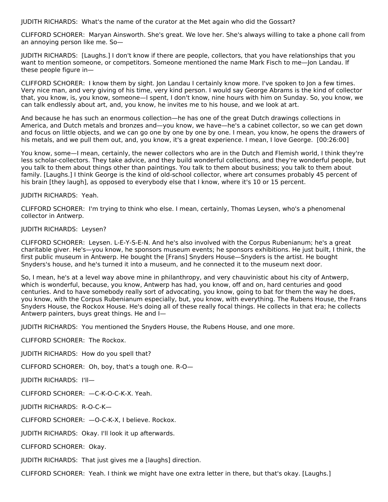JUDITH RICHARDS: What's the name of the curator at the Met again who did the Gossart?

CLIFFORD SCHORER: Maryan Ainsworth. She's great. We love her. She's always willing to take a phone call from an annoying person like me. So—

JUDITH RICHARDS: [Laughs.] I don't know if there are people, collectors, that you have relationships that you want to mention someone, or competitors. Someone mentioned the name Mark Fisch to me—Jon Landau. If these people figure in—

CLIFFORD SCHORER: I know them by sight. Jon Landau I certainly know more. I've spoken to Jon a few times. Very nice man, and very giving of his time, very kind person. I would say George Abrams is the kind of collector that, you know, is, you know, someone—I spent, I don't know, nine hours with him on Sunday. So, you know, we can talk endlessly about art, and, you know, he invites me to his house, and we look at art.

And because he has such an enormous collection—he has one of the great Dutch drawings collections in America, and Dutch metals and bronzes and—you know, we have—he's a cabinet collector, so we can get down and focus on little objects, and we can go one by one by one by one. I mean, you know, he opens the drawers of his metals, and we pull them out, and, you know, it's a great experience. I mean, I love George. [00:26:00]

You know, some—I mean, certainly, the newer collectors who are in the Dutch and Flemish world, I think they're less scholar-collectors. They take advice, and they build wonderful collections, and they're wonderful people, but you talk to them about things other than paintings. You talk to them about business; you talk to them about family. [Laughs.] I think George is the kind of old-school collector, where art consumes probably 45 percent of his brain [they laugh], as opposed to everybody else that I know, where it's 10 or 15 percent.

JUDITH RICHARDS: Yeah.

CLIFFORD SCHORER: I'm trying to think who else. I mean, certainly, Thomas Leysen, who's a phenomenal collector in Antwerp.

# JUDITH RICHARDS: Leysen?

CLIFFORD SCHORER: Leysen. L-E-Y-S-E-N. And he's also involved with the Corpus Rubenianum; he's a great charitable giver. He's—you know, he sponsors museum events; he sponsors exhibitions. He just built, I think, the first public museum in Antwerp. He bought the [Frans] Snyders House—Snyders is the artist. He bought Snyders's house, and he's turned it into a museum, and he connected it to the museum next door.

So, I mean, he's at a level way above mine in philanthropy, and very chauvinistic about his city of Antwerp, which is wonderful, because, you know, Antwerp has had, you know, off and on, hard centuries and good centuries. And to have somebody really sort of advocating, you know, going to bat for them the way he does, you know, with the Corpus Rubenianum especially, but, you know, with everything. The Rubens House, the Frans Snyders House, the Rockox House. He's doing all of these really focal things. He collects in that era; he collects Antwerp painters, buys great things. He and I—

JUDITH RICHARDS: You mentioned the Snyders House, the Rubens House, and one more.

CLIFFORD SCHORER: The Rockox.

JUDITH RICHARDS: How do you spell that?

CLIFFORD SCHORER: Oh, boy, that's a tough one. R-O—

JUDITH RICHARDS: I'll—

CLIFFORD SCHORER: —C-K-O-C-K-X. Yeah.

JUDITH RICHARDS: R-O-C-K—

CLIFFORD SCHORER: —O-C-K-X, I believe. Rockox.

JUDITH RICHARDS: Okay. I'll look it up afterwards.

CLIFFORD SCHORER: Okay.

JUDITH RICHARDS: That just gives me a [laughs] direction.

CLIFFORD SCHORER: Yeah. I think we might have one extra letter in there, but that's okay. [Laughs.]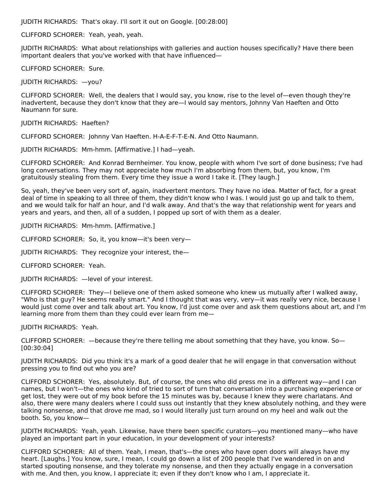JUDITH RICHARDS: That's okay. I'll sort it out on Google. [00:28:00]

CLIFFORD SCHORER: Yeah, yeah, yeah.

JUDITH RICHARDS: What about relationships with galleries and auction houses specifically? Have there been important dealers that you've worked with that have influenced—

CLIFFORD SCHORER: Sure.

JUDITH RICHARDS: —you?

CLIFFORD SCHORER: Well, the dealers that I would say, you know, rise to the level of—even though they're inadvertent, because they don't know that they are—I would say mentors, Johnny Van Haeften and Otto Naumann for sure.

JUDITH RICHARDS: Haeften?

CLIFFORD SCHORER: Johnny Van Haeften. H-A-E-F-T-E-N. And Otto Naumann.

JUDITH RICHARDS: Mm-hmm. [Affirmative.] I had—yeah.

CLIFFORD SCHORER: And Konrad Bernheimer. You know, people with whom I've sort of done business; I've had long conversations. They may not appreciate how much I'm absorbing from them, but, you know, I'm gratuitously stealing from them. Every time they issue a word I take it. [They laugh.]

So, yeah, they've been very sort of, again, inadvertent mentors. They have no idea. Matter of fact, for a great deal of time in speaking to all three of them, they didn't know who I was. I would just go up and talk to them, and we would talk for half an hour, and I'd walk away. And that's the way that relationship went for years and years and years, and then, all of a sudden, I popped up sort of with them as a dealer.

JUDITH RICHARDS: Mm-hmm. [Affirmative.]

CLIFFORD SCHORER: So, it, you know—it's been very—

JUDITH RICHARDS: They recognize your interest, the—

CLIFFORD SCHORER: Yeah.

JUDITH RICHARDS: —level of your interest.

CLIFFORD SCHORER: They—I believe one of them asked someone who knew us mutually after I walked away, "Who is that guy? He seems really smart." And I thought that was very, very—it was really very nice, because I would just come over and talk about art. You know, I'd just come over and ask them questions about art, and I'm learning more from them than they could ever learn from me—

JUDITH RICHARDS: Yeah.

CLIFFORD SCHORER: —because they're there telling me about something that they have, you know. So— [00:30:04]

JUDITH RICHARDS: Did you think it's a mark of a good dealer that he will engage in that conversation without pressing you to find out who you are?

CLIFFORD SCHORER: Yes, absolutely. But, of course, the ones who did press me in a different way—and I can names, but I won't—the ones who kind of tried to sort of turn that conversation into a purchasing experience or get lost, they were out of my book before the 15 minutes was by, because I knew they were charlatans. And also, there were many dealers where I could suss out instantly that they knew absolutely nothing, and they were talking nonsense, and that drove me mad, so I would literally just turn around on my heel and walk out the booth. So, you know—

JUDITH RICHARDS: Yeah, yeah. Likewise, have there been specific curators—you mentioned many—who have played an important part in your education, in your development of your interests?

CLIFFORD SCHORER: All of them. Yeah, I mean, that's—the ones who have open doors will always have my heart. [Laughs.] You know, sure, I mean, I could go down a list of 200 people that I've wandered in on and started spouting nonsense, and they tolerate my nonsense, and then they actually engage in a conversation with me. And then, you know, I appreciate it; even if they don't know who I am, I appreciate it.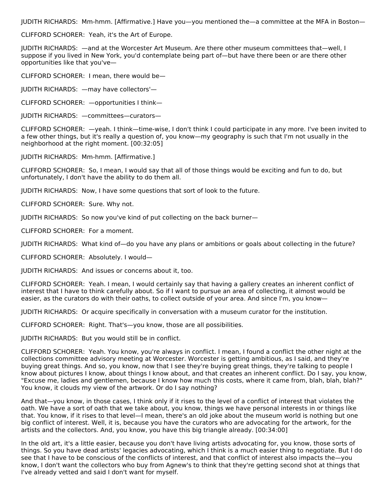JUDITH RICHARDS: Mm-hmm. [Affirmative.] Have you—you mentioned the—a committee at the MFA in Boston—

CLIFFORD SCHORER: Yeah, it's the Art of Europe.

JUDITH RICHARDS: —and at the Worcester Art Museum. Are there other museum committees that—well, I suppose if you lived in New York, you'd contemplate being part of—but have there been or are there other opportunities like that you've—

CLIFFORD SCHORER: I mean, there would be—

JUDITH RICHARDS: —may have collectors'—

CLIFFORD SCHORER: —opportunities I think—

JUDITH RICHARDS: —committees—curators—

CLIFFORD SCHORER: —yeah. I think—time-wise, I don't think I could participate in any more. I've been invited to a few other things, but it's really a question of, you know—my geography is such that I'm not usually in the neighborhood at the right moment. [00:32:05]

JUDITH RICHARDS: Mm-hmm. [Affirmative.]

CLIFFORD SCHORER: So, I mean, I would say that all of those things would be exciting and fun to do, but unfortunately, I don't have the ability to do them all.

JUDITH RICHARDS: Now, I have some questions that sort of look to the future.

CLIFFORD SCHORER: Sure. Why not.

JUDITH RICHARDS: So now you've kind of put collecting on the back burner—

CLIFFORD SCHORER: For a moment.

JUDITH RICHARDS: What kind of—do you have any plans or ambitions or goals about collecting in the future?

CLIFFORD SCHORER: Absolutely. I would—

JUDITH RICHARDS: And issues or concerns about it, too.

CLIFFORD SCHORER: Yeah. I mean, I would certainly say that having a gallery creates an inherent conflict of interest that I have to think carefully about. So if I want to pursue an area of collecting, it almost would be easier, as the curators do with their oaths, to collect outside of your area. And since I'm, you know—

JUDITH RICHARDS: Or acquire specifically in conversation with a museum curator for the institution.

CLIFFORD SCHORER: Right. That's—you know, those are all possibilities.

JUDITH RICHARDS: But you would still be in conflict.

CLIFFORD SCHORER: Yeah. You know, you're always in conflict. I mean, I found a conflict the other night at the collections committee advisory meeting at Worcester. Worcester is getting ambitious, as I said, and they're buying great things. And so, you know, now that I see they're buying great things, they're talking to people I know about pictures I know, about things I know about, and that creates an inherent conflict. Do I say, you know, "Excuse me, ladies and gentlemen, because I know how much this costs, where it came from, blah, blah, blah?" You know, it clouds my view of the artwork. Or do I say nothing?

And that—you know, in those cases, I think only if it rises to the level of a conflict of interest that violates the oath. We have a sort of oath that we take about, you know, things we have personal interests in or things like that. You know, if it rises to that level—I mean, there's an old joke about the museum world is nothing but one big conflict of interest. Well, it is, because you have the curators who are advocating for the artwork, for the artists and the collectors. And, you know, you have this big triangle already. [00:34:00]

In the old art, it's a little easier, because you don't have living artists advocating for, you know, those sorts of things. So you have dead artists' legacies advocating, which I think is a much easier thing to negotiate. But I do see that I have to be conscious of the conflicts of interest, and that conflict of interest also impacts the—you know, I don't want the collectors who buy from Agnew's to think that they're getting second shot at things that I've already vetted and said I don't want for myself.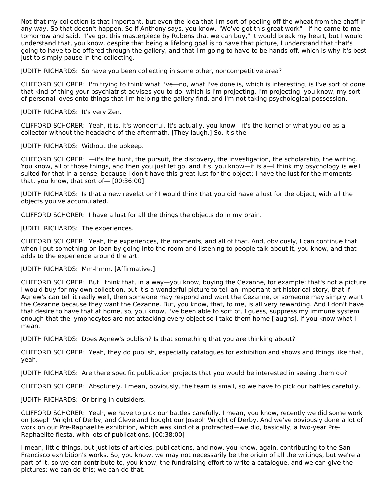Not that my collection is that important, but even the idea that I'm sort of peeling off the wheat from the chaff in any way. So that doesn't happen. So if Anthony says, you know, "We've got this great work"—if he came to me tomorrow and said, "I've got this masterpiece by Rubens that we can buy," it would break my heart, but I would understand that, you know, despite that being a lifelong goal is to have that picture, I understand that that's going to have to be offered through the gallery, and that I'm going to have to be hands-off, which is why it's best just to simply pause in the collecting.

JUDITH RICHARDS: So have you been collecting in some other, noncompetitive area?

CLIFFORD SCHORER: I'm trying to think what I've—no, what I've done is, which is interesting, is I've sort of done that kind of thing your psychiatrist advises you to do, which is I'm projecting. I'm projecting, you know, my sort of personal loves onto things that I'm helping the gallery find, and I'm not taking psychological possession.

JUDITH RICHARDS: It's very Zen.

CLIFFORD SCHORER: Yeah, it is. It's wonderful. It's actually, you know—it's the kernel of what you do as a collector without the headache of the aftermath. [They laugh.] So, it's the—

JUDITH RICHARDS: Without the upkeep.

CLIFFORD SCHORER: —it's the hunt, the pursuit, the discovery, the investigation, the scholarship, the writing. You know, all of those things, and then you just let go, and it's, you know—it is a—I think my psychology is well suited for that in a sense, because I don't have this great lust for the object; I have the lust for the moments that, you know, that sort of— [00:36:00]

JUDITH RICHARDS: Is that a new revelation? I would think that you did have a lust for the object, with all the objects you've accumulated.

CLIFFORD SCHORER: I have a lust for all the things the objects do in my brain.

JUDITH RICHARDS: The experiences.

CLIFFORD SCHORER: Yeah, the experiences, the moments, and all of that. And, obviously, I can continue that when I put something on loan by going into the room and listening to people talk about it, you know, and that adds to the experience around the art.

JUDITH RICHARDS: Mm-hmm. [Affirmative.]

CLIFFORD SCHORER: But I think that, in a way—you know, buying the Cezanne, for example; that's not a picture I would buy for my own collection, but it's a wonderful picture to tell an important art historical story, that if Agnew's can tell it really well, then someone may respond and want the Cezanne, or someone may simply want the Cezanne because they want the Cezanne. But, you know, that, to me, is all very rewarding. And I don't have that desire to have that at home, so, you know, I've been able to sort of, I guess, suppress my immune system enough that the lymphocytes are not attacking every object so I take them home [laughs], if you know what I mean.

JUDITH RICHARDS: Does Agnew's publish? Is that something that you are thinking about?

CLIFFORD SCHORER: Yeah, they do publish, especially catalogues for exhibition and shows and things like that, yeah.

JUDITH RICHARDS: Are there specific publication projects that you would be interested in seeing them do?

CLIFFORD SCHORER: Absolutely. I mean, obviously, the team is small, so we have to pick our battles carefully.

JUDITH RICHARDS: Or bring in outsiders.

CLIFFORD SCHORER: Yeah, we have to pick our battles carefully. I mean, you know, recently we did some work on Joseph Wright of Derby, and Cleveland bought our Joseph Wright of Derby. And we've obviously done a lot of work on our Pre-Raphaelite exhibition, which was kind of a protracted—we did, basically, a two-year Pre-Raphaelite fiesta, with lots of publications. [00:38:00]

I mean, little things, but just lots of articles, publications, and now, you know, again, contributing to the San Francisco exhibition's works. So, you know, we may not necessarily be the origin of all the writings, but we're a part of it, so we can contribute to, you know, the fundraising effort to write a catalogue, and we can give the pictures; we can do this; we can do that.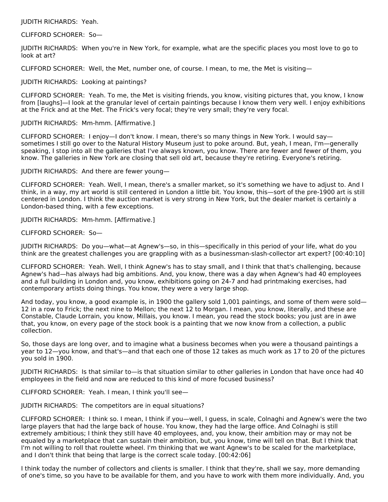### JUDITH RICHARDS: Yeah.

### CLIFFORD SCHORER: So—

JUDITH RICHARDS: When you're in New York, for example, what are the specific places you most love to go to look at art?

CLIFFORD SCHORER: Well, the Met, number one, of course. I mean, to me, the Met is visiting—

#### JUDITH RICHARDS: Looking at paintings?

CLIFFORD SCHORER: Yeah. To me, the Met is visiting friends, you know, visiting pictures that, you know, I know from [laughs]—I look at the granular level of certain paintings because I know them very well. I enjoy exhibitions at the Frick and at the Met. The Frick's very focal; they're very small; they're very focal.

#### JUDITH RICHARDS: Mm-hmm. [Affirmative.]

CLIFFORD SCHORER: I enjoy—I don't know. I mean, there's so many things in New York. I would say sometimes I still go over to the Natural History Museum just to poke around. But, yeah, I mean, I'm—generally speaking, I stop into all the galleries that I've always known, you know. There are fewer and fewer of them, you know. The galleries in New York are closing that sell old art, because they're retiring. Everyone's retiring.

#### JUDITH RICHARDS: And there are fewer young—

CLIFFORD SCHORER: Yeah. Well, I mean, there's a smaller market, so it's something we have to adjust to. And I think, in a way, my art world is still centered in London a little bit. You know, this—sort of the pre-1900 art is still centered in London. I think the auction market is very strong in New York, but the dealer market is certainly a London-based thing, with a few exceptions.

JUDITH RICHARDS: Mm-hmm. [Affirmative.]

### CLIFFORD SCHORER: So—

JUDITH RICHARDS: Do you—what—at Agnew's—so, in this—specifically in this period of your life, what do you think are the greatest challenges you are grappling with as a businessman-slash-collector art expert? [00:40:10]

CLIFFORD SCHORER: Yeah. Well, I think Agnew's has to stay small, and I think that that's challenging, because Agnew's had—has always had big ambitions. And, you know, there was a day when Agnew's had 40 employees and a full building in London and, you know, exhibitions going on 24-7 and had printmaking exercises, had contemporary artists doing things. You know, they were a very large shop.

And today, you know, a good example is, in 1900 the gallery sold 1,001 paintings, and some of them were sold— 12 in a row to Frick; the next nine to Mellon; the next 12 to Morgan. I mean, you know, literally, and these are Constable, Claude Lorrain, you know, Millais, you know. I mean, you read the stock books; you just are in awe that, you know, on every page of the stock book is a painting that we now know from a collection, a public collection.

So, those days are long over, and to imagine what a business becomes when you were a thousand paintings a year to 12—you know, and that's—and that each one of those 12 takes as much work as 17 to 20 of the pictures you sold in 1900.

JUDITH RICHARDS: Is that similar to—is that situation similar to other galleries in London that have once had 40 employees in the field and now are reduced to this kind of more focused business?

CLIFFORD SCHORER: Yeah. I mean, I think you'll see—

#### JUDITH RICHARDS: The competitors are in equal situations?

CLIFFORD SCHORER: I think so. I mean, I think if you—well, I guess, in scale, Colnaghi and Agnew's were the two large players that had the large back of house. You know, they had the large office. And Colnaghi is still extremely ambitious; I think they still have 40 employees, and, you know, their ambition may or may not be equaled by a marketplace that can sustain their ambition, but, you know, time will tell on that. But I think that I'm not willing to roll that roulette wheel. I'm thinking that we want Agnew's to be scaled for the marketplace, and I don't think that being that large is the correct scale today. [00:42:06]

I think today the number of collectors and clients is smaller. I think that they're, shall we say, more demanding of one's time, so you have to be available for them, and you have to work with them more individually. And, you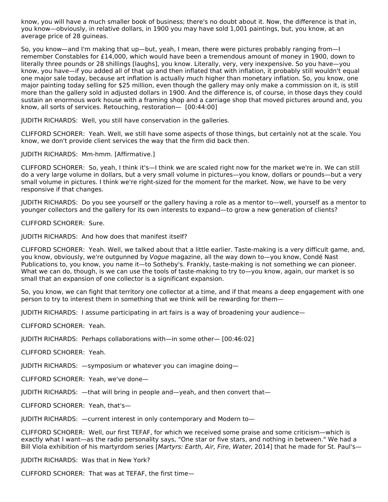know, you will have a much smaller book of business; there's no doubt about it. Now, the difference is that in, you know—obviously, in relative dollars, in 1900 you may have sold 1,001 paintings, but, you know, at an average price of 28 guineas.

So, you know—and I'm making that up—but, yeah, I mean, there were pictures probably ranging from—I remember Constables for £14,000, which would have been a tremendous amount of money in 1900, down to literally three pounds or 28 shillings [laughs], you know. Literally, very, very inexpensive. So you have—you know, you have—if you added all of that up and then inflated that with inflation, it probably still wouldn't equal one major sale today, because art inflation is actually much higher than monetary inflation. So, you know, one major painting today selling for \$25 million, even though the gallery may only make a commission on it, is still more than the gallery sold in adjusted dollars in 1900. And the difference is, of course, in those days they could sustain an enormous work house with a framing shop and a carriage shop that moved pictures around and, you know, all sorts of services. Retouching, restoration— [00:44:00]

JUDITH RICHARDS: Well, you still have conservation in the galleries.

CLIFFORD SCHORER: Yeah. Well, we still have some aspects of those things, but certainly not at the scale. You know, we don't provide client services the way that the firm did back then.

JUDITH RICHARDS: Mm-hmm. [Affirmative.]

CLIFFORD SCHORER: So, yeah, I think it's—I think we are scaled right now for the market we're in. We can still do a very large volume in dollars, but a very small volume in pictures—you know, dollars or pounds—but a very small volume in pictures. I think we're right-sized for the moment for the market. Now, we have to be very responsive if that changes.

JUDITH RICHARDS: Do you see yourself or the gallery having a role as a mentor to—well, yourself as a mentor to younger collectors and the gallery for its own interests to expand—to grow a new generation of clients?

CLIFFORD SCHORER: Sure.

JUDITH RICHARDS: And how does that manifest itself?

CLIFFORD SCHORER: Yeah. Well, we talked about that a little earlier. Taste-making is a very difficult game, and, you know, obviously, we're outgunned by Vogue magazine, all the way down to—you know, Condé Nast Publications to, you know, you name it—to Sotheby's. Frankly, taste-making is not something we can pioneer. What we can do, though, is we can use the tools of taste-making to try to—you know, again, our market is so small that an expansion of one collector is a significant expansion.

So, you know, we can fight that territory one collector at a time, and if that means a deep engagement with one person to try to interest them in something that we think will be rewarding for them—

JUDITH RICHARDS: I assume participating in art fairs is a way of broadening your audience—

CLIFFORD SCHORER: Yeah.

JUDITH RICHARDS: Perhaps collaborations with—in some other— [00:46:02]

CLIFFORD SCHORER: Yeah.

JUDITH RICHARDS: —symposium or whatever you can imagine doing—

CLIFFORD SCHORER: Yeah, we've done—

JUDITH RICHARDS: —that will bring in people and—yeah, and then convert that—

CLIFFORD SCHORER: Yeah, that's—

JUDITH RICHARDS: —current interest in only contemporary and Modern to—

CLIFFORD SCHORER: Well, our first TEFAF, for which we received some praise and some criticism—which is exactly what I want—as the radio personality says, "One star or five stars, and nothing in between." We had a Bill Viola exhibition of his martyrdom series [Martyrs: Earth, Air, Fire, Water, 2014] that he made for St. Paul's-

JUDITH RICHARDS: Was that in New York?

CLIFFORD SCHORER: That was at TEFAF, the first time—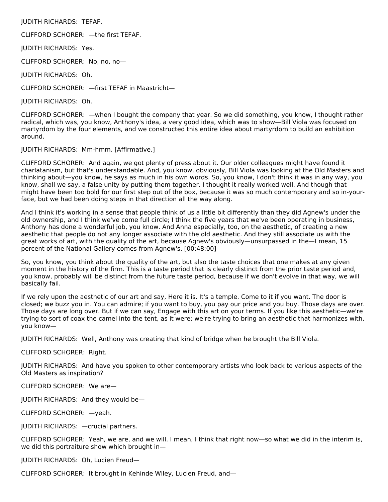JUDITH RICHARDS: TEFAF.

CLIFFORD SCHORER: —the first TEFAF.

JUDITH RICHARDS: Yes.

CLIFFORD SCHORER: No, no, no—

JUDITH RICHARDS: Oh.

CLIFFORD SCHORER: —first TEFAF in Maastricht—

JUDITH RICHARDS: Oh.

CLIFFORD SCHORER: —when I bought the company that year. So we did something, you know, I thought rather radical, which was, you know, Anthony's idea, a very good idea, which was to show—Bill Viola was focused on martyrdom by the four elements, and we constructed this entire idea about martyrdom to build an exhibition around.

JUDITH RICHARDS: Mm-hmm. [Affirmative.]

CLIFFORD SCHORER: And again, we got plenty of press about it. Our older colleagues might have found it charlatanism, but that's understandable. And, you know, obviously, Bill Viola was looking at the Old Masters and thinking about—you know, he says as much in his own words. So, you know, I don't think it was in any way, you know, shall we say, a false unity by putting them together. I thought it really worked well. And though that might have been too bold for our first step out of the box, because it was so much contemporary and so in-yourface, but we had been doing steps in that direction all the way along.

And I think it's working in a sense that people think of us a little bit differently than they did Agnew's under the old ownership, and I think we've come full circle; I think the five years that we've been operating in business, Anthony has done a wonderful job, you know. And Anna especially, too, on the aesthetic, of creating a new aesthetic that people do not any longer associate with the old aesthetic. And they still associate us with the great works of art, with the quality of the art, because Agnew's obviously—unsurpassed in the—I mean, 15 percent of the National Gallery comes from Agnew's. [00:48:00]

So, you know, you think about the quality of the art, but also the taste choices that one makes at any given moment in the history of the firm. This is a taste period that is clearly distinct from the prior taste period and, you know, probably will be distinct from the future taste period, because if we don't evolve in that way, we will basically fail.

If we rely upon the aesthetic of our art and say, Here it is. It's a temple. Come to it if you want. The door is closed; we buzz you in. You can admire; if you want to buy, you pay our price and you buy. Those days are over. Those days are long over. But if we can say, Engage with this art on your terms. If you like this aesthetic—we're trying to sort of coax the camel into the tent, as it were; we're trying to bring an aesthetic that harmonizes with, you know—

JUDITH RICHARDS: Well, Anthony was creating that kind of bridge when he brought the Bill Viola.

CLIFFORD SCHORER: Right.

JUDITH RICHARDS: And have you spoken to other contemporary artists who look back to various aspects of the Old Masters as inspiration?

CLIFFORD SCHORER: We are—

JUDITH RICHARDS: And they would be—

CLIFFORD SCHORER: —yeah.

JUDITH RICHARDS: —crucial partners.

CLIFFORD SCHORER: Yeah, we are, and we will. I mean, I think that right now—so what we did in the interim is, we did this portraiture show which brought in—

JUDITH RICHARDS: Oh, Lucien Freud—

CLIFFORD SCHORER: It brought in Kehinde Wiley, Lucien Freud, and—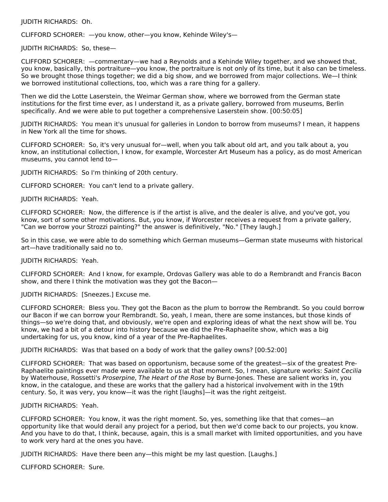#### JUDITH RICHARDS: Oh.

CLIFFORD SCHORER: —you know, other—you know, Kehinde Wiley's—

JUDITH RICHARDS: So, these—

CLIFFORD SCHORER: —commentary—we had a Reynolds and a Kehinde Wiley together, and we showed that, you know, basically, this portraiture—you know, the portraiture is not only of its time, but it also can be timeless. So we brought those things together; we did a big show, and we borrowed from major collections. We—I think we borrowed institutional collections, too, which was a rare thing for a gallery.

Then we did the Lotte Laserstein, the Weimar German show, where we borrowed from the German state institutions for the first time ever, as I understand it, as a private gallery, borrowed from museums, Berlin specifically. And we were able to put together a comprehensive Laserstein show. [00:50:05]

JUDITH RICHARDS: You mean it's unusual for galleries in London to borrow from museums? I mean, it happens in New York all the time for shows.

CLIFFORD SCHORER: So, it's very unusual for—well, when you talk about old art, and you talk about a, you know, an institutional collection, I know, for example, Worcester Art Museum has a policy, as do most American museums, you cannot lend to—

JUDITH RICHARDS: So I'm thinking of 20th century.

CLIFFORD SCHORER: You can't lend to a private gallery.

JUDITH RICHARDS: Yeah.

CLIFFORD SCHORER: Now, the difference is if the artist is alive, and the dealer is alive, and you've got, you know, sort of some other motivations. But, you know, if Worcester receives a request from a private gallery, "Can we borrow your Strozzi painting?" the answer is definitively, "No." [They laugh.]

So in this case, we were able to do something which German museums—German state museums with historical art—have traditionally said no to.

JUDITH RICHARDS: Yeah.

CLIFFORD SCHORER: And I know, for example, Ordovas Gallery was able to do a Rembrandt and Francis Bacon show, and there I think the motivation was they got the Bacon—

JUDITH RICHARDS: [Sneezes.] Excuse me.

CLIFFORD SCHORER: Bless you. They got the Bacon as the plum to borrow the Rembrandt. So you could borrow our Bacon if we can borrow your Rembrandt. So, yeah, I mean, there are some instances, but those kinds of things—so we're doing that, and obviously, we're open and exploring ideas of what the next show will be. You know, we had a bit of a detour into history because we did the Pre-Raphaelite show, which was a big undertaking for us, you know, kind of a year of the Pre-Raphaelites.

JUDITH RICHARDS: Was that based on a body of work that the galley owns? [00:52:00]

CLIFFORD SCHORER: That was based on opportunism, because some of the greatest—six of the greatest Pre-Raphaelite paintings ever made were available to us at that moment. So, I mean, signature works: Saint Cecilia by Waterhouse, Rossetti's Proserpine, The Heart of the Rose by Burne-Jones. These are salient works in, you know, in the catalogue, and these are works that the gallery had a historical involvement with in the 19th century. So, it was very, you know—it was the right [laughs]—it was the right zeitgeist.

#### JUDITH RICHARDS: Yeah.

CLIFFORD SCHORER: You know, it was the right moment. So, yes, something like that that comes—an opportunity like that would derail any project for a period, but then we'd come back to our projects, you know. And you have to do that, I think, because, again, this is a small market with limited opportunities, and you have to work very hard at the ones you have.

JUDITH RICHARDS: Have there been any—this might be my last question. [Laughs.]

CLIFFORD SCHORER: Sure.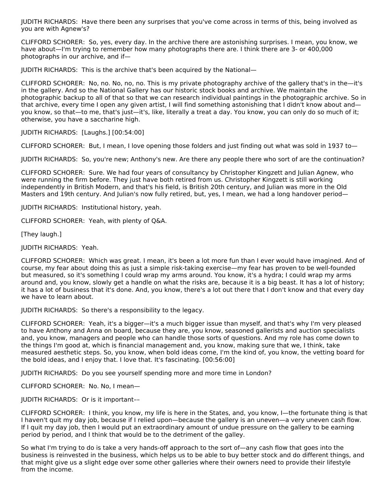JUDITH RICHARDS: Have there been any surprises that you've come across in terms of this, being involved as you are with Agnew's?

CLIFFORD SCHORER: So, yes, every day. In the archive there are astonishing surprises. I mean, you know, we have about—I'm trying to remember how many photographs there are. I think there are 3- or 400,000 photographs in our archive, and if—

JUDITH RICHARDS: This is the archive that's been acquired by the National—

CLIFFORD SCHORER: No, no. No, no, no. This is my private photography archive of the gallery that's in the—it's in the gallery. And so the National Gallery has our historic stock books and archive. We maintain the photographic backup to all of that so that we can research individual paintings in the photographic archive. So in that archive, every time I open any given artist, I will find something astonishing that I didn't know about and you know, so that—to me, that's just—it's, like, literally a treat a day. You know, you can only do so much of it; otherwise, you have a saccharine high.

JUDITH RICHARDS: [Laughs.] [00:54:00]

CLIFFORD SCHORER: But, I mean, I love opening those folders and just finding out what was sold in 1937 to—

JUDITH RICHARDS: So, you're new; Anthony's new. Are there any people there who sort of are the continuation?

CLIFFORD SCHORER: Sure. We had four years of consultancy by Christopher Kingzett and Julian Agnew, who were running the firm before. They just have both retired from us. Christopher Kingzett is still working independently in British Modern, and that's his field, is British 20th century, and Julian was more in the Old Masters and 19th century. And Julian's now fully retired, but, yes, I mean, we had a long handover period—

JUDITH RICHARDS: Institutional history, yeah.

CLIFFORD SCHORER: Yeah, with plenty of Q&A.

[They laugh.]

JUDITH RICHARDS: Yeah.

CLIFFORD SCHORER: Which was great. I mean, it's been a lot more fun than I ever would have imagined. And of course, my fear about doing this as just a simple risk-taking exercise—my fear has proven to be well-founded but measured, so it's something I could wrap my arms around. You know, it's a hydra; I could wrap my arms around and, you know, slowly get a handle on what the risks are, because it is a big beast. It has a lot of history; it has a lot of business that it's done. And, you know, there's a lot out there that I don't know and that every day we have to learn about.

JUDITH RICHARDS: So there's a responsibility to the legacy.

CLIFFORD SCHORER: Yeah, it's a bigger—it's a much bigger issue than myself, and that's why I'm very pleased to have Anthony and Anna on board, because they are, you know, seasoned gallerists and auction specialists and, you know, managers and people who can handle those sorts of questions. And my role has come down to the things I'm good at, which is financial management and, you know, making sure that we, I think, take measured aesthetic steps. So, you know, when bold ideas come, I'm the kind of, you know, the vetting board for the bold ideas, and I enjoy that. I love that. It's fascinating. [00:56:00]

JUDITH RICHARDS: Do you see yourself spending more and more time in London?

CLIFFORD SCHORER: No. No, I mean—

JUDITH RICHARDS: Or is it important––

CLIFFORD SCHORER: I think, you know, my life is here in the States, and, you know, I—the fortunate thing is that I haven't quit my day job, because if I relied upon—because the gallery is an uneven—a very uneven cash flow. If I quit my day job, then I would put an extraordinary amount of undue pressure on the gallery to be earning period by period, and I think that would be to the detriment of the galley.

So what I'm trying to do is take a very hands-off approach to the sort of—any cash flow that goes into the business is reinvested in the business, which helps us to be able to buy better stock and do different things, and that might give us a slight edge over some other galleries where their owners need to provide their lifestyle from the income.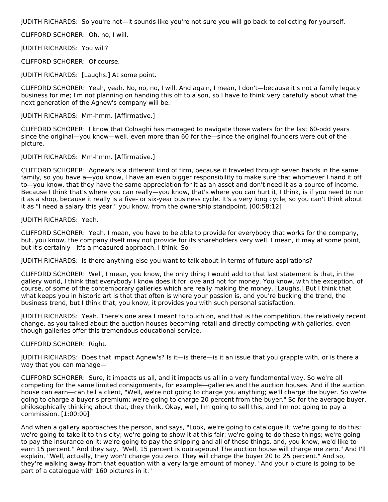JUDITH RICHARDS: So you're not—it sounds like you're not sure you will go back to collecting for yourself.

CLIFFORD SCHORER: Oh, no, I will.

JUDITH RICHARDS: You will?

CLIFFORD SCHORER: Of course.

JUDITH RICHARDS: [Laughs.] At some point.

CLIFFORD SCHORER: Yeah, yeah. No, no, no, I will. And again, I mean, I don't—because it's not a family legacy business for me; I'm not planning on handing this off to a son, so I have to think very carefully about what the next generation of the Agnew's company will be.

JUDITH RICHARDS: Mm-hmm. [Affirmative.]

CLIFFORD SCHORER: I know that Colnaghi has managed to navigate those waters for the last 60-odd years since the original—you know—well, even more than 60 for the—since the original founders were out of the picture.

## JUDITH RICHARDS: Mm-hmm. [Affirmative.]

CLIFFORD SCHORER: Agnew's is a different kind of firm, because it traveled through seven hands in the same family, so you have a—you know, I have an even bigger responsibility to make sure that whomever I hand it off to—you know, that they have the same appreciation for it as an asset and don't need it as a source of income. Because I think that's where you can really—you know, that's where you can hurt it, I think, is if you need to run it as a shop, because it really is a five- or six-year business cycle. It's a very long cycle, so you can't think about it as "I need a salary this year," you know, from the ownership standpoint. [00:58:12]

## JUDITH RICHARDS: Yeah.

CLIFFORD SCHORER: Yeah. I mean, you have to be able to provide for everybody that works for the company, but, you know, the company itself may not provide for its shareholders very well. I mean, it may at some point, but it's certainly—it's a measured approach, I think. So—

JUDITH RICHARDS: Is there anything else you want to talk about in terms of future aspirations?

CLIFFORD SCHORER: Well, I mean, you know, the only thing I would add to that last statement is that, in the gallery world, I think that everybody I know does it for love and not for money. You know, with the exception, of course, of some of the contemporary galleries which are really making the money. [Laughs.] But I think that what keeps you in historic art is that that often is where your passion is, and you're bucking the trend, the business trend, but I think that, you know, it provides you with such personal satisfaction.

JUDITH RICHARDS: Yeah. There's one area I meant to touch on, and that is the competition, the relatively recent change, as you talked about the auction houses becoming retail and directly competing with galleries, even though galleries offer this tremendous educational service.

CLIFFORD SCHORER: Right.

JUDITH RICHARDS: Does that impact Agnew's? Is it—is there—is it an issue that you grapple with, or is there a way that you can manage—

CLIFFORD SCHORER: Sure, it impacts us all, and it impacts us all in a very fundamental way. So we're all competing for the same limited consignments, for example—galleries and the auction houses. And if the auction house can earn—can tell a client, "Well, we're not going to charge you anything; we'll charge the buyer. So we're going to charge a buyer's premium; we're going to charge 20 percent from the buyer." So for the average buyer, philosophically thinking about that, they think, Okay, well, I'm going to sell this, and I'm not going to pay a commission. [1:00:00]

And when a gallery approaches the person, and says, "Look, we're going to catalogue it; we're going to do this; we're going to take it to this city; we're going to show it at this fair; we're going to do these things; we're going to pay the insurance on it; we're going to pay the shipping and all of these things, and, you know, we'd like to earn 15 percent." And they say, "Well, 15 percent is outrageous! The auction house will charge me zero." And I'll explain, "Well, actually, they won't charge you zero. They will charge the buyer 20 to 25 percent." And so, they're walking away from that equation with a very large amount of money, "And your picture is going to be part of a catalogue with 160 pictures in it."